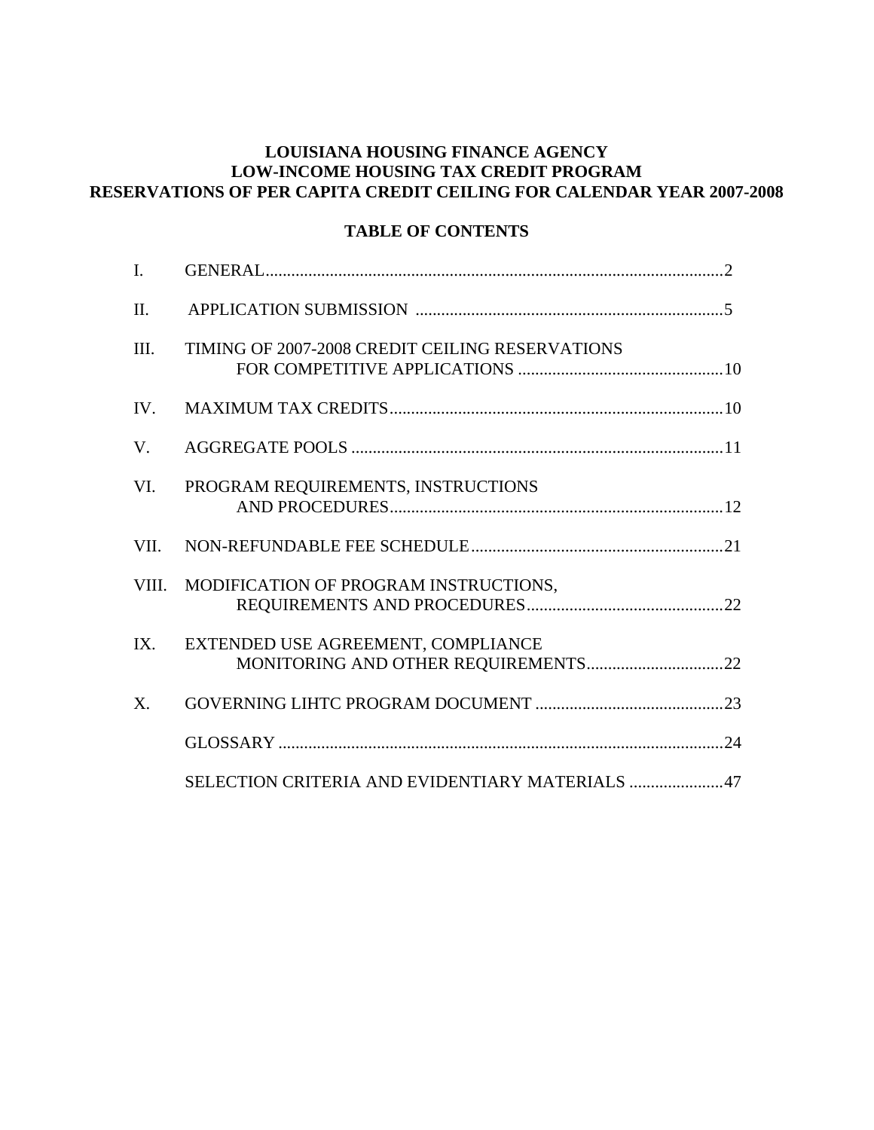## **LOUISIANA HOUSING FINANCE AGENCY LOW-INCOME HOUSING TAX CREDIT PROGRAM RESERVATIONS OF PER CAPITA CREDIT CEILING FOR CALENDAR YEAR 2007-2008**

#### **TABLE OF CONTENTS**

| I.      |                                                 |  |
|---------|-------------------------------------------------|--|
| $\Pi$ . |                                                 |  |
| III.    | TIMING OF 2007-2008 CREDIT CEILING RESERVATIONS |  |
| IV.     |                                                 |  |
| V.      |                                                 |  |
| VI.     | PROGRAM REQUIREMENTS, INSTRUCTIONS              |  |
| VII.    |                                                 |  |
| VIII.   | MODIFICATION OF PROGRAM INSTRUCTIONS,           |  |
| IX.     | EXTENDED USE AGREEMENT, COMPLIANCE              |  |
| X.      |                                                 |  |
|         |                                                 |  |
|         | SELECTION CRITERIA AND EVIDENTIARY MATERIALS 47 |  |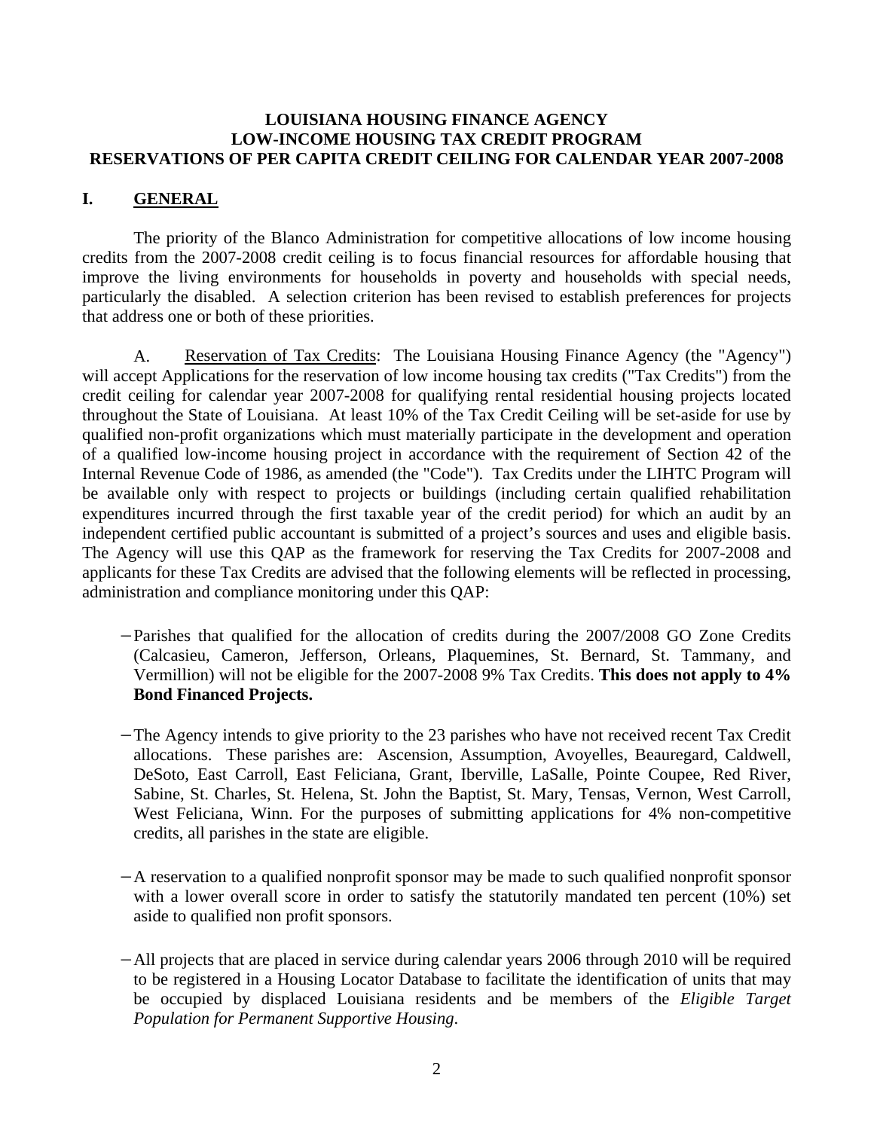#### **LOUISIANA HOUSING FINANCE AGENCY LOW-INCOME HOUSING TAX CREDIT PROGRAM RESERVATIONS OF PER CAPITA CREDIT CEILING FOR CALENDAR YEAR 2007-2008**

## **I. GENERAL**

 The priority of the Blanco Administration for competitive allocations of low income housing credits from the 2007-2008 credit ceiling is to focus financial resources for affordable housing that improve the living environments for households in poverty and households with special needs, particularly the disabled. A selection criterion has been revised to establish preferences for projects that address one or both of these priorities.

 A. Reservation of Tax Credits: The Louisiana Housing Finance Agency (the "Agency") will accept Applications for the reservation of low income housing tax credits ("Tax Credits") from the credit ceiling for calendar year 2007-2008 for qualifying rental residential housing projects located throughout the State of Louisiana. At least 10% of the Tax Credit Ceiling will be set-aside for use by qualified non-profit organizations which must materially participate in the development and operation of a qualified low-income housing project in accordance with the requirement of Section 42 of the Internal Revenue Code of 1986, as amended (the "Code"). Tax Credits under the LIHTC Program will be available only with respect to projects or buildings (including certain qualified rehabilitation expenditures incurred through the first taxable year of the credit period) for which an audit by an independent certified public accountant is submitted of a project's sources and uses and eligible basis. The Agency will use this QAP as the framework for reserving the Tax Credits for 2007-2008 and applicants for these Tax Credits are advised that the following elements will be reflected in processing, administration and compliance monitoring under this QAP:

- −Parishes that qualified for the allocation of credits during the 2007/2008 GO Zone Credits (Calcasieu, Cameron, Jefferson, Orleans, Plaquemines, St. Bernard, St. Tammany, and Vermillion) will not be eligible for the 2007-2008 9% Tax Credits. **This does not apply to 4% Bond Financed Projects.**
- −The Agency intends to give priority to the 23 parishes who have not received recent Tax Credit allocations. These parishes are: Ascension, Assumption, Avoyelles, Beauregard, Caldwell, DeSoto, East Carroll, East Feliciana, Grant, Iberville, LaSalle, Pointe Coupee, Red River, Sabine, St. Charles, St. Helena, St. John the Baptist, St. Mary, Tensas, Vernon, West Carroll, West Feliciana, Winn. For the purposes of submitting applications for 4% non-competitive credits, all parishes in the state are eligible.
- −A reservation to a qualified nonprofit sponsor may be made to such qualified nonprofit sponsor with a lower overall score in order to satisfy the statutorily mandated ten percent (10%) set aside to qualified non profit sponsors.
- −All projects that are placed in service during calendar years 2006 through 2010 will be required to be registered in a Housing Locator Database to facilitate the identification of units that may be occupied by displaced Louisiana residents and be members of the *Eligible Target Population for Permanent Supportive Housing*.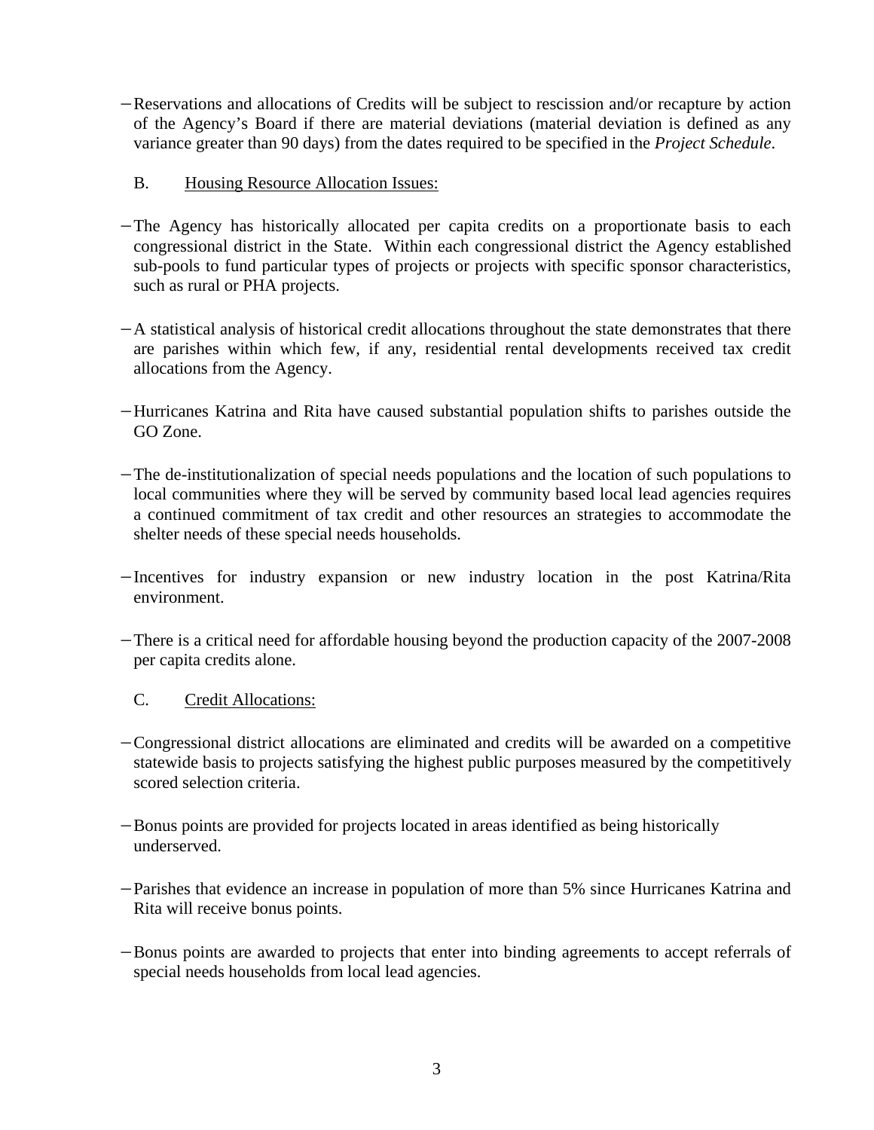- −Reservations and allocations of Credits will be subject to rescission and/or recapture by action of the Agency's Board if there are material deviations (material deviation is defined as any variance greater than 90 days) from the dates required to be specified in the *Project Schedule*.
	- B. Housing Resource Allocation Issues:
- −The Agency has historically allocated per capita credits on a proportionate basis to each congressional district in the State. Within each congressional district the Agency established sub-pools to fund particular types of projects or projects with specific sponsor characteristics, such as rural or PHA projects.
- −A statistical analysis of historical credit allocations throughout the state demonstrates that there are parishes within which few, if any, residential rental developments received tax credit allocations from the Agency.
- −Hurricanes Katrina and Rita have caused substantial population shifts to parishes outside the GO Zone.
- −The de-institutionalization of special needs populations and the location of such populations to local communities where they will be served by community based local lead agencies requires a continued commitment of tax credit and othe r resources an strategies to accommodate the shelter needs of these special needs households.
- − industry expansion or new industry location in the post Katrina/Rita Incentives for environment.
- There is a critical need for affordable housing beyond the production capacity of the 2007-2008 per capita credits alone.

#### . Credit Allocations:  $C_{\cdot}$

- −Congressional district allocations are eliminated and credits will be awarded on a competitive statewide basis to projects satisfying the highest public purposes measured by the competitively scored selection criteria.
- -Bonus points are provided for projects located in areas identified as being historically underserved.
- Parishes that evidence an increase in population of more than 5% since Hurricanes Katrina and Rita will receive bonus points.
- -Bonus points are awarded to projects that enter into binding agreements to accept referrals of special needs households from local lead agencies.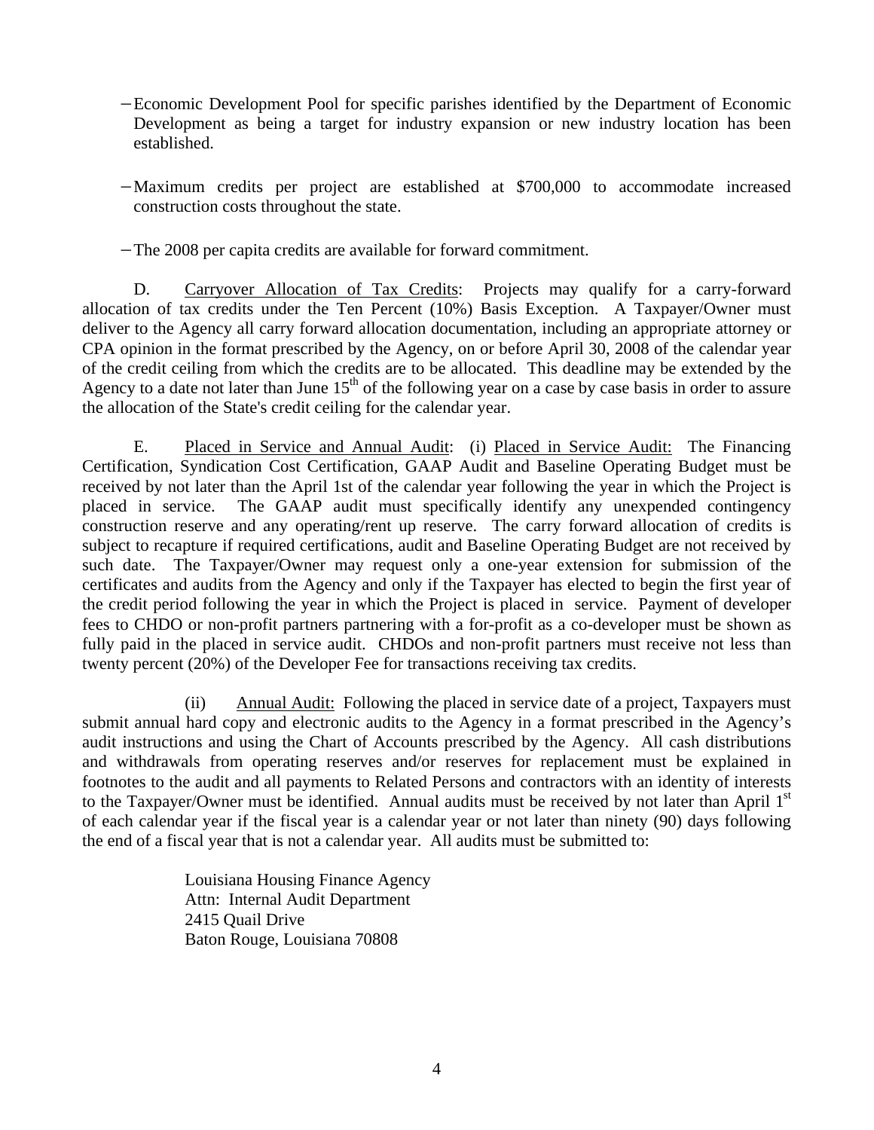- Development as being a target for industry expansion or new industry location has been established. −Economic Development Pool for specific parishes identified by the Department of Economic
- − Maximum credits per project are established at \$700,000 to accommodate increased construction costs throughout the state.

−The 2008 per capita credits are available for forward commitment.

D. Carryover Allocation of Tax Credits: Projects may qualify for a carry-forward allocation of tax credits under the Ten Percent (10%) Basis Exception. A Taxpayer/Owner must deliver to the Agency all carry forward allocation documentatio n, including an appropriate attorney or CPA opinion in the format prescribed by the Agency, on or before April 30, 2008 of the calendar year of the credit ceiling from which the credits are to be allocated. This deadline may be extended by the Agency to a date not later than June  $15<sup>th</sup>$  of the following year on a case by case basis in order to assure the allocation of the State's credit ceiling for the calendar year.

 E. Placed in Service and Annual Audit: (i) Placed in Service Audit: The Financing Certification, Syndication Cost Certification, GAAP Audit and Baseline Operating Budget must be received by not later than the April 1st of the calendar year following the year in which the Project is placed in service. The GAAP audit must specifically identify any unexpended contingency construction reserve and any operating/rent up reserve. The carry forward allocation of credits is subject to recapture if required certifications, audit and Baseline Operating Budget are not received by such date. The Taxpayer/Owner may request only a one-year extension for submission of the certificates and audits from the Agency and only if the Taxpayer has elected to begin the first year of the credit period following the year in which the Project is placed in service. Payment of developer fees to CHDO or non-profit partners partnering with a for-profit as a co-developer must be shown as fully paid in the placed in service audit. CHDOs and non-profit partners must receive not less than twenty percent (20%) of the Developer Fee for transactions receiving tax credits.

 (ii) Annual Audit: Following the placed in service date of a project, Taxpayers must submit annual hard copy and electronic audits to the Agency in a format prescribed in the Agency's audit instructions and using the Chart of Accounts prescribed by the Agency. All cash distributions and withdrawals from operating reserves and/or reserves for replacement must be explained in footnotes to the audit and all payments to Related Persons and contractors with an identity of interests to the Taxpayer/Owner must be identified. Annual audits must be received by not later than April 1st of each calendar year if the fiscal year is a calendar year or not later than ninety (90) days following the end of a fiscal year that is not a calendar year. All audits must be submitted to:

Louisiana Housing Finance Agency Attn: Internal Audit Department 2415 Quail Drive Baton Rouge, Louisiana 70808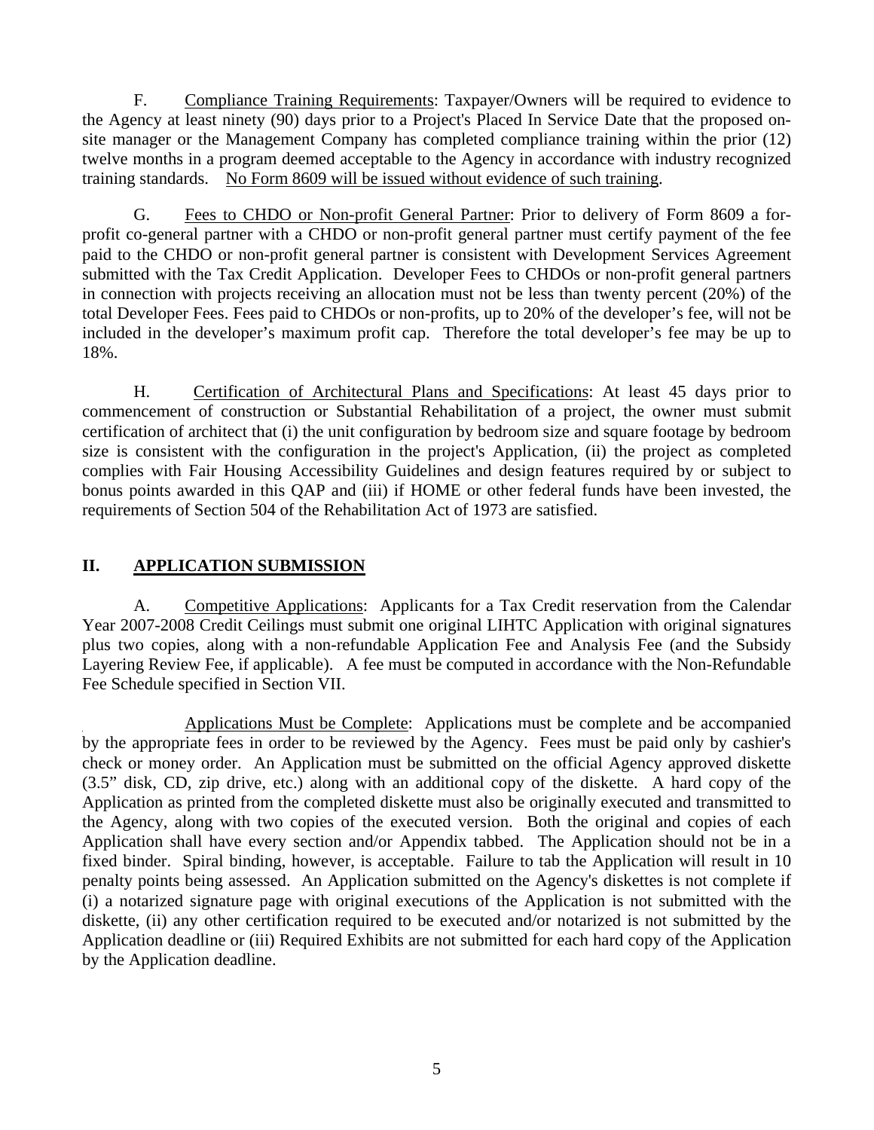F. Compliance Training Requirements: Taxpayer/Owners will be required to evidence to the Agency at least ninety (90) days prior to a Project's Placed In Service Date that the proposed onsite manager or the Management Company has completed compliance training within the prior (12) twelve months in a program deemed acceptable to the Agency in accordance with industry recognized training standards. No Form 8609 will be issued without evidence of such training.

 G. Fees to CHDO or Non-profit General Partner: Prior to delivery of Form 8609 a forprofit co-general partner with a CHDO or non-profit general partner must certify payment of the fee paid to the CHDO or non-profit general partner is consistent with Development Services Agreement submitted with the Tax Credit Application. Developer Fees to CHDOs or non-profit general partners in connection with projects receiving an allocation must not be less than twenty percent (20%) of the total Developer Fees. Fees paid to CHDOs or non-profits, up to 20% of the developer's fee, will not be included in the developer's maximum profit cap. Therefore the total developer's fee may be up to 18%.

 H. Certification of Architectural Plans and Specifications: At least 45 days prior to commencement of construction or Substantial Rehabilitation of a project, the owner must submit ertification of architect that (i) the unit configuration by bedroom size and square footage by bedroom c size is consistent with the configuration in the project's Application, (ii) the project as completed complies with Fair Housing Accessibility Guidelines and design features required by or subject to bonus points awarded in this QAP and (iii) if HOME or other federal funds have been invested, the requirements of Section 504 of the Rehabilitation Act of 1973 are satisfied.

## **II. APPLICATION SUBMISSION**

A. Competitive Applications: Applicants for a Tax Credit reservation from the Calendar Year 2007-2008 Credit Ceilings must submit one original LIHTC Application with original signatures plus two copies, along with a non-refundable Application Fee and Analysis Fee (and the Subsidy Layering Review Fee, if applicable). A fee must be computed in accordance with the Non-Refundable Fee Schedule specified in Section VII.

 Applications Must be Complete: Applications must be complete and be accompanied by the appropriate fees in order to be reviewed by the Agency. Fees must be paid only by cashier's check or money order. An Application must be submitted on the official Agency approved diskette (3.5" disk, CD, zip drive, etc.) along with an additional copy of the diskette. A hard copy of the Application as printed from the completed diskette must also be originally executed and transmitted to the Agency, along with two copies of the executed version. Both the original and copies of each Application shall have every section and/or Appendix tabbed. The Application should not be in a fixed binder. Spiral binding, however, is acceptable. Failure to tab the Application will result in 10 penalty points being assessed. An Application submitted on the Agency's diskettes is not complete if ) a notarized signature page with original executions of the Application is not submitted with the (i diskette, (ii) any other certification required to be executed and/or notarized is not submitted by the Application deadline or (iii) Required Exhibits are not submitted for each hard copy of the Application by the Application deadline.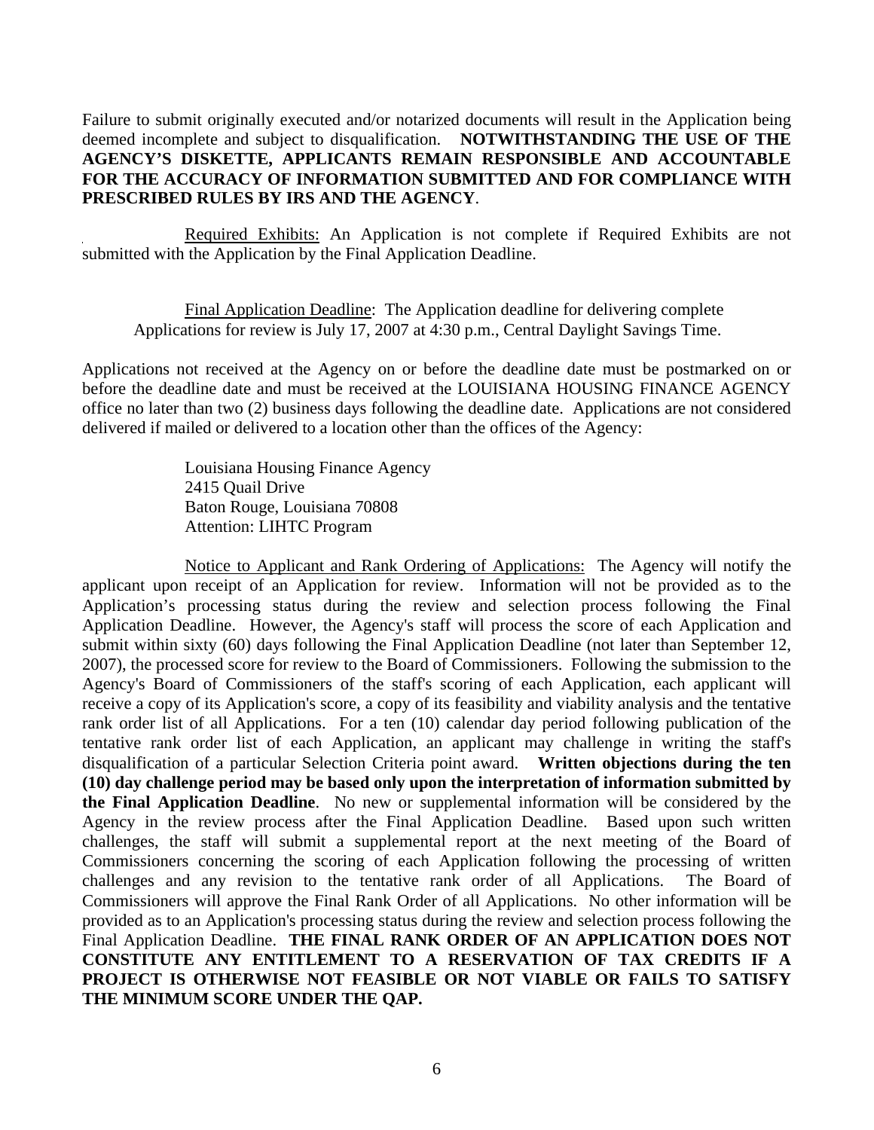Failure to submit originally executed and/or notarized documents will result in the Application being deemed incomplete and subject to disqualification. NOTWITHSTANDING THE USE OF THE FOR THE ACCURACY OF INFORMATION SUBMITTED AND FOR COMPLIANCE WITH **RESCRIBED RULES BY IRS AND THE AGENCY**. **P AGENCY'S DISKETTE, APPLICANTS REMAIN RESPONSIBLE AND ACCOUNTABLE** 

Required Exhibits: An Application is not complete if Required Exhibits are not submitted with the Application by the Final Application Deadline.

 Final Application Deadline: The Application deadline for delivering complete Applications for review is July 17, 2007 at 4:30 p.m., Central Daylight Savings Time.

Applications not received at the Agency on or before the deadline date must be postmarked on or before the deadline date and must be received at the LOUISIANA HOUSING FINANCE AGENCY office no later than two (2) business days following the deadline date. Applications are not considered delivered if mailed or delivered to a location other than the offices of the Agency:

> Louisiana Housing Finance Agency 2415 Quail Drive Baton Rouge, Louisiana 70808 Attention: LIHTC Program

 Notice to Applicant and Rank Ordering of Applications: The Agency will notify the applicant upon receipt of an Application for review. Information will not be provided as to the Application's processing status during the review and selection process following the Final Application Deadline. However, the Agency's staff will process the score of each Application and submit within sixty (60) days following the Final Application Deadline (not later than September 12, 2007), the processed score for review to the Board of Commissioners. Following the submission to the Agency's Board of Commissioners of the staff's scoring of each Application, each applicant will receive a copy of its Application's score, a copy of its feasibility and viability analysis and the tentative rank order list of all Applications. For a ten (10) calendar day period following publication of the tentative rank order list of each Application, an applicant may challenge in writing the staff's disqualification of a particular Selection Criteria point award. **Written objections during the ten (10) day challenge period may be based only upon the interpretation of information submitted by the Final Application Deadline**. No new or supplemental information will be considered by the Agency in the review process after the Final Application Deadline. Based upon such written challenges, the staff will submit a supplemental report at the next meeting of the Board of Commissioners concerning the scoring of each Application following the processing of written challenges and any revision to the tentative rank order of all Applications. The Board of Commissioners will approve the Final Rank Order of all Applications. No other information will be provided as to an Application's processing status during the review and selection process following the Final Application Deadline. THE FINAL RANK ORDER OF AN APPLICATION DOES NOT CONSTITUTE ANY ENTITLEMENT TO A RESERVATION OF TAX CREDITS IF A PROJECT IS OTHERWISE NOT FEASIBLE OR NOT VIABLE OR FAILS TO SATISFY **THE MINIMUM SCORE UNDER THE QAP.**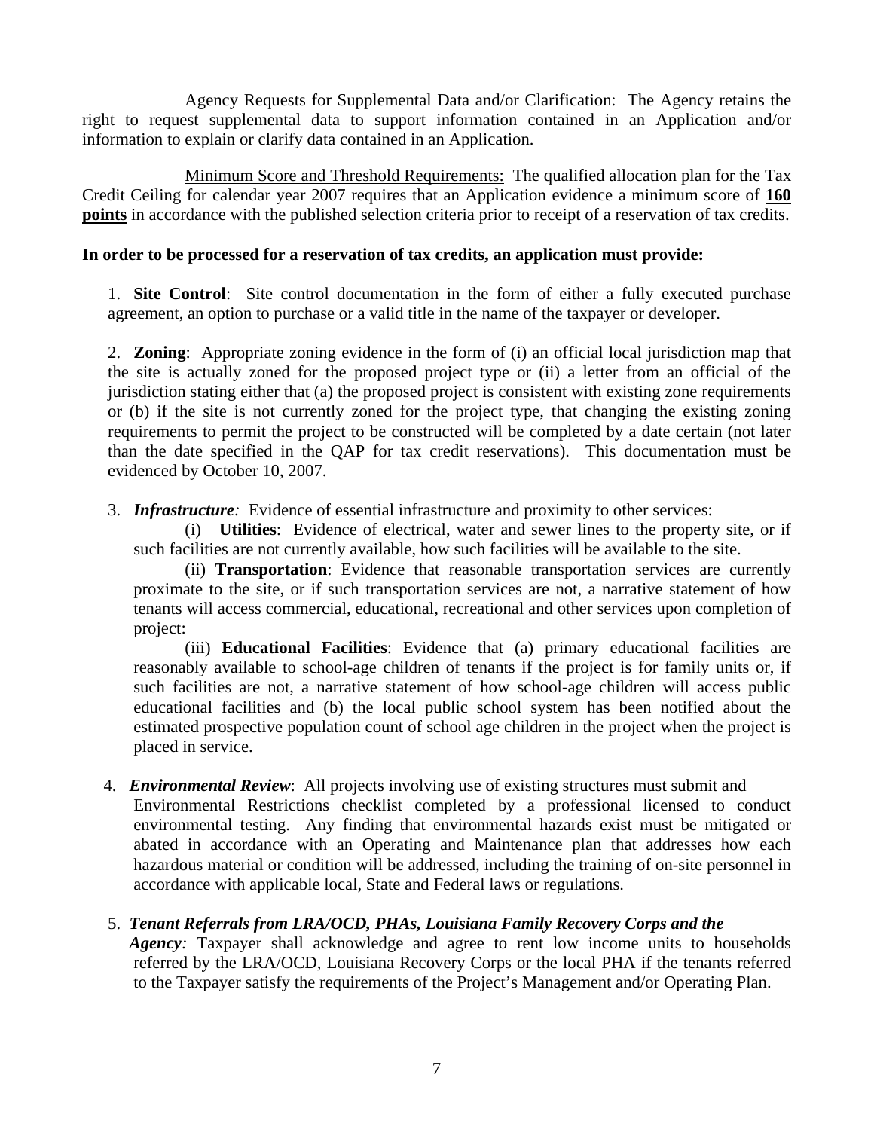Agency Requests for Supplemental Data and/or Clarification: The Agency retains the right to request supplemental data to support information contained in an Application and/or information to explain or clarify data contained in an Application.

 Minimum Score and Threshold Requirements: The qualified allocation plan for the Tax Credit Ceiling for calendar year 2007 requires that an Application evidence a minimum score of **160 points** in accordance with the published selection criteria prior to receipt of a reservation of tax credits.

## **In order to be processed for a reservation of tax credits, an application must provide:**

1. **Site Control**: Site control documentation in the form of either a fully executed purchase agreement, an option to purchase or a valid title in the name of the taxpayer or developer.

jurisdiction stating either that (a) the proposed project is consistent with existing zone requirements or (b) if the site is not currently zoned for the project type, that changing the existing zoning requirements to permit the project to be constructed will be completed by a date certain (not later tha n the date specified in the QAP for tax credit reservations). This documentation must be evi denced by October 10, 2007. 2. **Zoning**: Appropriate zoning evidence in the form of (i) an official local jurisdiction map that the site is actually zoned for the proposed project type or (ii) a letter from an official of the

3. *Infrastructure:* Evidence of essential infrastructure and proximity to other services:

such facilities are not currently available, how such facilities will be available to the site. (i) **Utilities**: Evidence of electrical, water and sewer lines to the property site, or if

(ii) **Transportation**: Evidence that reasonable transportation services are currently proximate to the site, or if such transportation services are not, a narrative statement of how tenants will access commercial, educational, recreational and other services upon completion of project:

reasonably available to school-age children of tenants if the project is for family units or, if such facilities are not, a narrative statement of how school-age children will access public educational facilities and (b) the local public school system has been notified about the (iii) **Educational Facilities**: Evidence that (a) primary educational facilities are estimated prospective population count of school age children in the project when the project is placed in service.

- 4. *Environmental Review*: All projects involving use of existing structures must submit and Environmental Restrictions checklist completed by a professional licensed to conduct environmental testing. Any finding that environmental hazards exist must be mitigated or abated in accordance with an Operating and Maintenance plan that addresses how each hazardous material or condition will be addressed, including the training of on-site personnel in accordance with applicable local, State and Federal laws or regulations.
	- 5. *Tenant Referrals from LRA/OCD, PHAs, Louisiana Family Recovery Corps and the Agency*: Taxpayer shall acknowledge and agree to rent low income units to households referred by the LRA/OCD, Louisiana Recovery Corps or the local PHA if the tenants referred to the Taxpayer satisfy the requirements of the Project's Management and/or Operating Plan.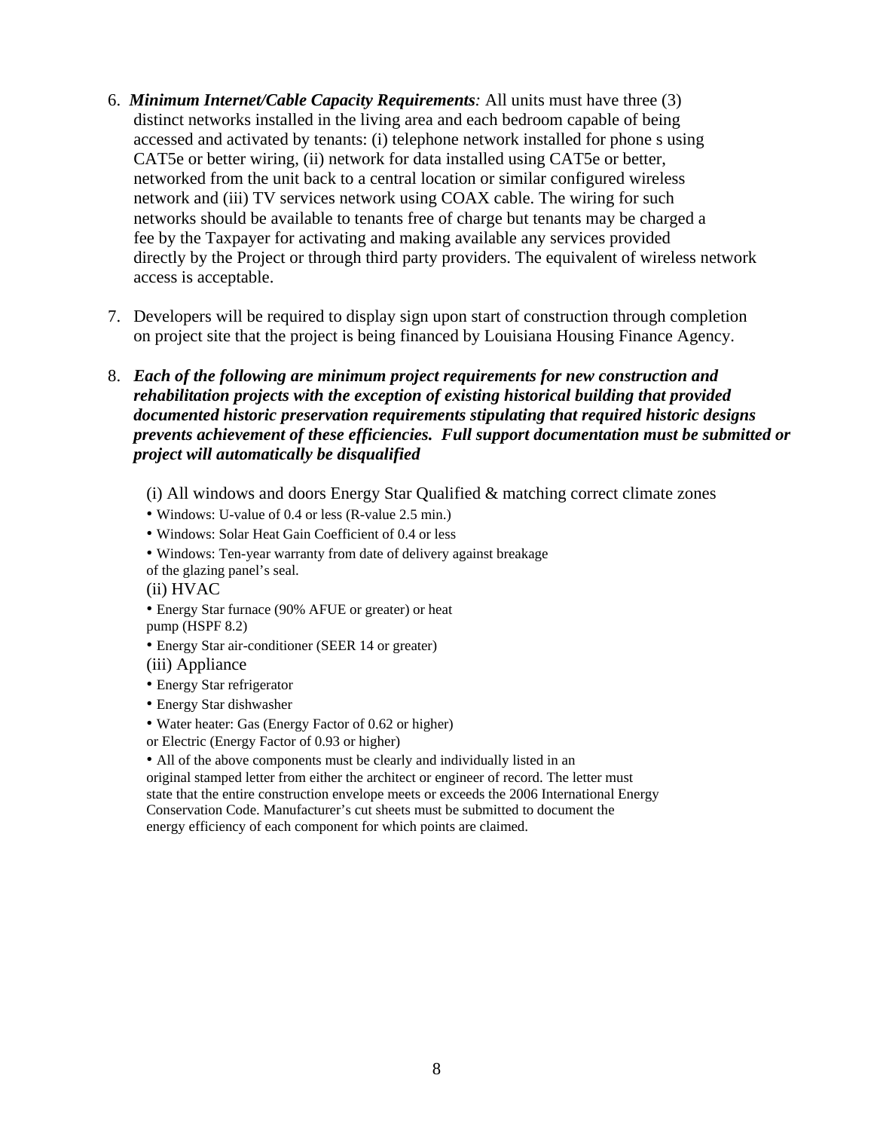- 6. *Minimum Internet/Cable Capacity Requirements:* All units must have three (3) network and (iii) TV services network using COAX cable. The wiring for such networks should be available to tenants free of charge but tenants may be charged a directly by the Project or through third party providers. The equivalent of wireless network access is acceptable. distinct networks installed in the living area and each bedroom capable of being accessed and activated by tenants: (i) telephone network installed for phone s using CAT5e or better wiring, (ii) network for data installed using CAT5e or better, networked from the unit back to a central location or similar configured wireless fee by the Taxpayer for activating and making available any services provided
	- 7. Developers will be required to display sign upon start of construction through completion on project site that the project is being financed by Louisiana Housing Finance Agency.
	- 8. Each of the following are minimum project requirements for new construction and *rehabilitation projects with the exception of existing historical building that provided*  documented historic preservation requirements stipulating that required historic designs prevents achievement of these efficiencies. Full support documentation must be submitted or *p roject will automatically be disqualified* 
		- $(i)$  All windows and doors Energy Star Qualified  $&$  matching correct climate zones
		- Windows: U-value of 0.4 or less (R-value 2.5 min.)
		- Windows: Solar Heat Gain Coefficient of 0.4 or less
		- Windows: Ten-year warranty from date of delivery against breakage of the glazing panel's seal.
		- (ii) HVAC
		- Energy Star furnace (90% AFUE or greater) or heat pump (HSPF 8.2)
		- Energy Star air-conditioner (SEER 14 or greater)
		- (iii) Appliance
		- Energy Star refrigerator
		- Energy Star dishwasher
		- Water heater: Gas (Energy Factor of 0.62 or higher)
		- or Electric (Energy Factor of 0.93 or higher)

• All of the above components must be clearly and individually listed in an original stamped letter from either the architect or engineer of record. The letter must state that the entire construction envelope meets or exceeds the 2006 International Energy Conservation Code. Manufacturer's cut sheets must be submitted to document the energy efficiency of each component for which points are claimed.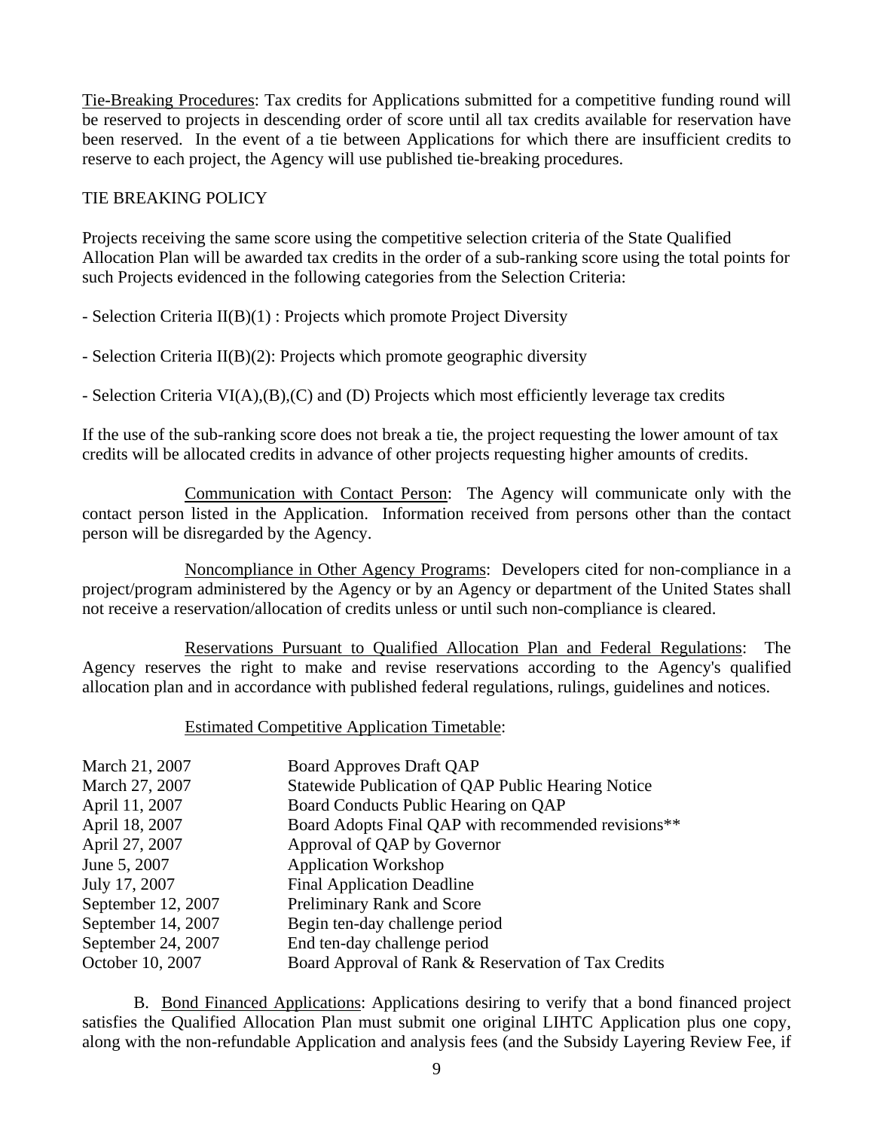Tie-Breaking Procedures: Tax credits for Applications submitted for a competitive funding round will be reserved to projects in descending order of score until all tax credits available for reservation have been reserved. In the event of a tie between Applications for which there are insufficient credits to reserve to each project, the Agency will use published tie-breaking procedures.

### TIE BREAKING POLICY

Projects receiving the same score using the competitive selection criteria of the State Qualified Allocation Plan will be awarded tax credits in the order of a sub-ranking score using the total points for such Projects evidenced in the following categories from the Selection Criteria:

- Selection Criteria  $II(B)(1)$ : Projects which promote Project Diversity

- Selection Criteria II(B)(2): Projects which promote geographic diversity

- Selection Criteria VI(A),(B),(C) and (D) Projects which most efficiently leverage tax credits

If the use of the sub-ranking score does not break a tie, the project requesting the lower amount of tax redits will be allocated credits in advance of other projects requesting higher amounts of credits. c

 Communication with Contact Person: The Agency will communicate only with the contact person listed in the Application. Information received from persons other than the contact person will be disregarded by the Agency.

 Noncompliance in Other Agency Programs: Developers cited for non-compliance in a project/program administered by the Agency or by an Agency or department of the United States shall not receive a reservation/allocation of credits unless or until such non-compliance is cleared.

Reservations Pursuant to Qualified Allocation Plan and Federal Regulations: The Agency reserves the right to make and revise reservations according to the Agency's qualified allocation plan and in accordance with published federal regulations, rulings, guidelines and notices.

## **Estimated Competitive Application Timetable:**

| March 21, 2007     | <b>Board Approves Draft QAP</b>                     |
|--------------------|-----------------------------------------------------|
| March 27, 2007     | Statewide Publication of QAP Public Hearing Notice  |
| April 11, 2007     | Board Conducts Public Hearing on QAP                |
| April 18, 2007     | Board Adopts Final QAP with recommended revisions** |
| April 27, 2007     | Approval of QAP by Governor                         |
| June 5, 2007       | <b>Application Workshop</b>                         |
| July 17, 2007      | <b>Final Application Deadline</b>                   |
| September 12, 2007 | Preliminary Rank and Score                          |
| September 14, 2007 | Begin ten-day challenge period                      |
| September 24, 2007 | End ten-day challenge period                        |
| October 10, 2007   | Board Approval of Rank & Reservation of Tax Credits |

 B. Bond Financed Applications: Applications desiring to verify that a bond financed project satisfies the Qualified Allocation Plan must submit one original LIHTC Application plus one copy, along with the non-refundable Application and analysis fees (and the Subsidy Layering Review Fee, if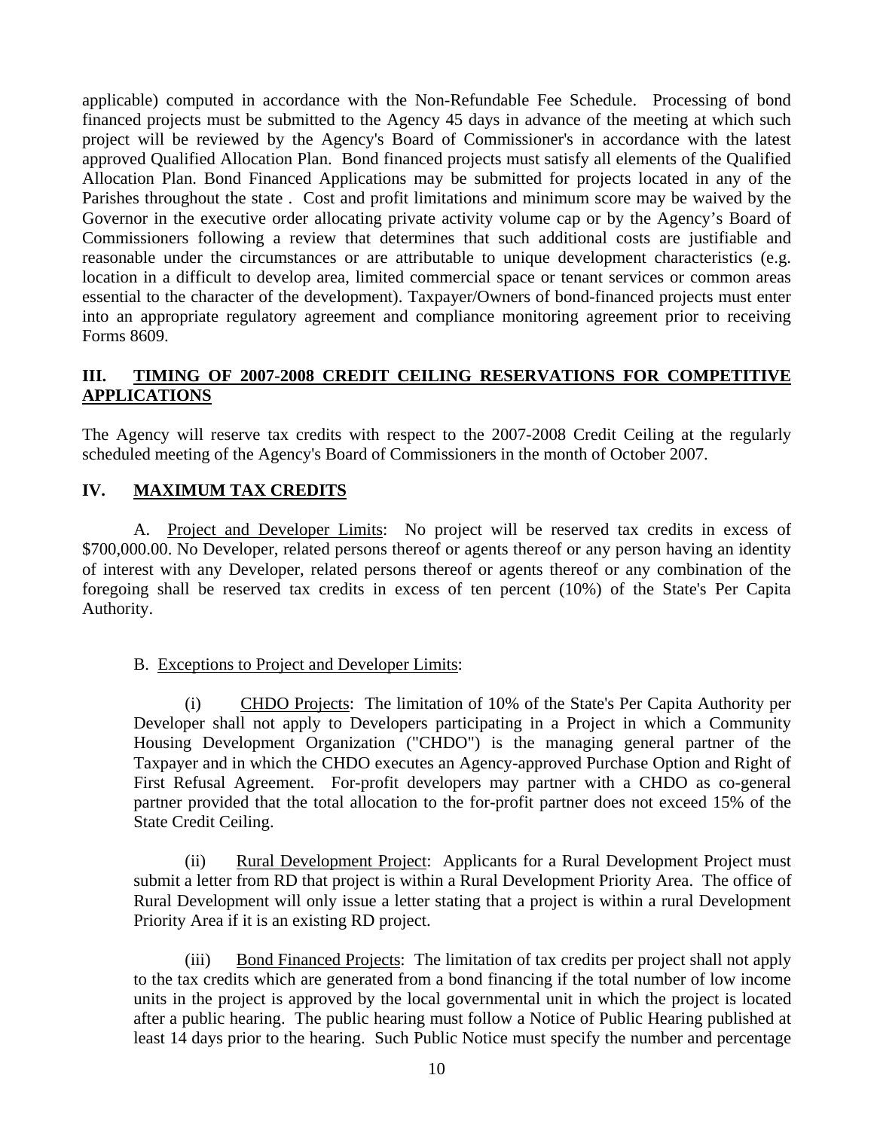Commissioners following a review that determines that such additional costs are justifiable and reasonable under the circumstances or are attributable to unique development characteristics (e.g. essential to the character of the development). Taxpayer/Owners of bond-financed projects must enter into an appropriate regulatory agreement and compliance monitoring agreement prior to receiving applicable) computed in accordance with the Non-Refundable Fee Schedule. Processing of bond financed projects must be submitted to the Agency 45 days in advance of the meeting at which such project will be reviewed by the Agency's Board of Commissioner's in accordance with the latest approved Qualified Allocation Plan. Bond financed projects must satisfy all elements of the Qualified Allocation Plan. Bond Financed Applications may be submitted for projects located in any of the Parishes throughout the state . Cost and profit limitations and minimum score may be waived by the Governor in the executive order allocating private activity volume cap or by the Agency's Board of location in a difficult to develop area, limited commercial space or tenant services or common areas Forms 8609.

#### **II. TIMING OF 2007-2008 CREDIT CEILING RESERVATIONS FOR COMPETITIVE I APPLICATIONS**

The Agency will reserve tax credits with respect to the 2007-2008 Credit Ceiling at the regularly scheduled meeting of the Agency's Board of Commissioners in the month of October 2007.

## **IV. MAXIMUM TAX CREDITS**

A. Project and Developer Limits: No project will be reserved tax credits in excess of  $$700,000.00$ . No Developer, related persons thereof or agents thereof or any person having an identity of interest with any Developer, related persons thereof or agents thereof or any combination of the foregoing shall be reserved tax credits in excess of ten percent (10%) of the State's Per Capita Author ity.

## B. Exceptions to Project and Developer Limits:

 (i) CHDO Projects: The limitation of 10% of the State's Per Capita Authority per Developer shall not apply to Developers participating in a Project in which a Community Housing Development Organization ("CHDO") is the managing general partner of the Taxpayer and in which the CHDO executes an Agency-approved Purchase Option and Right of First Refusal Agreement. For-profit developers may partner with a CHDO as co-general partner provided that the total allocation to the for-profit partner does not exceed 15% of the State Credit Ceiling.

 (ii) Rural Development Project: Applicants for a Rural Development Project must submit a letter from RD that project is within a Rural Development Priority Area. The office of Rural Development will only issue a letter stating that a project is within a rural Development Priority Area if it is an existing RD project.

 (iii) Bond Financed Projects: The limitation of tax credits per project shall not apply to the tax credits which are generated from a bond financing if the total number of low income units in the project is approved by the local governmental unit in which the project is located after a public hearing. The public hearing must follow a Notice of Public Hearing published at le ast 14 days prior to the hearing. Such Public Notice must specify the number and percentage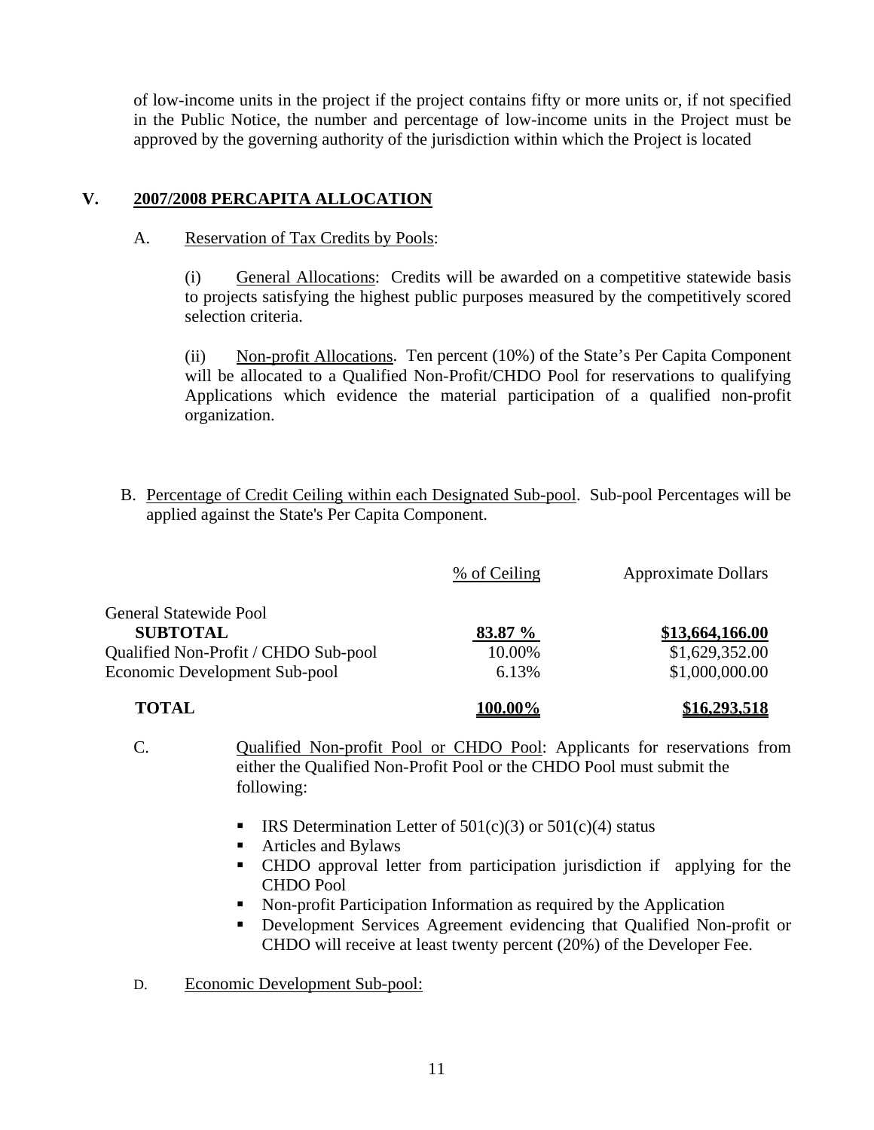of low-income units in the project if the project contains fifty or more units or, if not specified in the Public Notice, the number and percentage of low-income units in the Project must be approved by the governing authority of the jurisdiction within which the Project is located

## **V. 2007/2 008 PERCAPITA ALLOCATION**

## A. Reservation of Tax Credits by Pools:

(i) General Allocations: Credits will be awarded on a competitive statewide basis to projects satisfying the highest public purposes measured by the competitively scored selection criteria.

 (ii) Non-profit Allocations. Ten percent (10%) of the State's Per Capita Component will be allocated to a Qualified Non-Profit/CHDO Pool for reservations to qualifying Applications which evidence the material participation of a qualified non-profit organization.

B. Percentage of Credit Ceiling within each Designated Sub-pool. Sub-pool Percentages will be applied against the State's Per Capita Component.

|                                      | % of Ceiling | <b>Approximate Dollars</b> |
|--------------------------------------|--------------|----------------------------|
| <b>General Statewide Pool</b>        |              |                            |
| <b>SUBTOTAL</b>                      | 83.87 %      | \$13,664,166.00            |
| Qualified Non-Profit / CHDO Sub-pool | 10.00%       | \$1,629,352.00             |
| Economic Development Sub-pool        | 6.13%        | \$1,000,000.00             |
| <b>TOTAL</b>                         | $100.00\%$   | \$16,293,518               |

- C. Qualified Non-profit Pool or CHDO Pool: Applicants for reservations from either the Qualified Non-Profit Pool or the CHDO Pool must submit the foll owing:
	- **IRS** Determination Letter of  $501(c)(3)$  or  $501(c)(4)$  status
	- $\blacksquare$ Articles and Bylaws
	- CHDO approval letter from participation jurisdiction if applying for the CHDO Pool
	- Non-profit Participation Information as required by the Application
	- Development Services Agreement evidencing that Qualified Non-profit or CHDO will receive at least twenty percent (20%) of the Developer Fee.

D. Economic Development Sub-pool: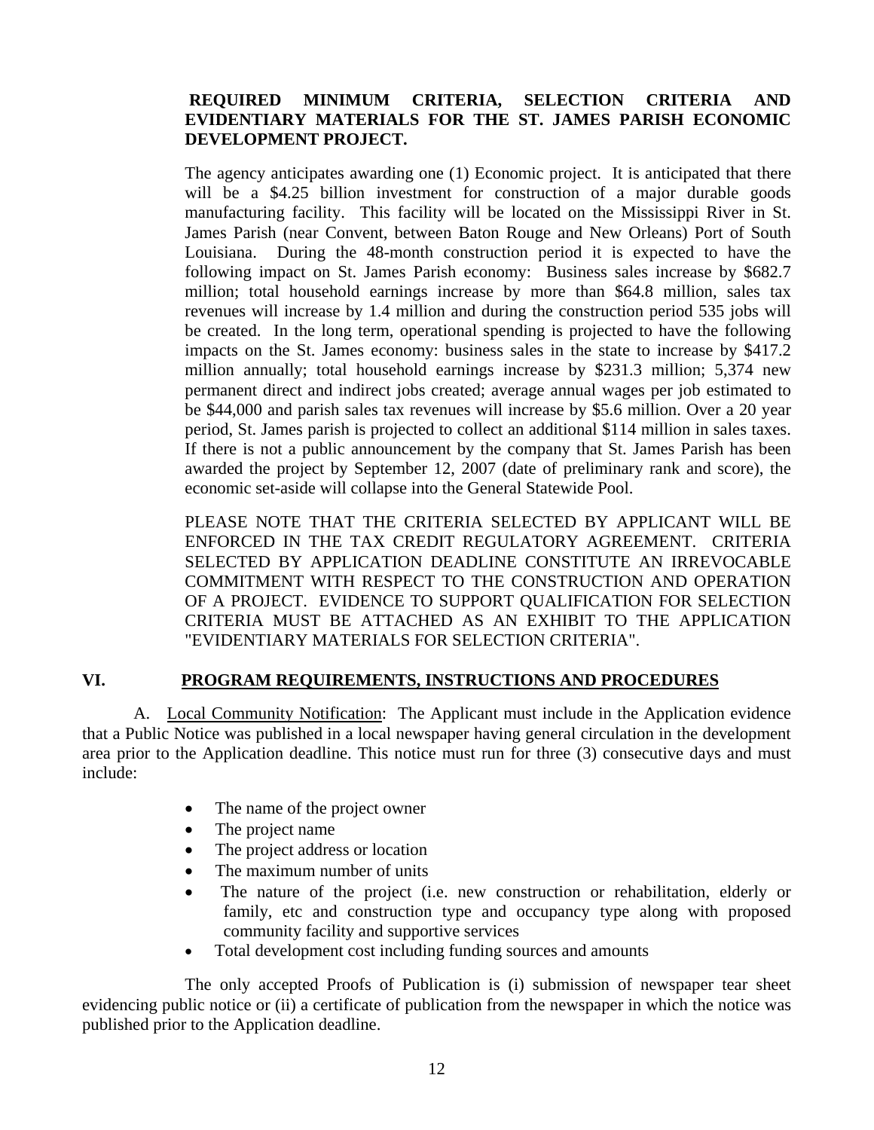## **REQUIRED MINIMUM CRITERIA, SELECTION CRITERIA AND EVIDENTIARY MATERIALS FOR THE ST. JAMES PARISH ECONOMIC DEVELOPMENT PROJECT.**

million annually; total household earnings increase by \$231.3 million; 5,374 new The agency anticipates awarding one (1) Economic project. It is anticipated that there will be a \$4.25 billion investment for construction of a major durable goods manufacturing facility. This facility will be located on the Mississippi River in St. James Parish (near Convent, between Baton Rouge and New Orleans) Port of South Louisiana. During the 48-month construction period it is expected to have the following impact on St. James Parish economy: Business sales increase by \$682.7 million; total household earnings increase by more than \$64.8 million, sales tax revenues will increase by 1.4 million and during the construction period 535 jobs will be created. In the long term, operational spending is projected to have the following impacts on the St. James economy: business sales in the state to increase by \$417.2 permanent direct and indirect jobs created; average annual wages per job estimated to be \$44,000 and parish sales tax revenues will increase by \$5.6 million. Over a 20 year period, St. James parish is projected to collect an additional \$114 million in sales taxes. If there is not a public announcement by the company that St. James Parish has been awarded the project by September 12, 2007 (date of preliminary rank and score), the economic set-aside will collapse into the General Statewide Pool.

PLEASE NOTE THAT THE CRITERIA SELECTED BY APPLICANT WILL BE ENFORCED IN THE TAX CREDIT REGULATORY AGREEMENT. CRITERIA "EVIDENTIARY MATERIALS FOR SELECTION CRITERIA". SELECTED BY APPLICATION DEADLINE CONSTITUTE AN IRREVOCABLE COMMITMENT WITH RESPECT TO THE CONSTRUCTION AND OPERATION OF A PROJECT. EVIDENCE TO SUPPORT QUALIFICATION FOR SELECTION CRITERIA MUST BE ATTACHED AS AN EXHIBIT TO THE APPLICATION

## VI. PROGRAM REQUIREMENTS, INSTRUCTIONS AND PROCEDURES

 A. Local Community Notification: The Applicant must include in the Application evidence that a Public Notice was published in a local newspaper having general circulation in the development area prior to the Application deadline. This notice must run for three (3) consecutive days and must include:

- The name of the project owner
- $\bullet$ The project name
- The project address or location
- The maximum number of units
- The nature of the project (i.e. new construction or rehabilitation, elderly or family, etc and construction type and occupancy type along with proposed community facility and supportive services
- Total development cost including funding sources and amounts

 The on ly accepted Proofs of Publication is (i) submission of newspaper tear sheet evidencing public notice or (ii) a certificate of publication from the newspaper in which the notice was published prior to the Application deadline.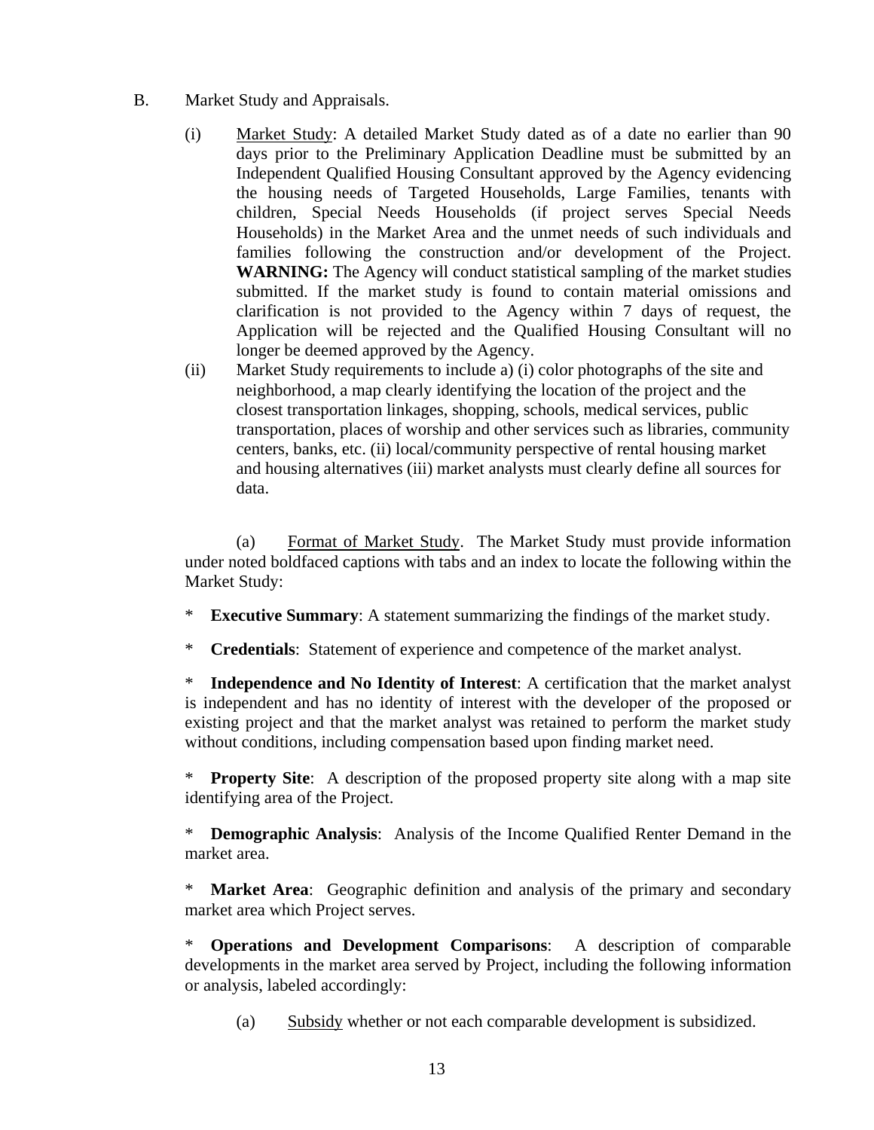- B. Market Study and Appraisals.
	- (i) Market Study: A detailed Market Study dated as of a date no earlier than 90 days prior to the Preliminary Application Deadline must be submitted by an Independent Qualified Housing Consultant approved by the Agency evidencing the housing needs of Targeted Households, Large Families, tenants with children, Special Needs Households (if project serves Special Needs Households) in the Market Area and the unmet needs of such individuals a nd families following the construction and/or development of the Project. WARNING: The Agency will conduct statistical sampling of the market studies submitted. If the market study is found to contain material omissions and clarification is not provided to the Agency within 7 days of request, the Application will be rejected and the Qualified Housing Consultant will no longer be deemed approved by the Agency.
	- i) Market Study requirements to include a) (i) color photographs of the site and neighborhood, a map clearly identifying the location of the project and the centers, banks, etc. (ii) local/community perspective of rental housing market  $(ii)$ closest transportation linkages, shopping, schools, medical services, public transportation, places of worship and other services such as libraries, community and housing alternatives (iii) market analysts must clearly define all sources for data.

 (a) Format of Market Study. The Market Study must provide information under noted boldfaced captions with tabs and an index to locate the following within the Market Study:

- \* **Executive Summary**: A statement summarizing the findings of the market study.
- \* **Credentials**: Statement of experience and competence of the market analyst.

**Independence and No Identity of Interest:** A certification that the market analyst existing project and that the market analyst was retained to perform the market study is independent and has no identity of interest with the developer of the proposed or without conditions, including compensation based upon finding market need.

\* **Property Site:** A description of the proposed property site along with a map site identifying area of the Project.

\* **Demographic Analysis**: Analysis of the Income Qualified Renter Demand in the market area.

\* Market Area: Geographic definition and analysis of the primary and secondary market area which Project serves.

\* **Operations and Development Comparisons**: A description of comparable develop ments in the market area served by Project, including the following information or anal ysis, labeled accordingly:

 (a) Subsidy whether or not each comparable development is subsidized.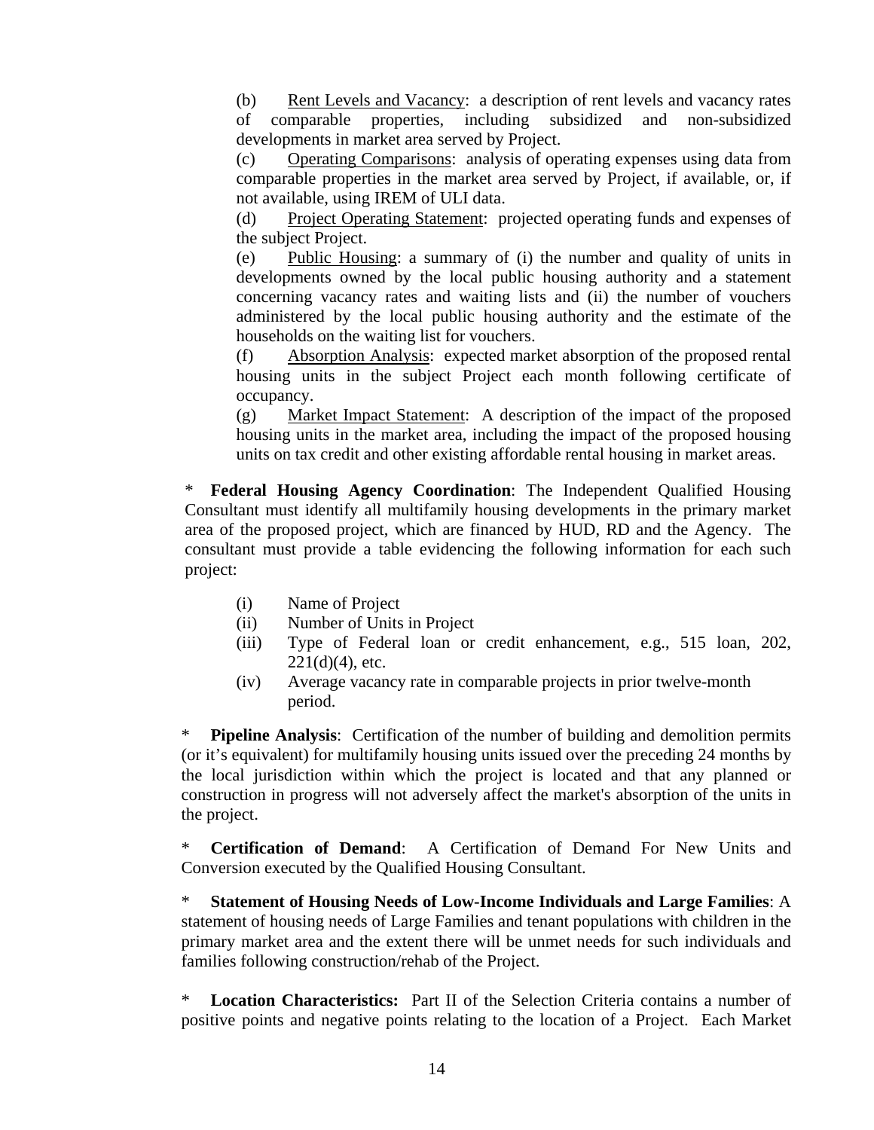(b) Rent Levels and Vacancy: a description of rent levels and vacancy rates of comparable properties, including subsidized and non-subsidized developments in market area served by Project.

(c) Operating Comparisons: analysis of operating expenses using data from comparable properties in the market area served by Project, if available, or, if not available, using IREM of ULI data.

(d) Project Operating Statement: projected operating funds and expenses of the subject Project.

(e) Public Housing: a summary of (i) the number and quality of units in developments owned by the local public housing authority and a statement concerning vacancy rates and waiting lists and (ii) the number of vouchers administered by the local public housing authority and the estimate of the households on the waiting list for vouchers.

(f) Absorption Analysis: expected market absorption of the proposed rental housing units in the subject Project each month following certificate of occupancy.

(g) Market Impact Statement: A description of the impact of the proposed housing units in the market area, including the impact of the proposed housing units on tax credit and other existing affordable rental housing in market areas.

\* **Fed eral Housing Agency Coordination**: The Independent Qualified Housing Consultant must identify all multifamily housing developments in the primary market area of the proposed project, which are financed by HUD, RD and the Agency. The consultant must provide a table evidencing the following information for each such project:

- (i) Name of Project
- (ii) Number of Units in Project
- $221(d)(4)$ , etc. (iii) Type of Federal loan or credit enhancement, e.g., 515 loan, 202,
- (iv) Average vacancy rate in comparable projects in prior twelve-month period.

**Pipeline Analysis:** Certification of the number of building and demolition permits (or it's equivalent) for multifamily housing units issued over the preceding 24 months by the local jurisdiction within which the project is located and that any planned or construction in progress will not adversely affect the market's absorption of the units in the project.

**Certification of Demand:** A Certification of Demand For New Units and Conversion executed by the Qualified Housing Consultant.

<sup>\*</sup> Statement of Housing Needs of Low-Income Individuals and Large Families: A statement of housing needs of Large Families and tenant populations with children in the primary market area and the extent there will be unmet needs for such individuals and families following construction/rehab of the Project.

\* Location Characteristics: Part II of the Selection Criteria contains a number of positive points and negative points relating to the location of a Project. Each Market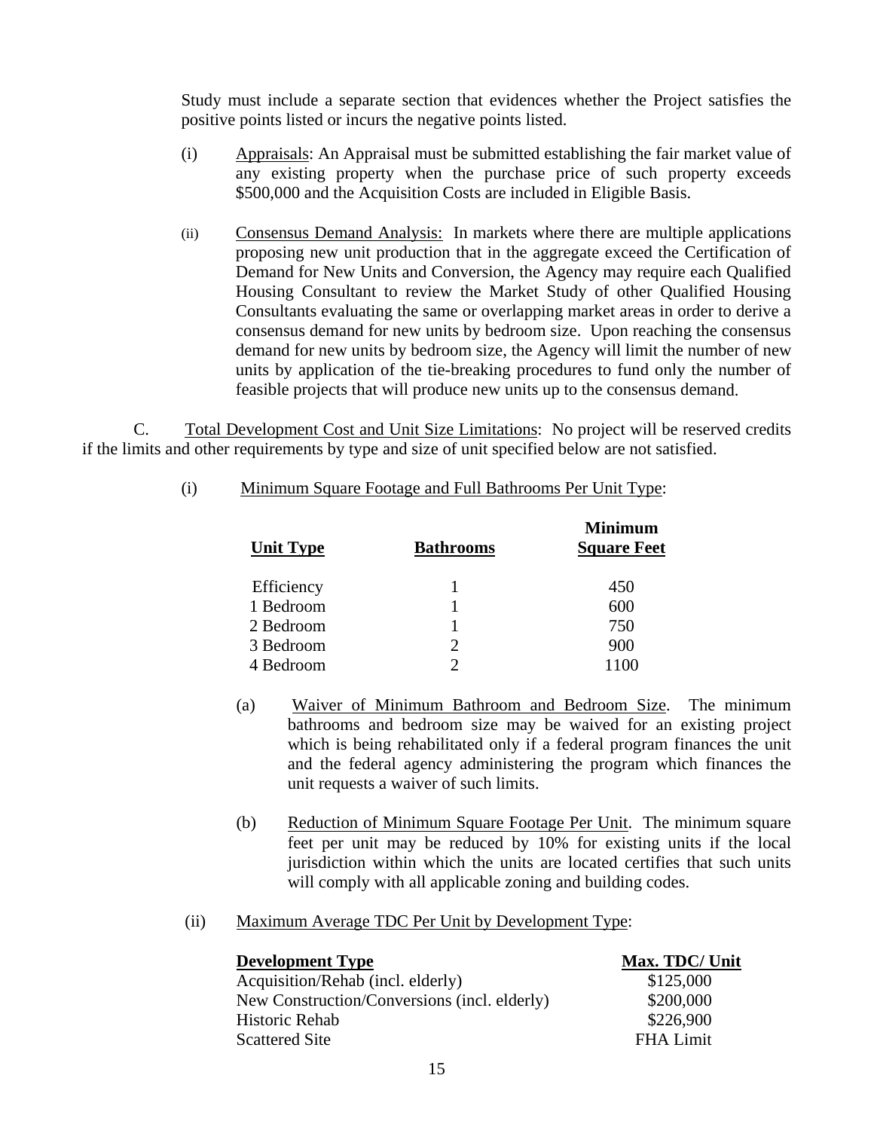Study m ust include a separate section that evidences whether the Project satisfies the positive points listed or incurs the negative points listed.

- (i) Appraisals: An Appraisal must be submitted establishing the fair market value of any existing property when the purchase price of such property exceeds \$500,000 and the Acquisition Costs are included in Eligible Basis.
- (ii) Consensus Demand Analysis: In markets where there are multiple applications Housing Consultant to review the Market Study of other Qualified Housing Consultants evaluating the same or overlapping market areas in order to derive a consensus demand for new units by bedroom size. Upon reaching the consensus demand for new units by bedroom size, the Agency will limit the number of new feasible projects that will produce new units up to the consensus demand. proposing new unit production that in the aggregate exceed the Certification of Demand for New Units and Conversion, the Agency may require each Qualified units by application of the tie-breaking procedures to fund only the number of

 C. Total Development Cost and Unit Size Limitations: No project will be reserved credits if the limits and other requirements by type and size of unit specified below are not satisfied.

| <b>Unit Type</b> | <b>Bathrooms</b> | <b>Minimum</b><br><b>Square Feet</b> |
|------------------|------------------|--------------------------------------|
| Efficiency       |                  | 450                                  |
| 1 Bedroom        |                  | 600                                  |
| 2 Bedroom        |                  | 750                                  |
| 3 Bedroom        | $\overline{2}$   | 900                                  |
| 4 Bedroom        |                  | 1100                                 |

(i) Minimum Square Footage and Full Bathrooms Per Unit Type:

- (a) Waiver of Minimum Bathroom and Bedroom Size. The minimum bathrooms and bedroom size may be waived for an existing project which is being rehabilitated only if a federal program finances the unit and the federal agency administering the program which finances the unit requests a waiver of such limits.
- (b) Reduction of Minimum Square Footage Per Unit. The minimum square feet per unit may be reduced by 10% for existing units if the local jurisdiction within which the units are located certifies that such units will comply with all applicable zoning and building codes.

#### (ii) Maximum Average TDC Per Unit by Development Type:

| <b>Development Type</b>                      | Max. TDC/ Unit   |
|----------------------------------------------|------------------|
| Acquisition/Rehab (incl. elderly)            | \$125,000        |
| New Construction/Conversions (incl. elderly) | \$200,000        |
| Historic Rehab                               | \$226,900        |
| <b>Scattered Site</b>                        | <b>FHA Limit</b> |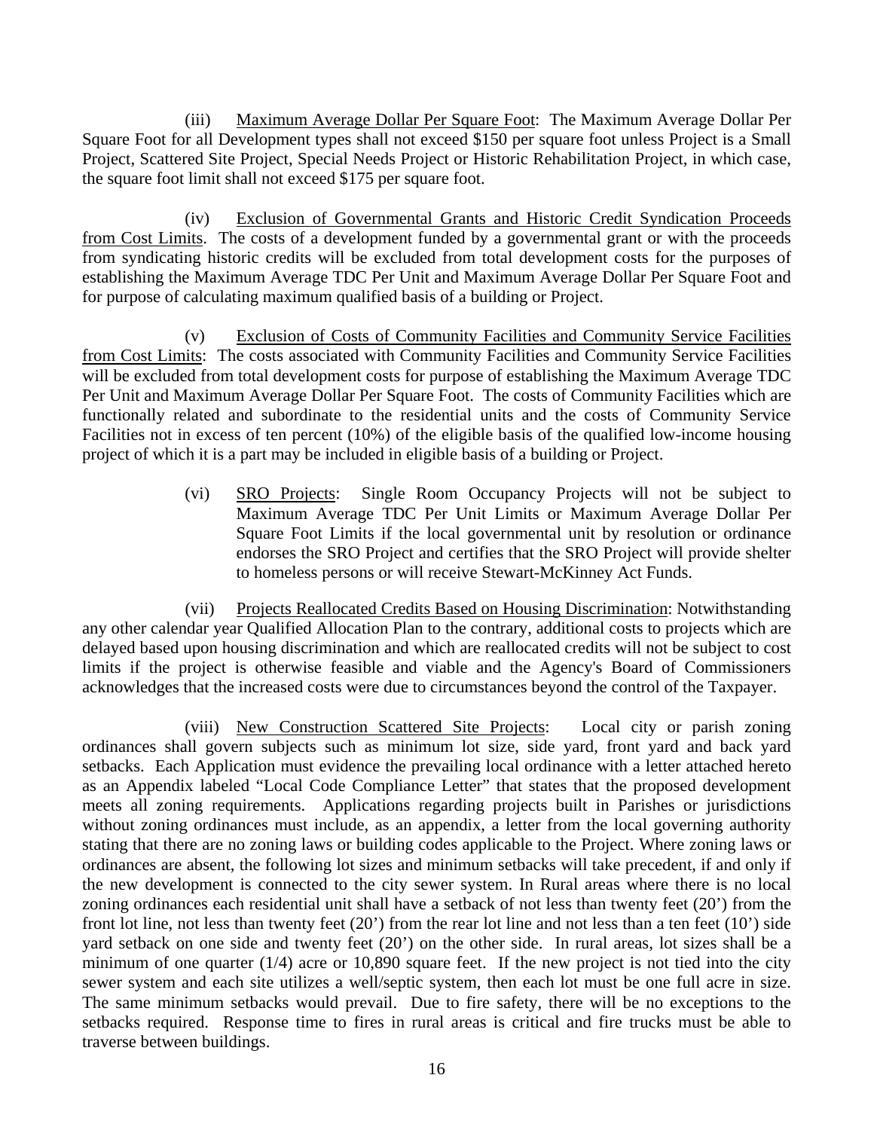(iii) Maximum Average Dollar Per Square Foot: The Maximum Average Dollar Per Square Foot for all Development types shall not exceed \$150 per square foot unless Project is a Small Project, Scattered Site Project, Special Needs Project or Historic Rehabilitation Project, in which case, the square foot limit shall not exceed \$175 per square foot.

 (iv) Exclusion of Governmental Grants and Historic Credit Syndication Proceeds from Cost Limits. The costs of a development funded by a governmental grant or with the proceeds from syndicating historic credits will be excluded from total development costs for the purposes of establishing the Maximum Average TDC Per Unit and Maximum Average Dollar Per Square Foot and for purpose of calculating maximum qualified basis of a building or Project.

 (v) Exclusion of Costs of Community Facilities and Community Service Facilities from Cost Limits: The costs associated with Community Facilities and Community Service Facilities will be excluded from total development costs for purpose of establishing the Maximum Average TDC Per Unit and Maximum Average Dollar Per Square Foot. The costs of Community Facilities which are functionally related and subordinate to the residential units and the costs of Community Service Facilities not in excess of ten percent (10%) of the eligible basis of the qualified low-income housing project of which it is a part may be included in eligible basis of a building or Project.

> (vi) SRO Projects: Single Room Occupancy Projects will not be subject to Maximum Average TDC Per Unit Limits or Maximum Average Dollar Per Square Foot Limits if the local governmental unit by resolution or ordinance endorses the SRO Project and certifies that the SRO Project will provide shelter to homeless persons or will receive Stewart-McKinney Act Funds.

 (vii) Projects Reallocated Credits Based on Housing Discrimination: Notwithstanding any other calendar year Qualified Allocation Plan to the contrary, additional costs to projects which are delayed based upon housing discrimination and which are reallocated credits will not be subject to cost limits if the project is otherwise feasible and viable and the Agency's Board of Commissioners acknowledges that the increased costs were due to circumstances beyond the control of the Taxpayer.

 (viii) New Construction Scattered Site Projects: Local city or parish zoning ordinances shall govern subjects such as minimum lot size, side yard, front yard and back yard setbacks. Each Application must evidence the prevailing local ordinance with a letter attached hereto as an Appendix labeled "Local Code Compliance Letter" that states that the proposed development meets all zoning requirements. Applications regarding projects built in Parishes or jurisdictions without zoning ordinances must include, as an appendix, a letter from the local governing authority stating that there are no zoning laws or building codes applicable to the Project. Where zoning laws or ordinances are absent, the following lot sizes and minimum setbacks will take precedent, if and only if front lot line, not less than twenty feet  $(20')$  from the rear lot line and not less than a ten feet  $(10')$  side traverse between buildings. the new development is connected to the city sewer system. In Rural areas where there is no local zoning ordinances each residential unit shall have a setback of not less than twenty feet (20') from the yard setback on one side and twenty feet (20') on the other side. In rural areas, lot sizes shall be a minimum of one quarter (1/4) acre or 10,890 square feet. If the new project is not tied into the city sewer system and each site utilizes a well/septic system, then each lot must be one full acre in size. The same minimum setbacks would prevail. Due to fire safety, there will be no exceptions to the setbacks required. Response time to fires in rural areas is critical and fire trucks must be able to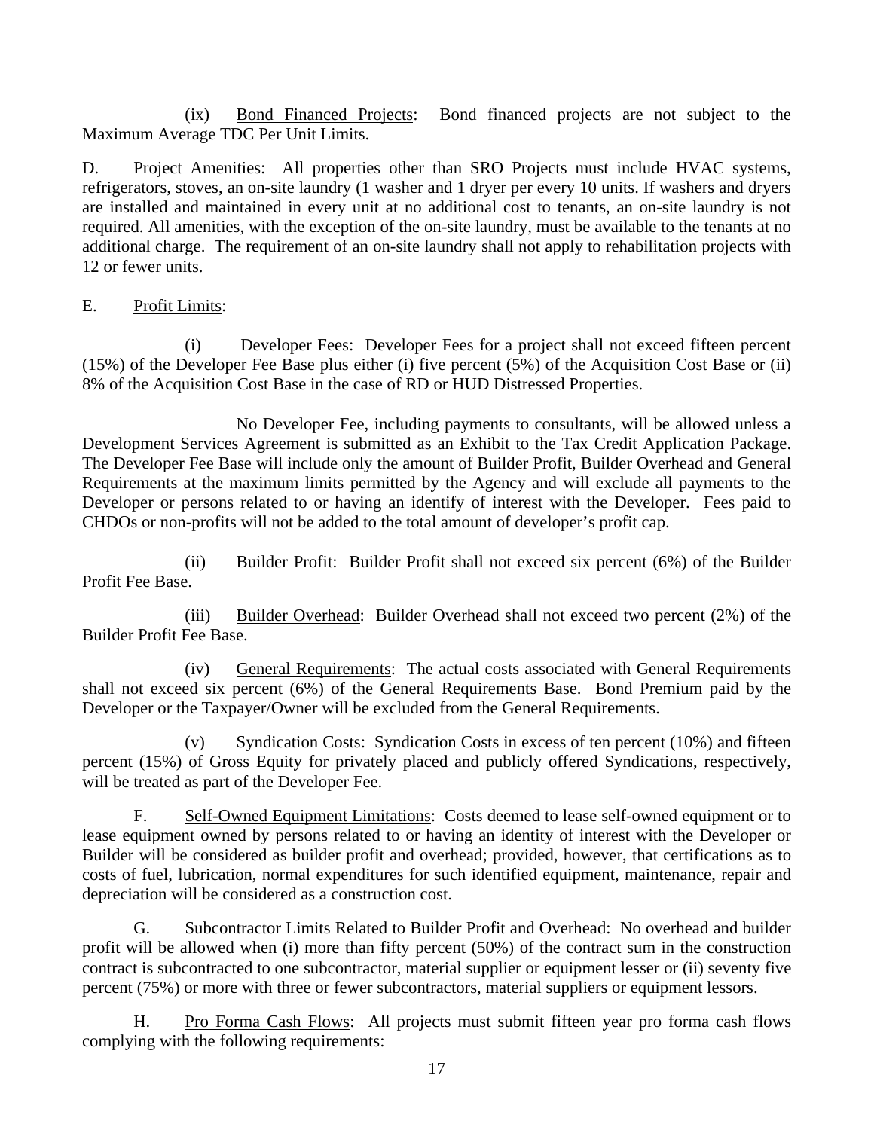(ix) Bond Financed Projects: Bond financed projects are not subject to the Maximum Average TDC Per Unit Limits.

D. Project Amenities: All properties other than SRO Projects must include HVAC systems, additional charge. The requirement of an on-site laundry shall not apply to rehabilitation projects with 12 or fewer units. refrigerators, stoves, an on-site laundry (1 washer and 1 dryer per every 10 units. If washers and dryers are installed and maintained in every unit at no additional cost to tenants, an on-site laundry is not required. All amenities, with the exception of the on-site laundry, must be available to the tenants at no

## E. Profit Limits:

 (i) Developer Fees: Developer Fees for a project shall not exceed fifteen percent (15%) of the Developer Fee Base plus either (i) five percent (5%) of the Acquisition Cost Base or (ii) 8% of the Acquisition Cost Base in the case of RD or HUD Distressed Properties.

 No Developer Fee, including payments to consultants, will be allowed unless a Development Services Agreement is submitted as an Exhibit to the Tax Credit Application Package. Developer or persons related to or having an identify of interest with the Developer. Fees paid to The Developer Fee Base will include only the amount of Builder Profit, Builder Overhead and General Requirements at the maximum limits permitted by the Agency and will exclude all payments to the CHDOs or non-profits will not be added to the total amount of developer's profit cap.

 (ii) Builder Profit: Builder Profit shall not exceed six percent (6%) of the Builder Profit Fee Base.

 (iii) Builder Overhead: Builder Overhead shall not exceed two percent (2%) of the Builder Profit Fee Base.

 (iv) General Requirements: The actual costs associated with General Requirements shall not exceed six percent (6%) of the General Requirements Base. Bond Premium paid by the Developer or the Taxpayer/Owner will be excluded from the General Requirements.

(v) Syndication Costs: Syndication Costs in excess of ten percent (10%) and fifteen percent (15%) of Gross Equity for privately placed and publicly offered Syndications, respectively, will be treated as part of the Developer Fee.

 F. Self-Owned Equipment Limitations: Costs deemed to lease self-owned equipment or to lease equipment owned by persons related to or having an identity of interest with the Developer or Builder will be considered as builder profit and overhead; provided, however, that certifications as to costs of fuel, lubrication, normal expenditures for such identified equipment, maintenance, repair and depreciation will be considered as a construction cost.

 G. Subcontractor Limits Related to Builder Profit and Overhead: No overhead and builder profit will be allowed when (i) more than fifty percent (50%) of the contract sum in the construction contract is subcontracted to one subcontractor, material supplier or equipment lesser or (ii) seventy five percent (75%) or more with three or fewer subcontractors, material suppliers or equipment lessors.

 H. Pro Forma Cash Flows: All projects must submit fifteen year pro forma cash flows complying with the following requirements: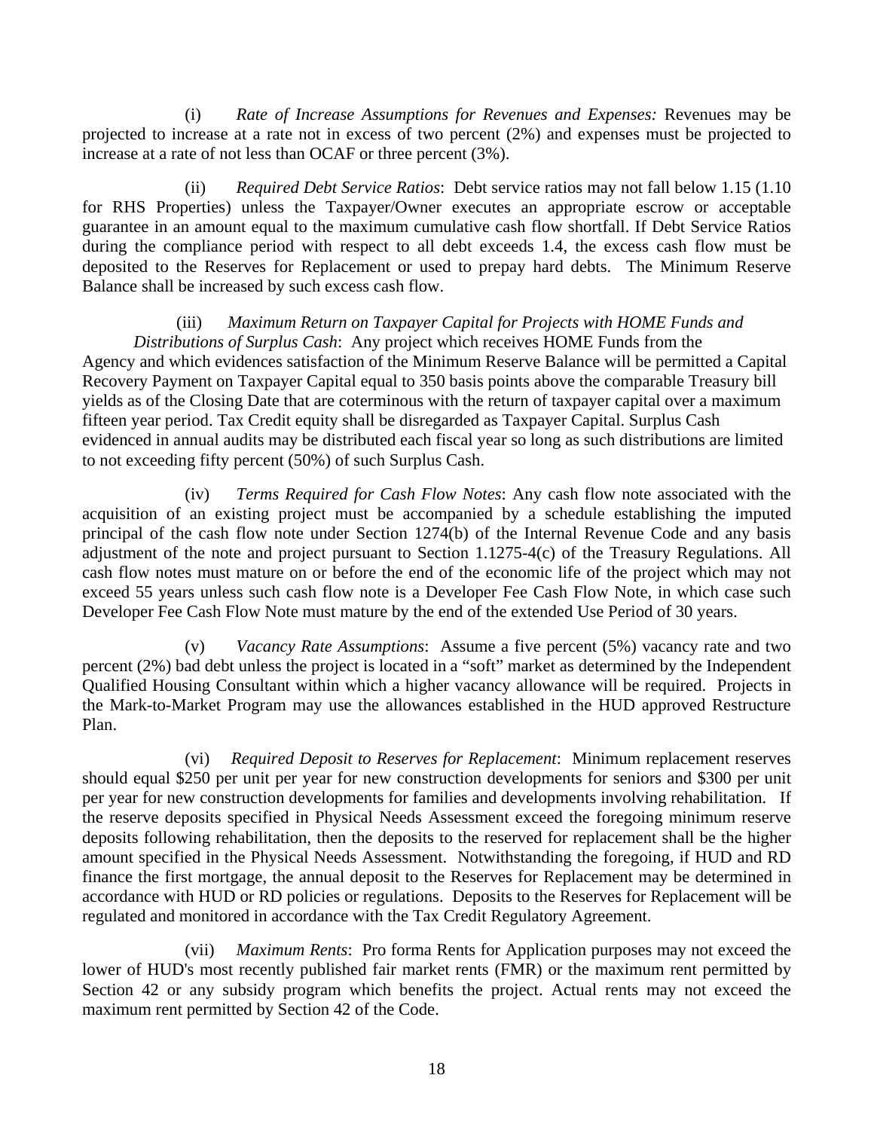increase at a rate of not less than OCAF or three percent  $(3\%)$ . (i) *Rate of Increase Assumptions for Revenues and Expenses:* Revenues may be projected to increase at a rate not in excess of two percent (2%) and expenses must be projected to

(ii) *Required Debt Service Ratios*: Debt service ratios may not fall below 1.15 (1.10) for RHS Properties) unless the Taxpayer/Owner executes an appropriate escrow or acceptable guarantee in an amount equal to the maximum cumulative cash flow shortfall. If Debt Service Ratios during the compliance period with respect to all debt exceeds 1.4, the excess cash flow must be deposited to the Reserves for Replacement or used to prepay hard debts. The Minimum Reserve Balance shall be increased by such excess cash flow.

# *for Projects with HOME Funds and*  (iii) *Maximum Return on Taxpayer Capital Distributions of Surplus Cash*: Any project which receives HOME Funds from the Agency and which evidences satisfaction of the Minimum Reserve Balance will be permitted a Capital

Recovery Payment on Taxpayer Capital equal to 350 basis points above the comparable Treasury bill yields as of the Closing Date that are coterminous with the return of taxpayer capital over a maximum fifteen year period. Tax Credit equity shall be disregarded as Taxpayer Capital. Surplus Cash evidenced in annual audits may be distributed each fiscal year so long as such distributions are limited to not exceeding fifty percent (50%) of such Surplus Cash.

exceed 55 years unless such cash flow note is a Developer Fee Cash Flow Note, in which case such Developer Fee Cash Flow Note must mature by the end of the extended Use Period of 30 years. (iv) *Terms Required for Cash Flow Notes*: Any cash flow note associated with the acquisition of an existing project must be accompanied by a schedule establishing the imputed principal of the cash flow note under Section 1274(b) of the Internal Revenue Code and any basis adjustment of the note and project pursuant to Section 1.1275-4(c) of the Treasury Regulations. All cash flow notes must mature on or before the end of the economic life of the project which may not

 (v) *Vacancy Rate Assumptions*: Assume a five percent (5%) vacancy rate and two percent (2%) bad debt unless the project is located in a "soft" market as determined by the Independent Qualified Housing Consultant within which a higher vacancy allowance will be required. Projects in the Mark-to-Market Program may use the allowances established in the HUD approved Restructure Plan.

should equal \$250 per unit per year for new construction developments for seniors and \$300 per unit finance the first mortgage, the annual deposit to the Reserves for Replacement may be determined in (vi) *Required Deposit to Reserves for Replacement*: Minimum replacement reserves per year for new construction developments for families and developments involving rehabilitation. If the reserve deposits specified in Physical Needs Assessment exceed the foregoing minimum reserve deposits following rehabilitation, then the deposits to the reserved for replacement shall be the higher amount specified in the Physical Needs Assessment. Notwithstanding the foregoing, if HUD and RD accordance with HUD or RD policies or regulations. Deposits to the Reserves for Replacement will be regulated and monitored in accordance with the Tax Credit Regulatory Agreement.

maximum rent permitted by Section 42 of the Code. (vii) *Maximum Rents*: Pro forma Rents for Application purposes may not exceed the lower of HUD's most recently published fair market rents (FMR) or the maximum rent permitted by Section 42 or any subsidy program which benefits the project. Actual rents may not exceed the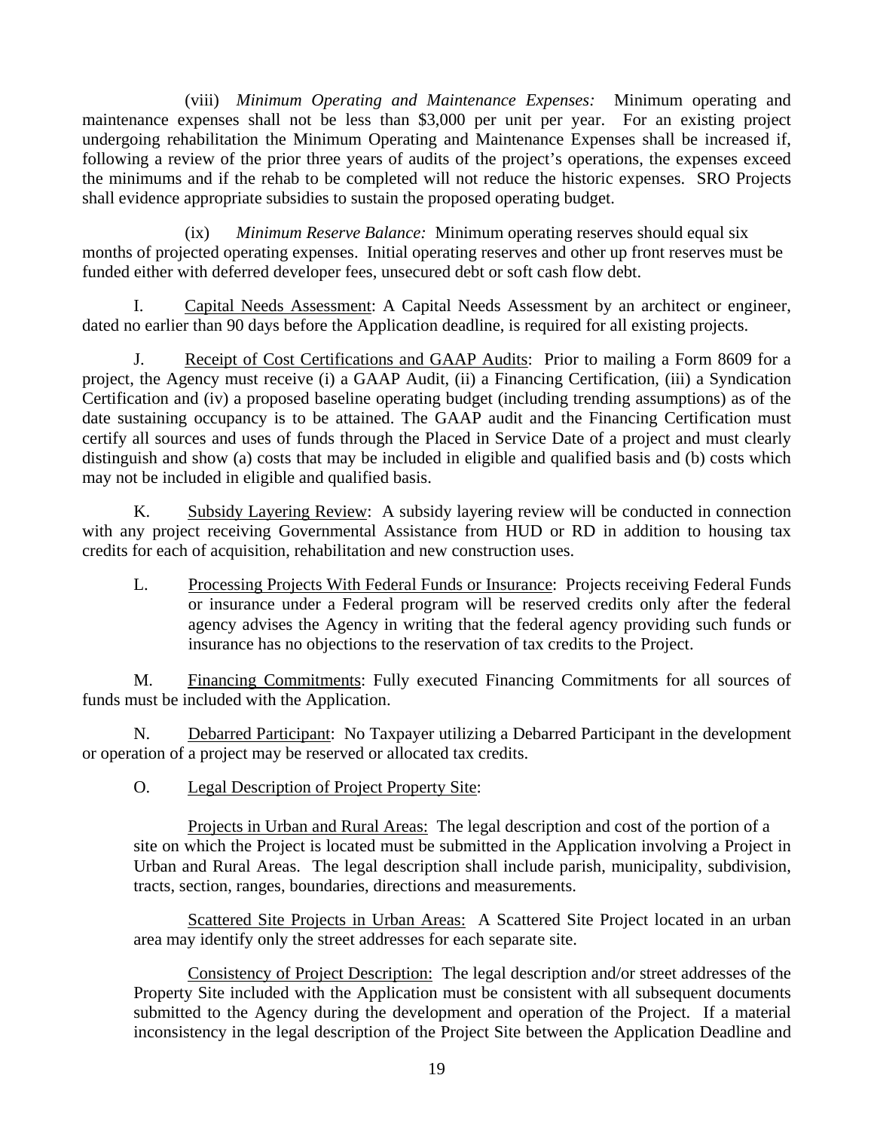(viii) *Minimum Operating and Maintenance Expenses:* Minimum operating and undergoing rehabilitation the Minimum Operating and Maintenance Expenses shall be increased if, following a review of the prior three years of audits of the project's operations, the expenses exceed maintenance expenses shall not be less than \$3,000 per unit per year. For an existing project the minimums and if the rehab to be completed will not reduce the historic expenses. SRO Projects shall evidence appropriate subsidies to sustain the proposed operating budget.

 (ix) *Minimum Reserve Balance:* Minimum operating reserves should equal six months of projected operating expenses. Initial operating reserves and other up front reserves must be funded either with deferred developer fees, unsecured debt or soft cash flow debt.

 I. Capital Needs Assessment: A Capital Needs Assessment by an architect or engineer, dated no earlier than 90 days before the Application deadline, is required for all existing projects.

J. Receipt of Cost Certifications and GAAP Audits: Prior to mailing a Form 8609 for a date sustaining occupancy is to be attained. The GAAP audit and the Financing Certification must certify all sources and uses of funds through the Placed in Service Date of a project and must clearly distinguish and show (a) costs that may be included in eligible and qualified basis and (b) costs which may not be inc luded in eligible and qualified basis. project, the Agency must receive (i) a GAAP Audit, (ii) a Financing Certification, (iii) a Syndication Certification and (iv) a proposed baseline operating budget (including trending assumptions) as of the

 K. Subsidy Layering Review: A subsidy layering review will be conducted in connection with any project receiving Governmental Assistance from HUD or RD in addition to housing tax credits for each of acquisition, rehabilitation and new construction uses.

L. Processing Projects With Federal Funds or Insurance: Projects receiving Federal Funds agency advises the Agency in writing that the federal agency providing such funds or insurance has no objections to the reservation of tax credits to the Project. or insurance under a Federal program will be reserved credits only after the federal

M. Financing Commitments: Fully executed Financing Commitments for all sources of funds must be included with the Application.

N. Debarred Participant: No Taxpayer utilizing a Debarred Participant in the development or operation of a project may be reserved or allocated tax credits.

0. Legal Description of Project Property Site:

 Projects in Urban and Rural Areas: The legal description and cost of the portion of a site on which the Project is located must be submitted in the Application involving a Project in Urban and Rural Areas. The legal description shall include parish, municipality, subdivision, tracts, section, ranges, boundaries, directions and measurements.

 Scattered Site Projects in Urban Areas: A Scattered Site Project located in an urban area may identify only the street addresses for each separate site.

 Consistency of Project Description: The legal description and/or street addresses of the inconsistency in the legal description of the Project Site between the Application Deadline and Property Site included with the Application must be consistent with all subsequent documents submitted to the Agency during the development and operation of the Project. If a material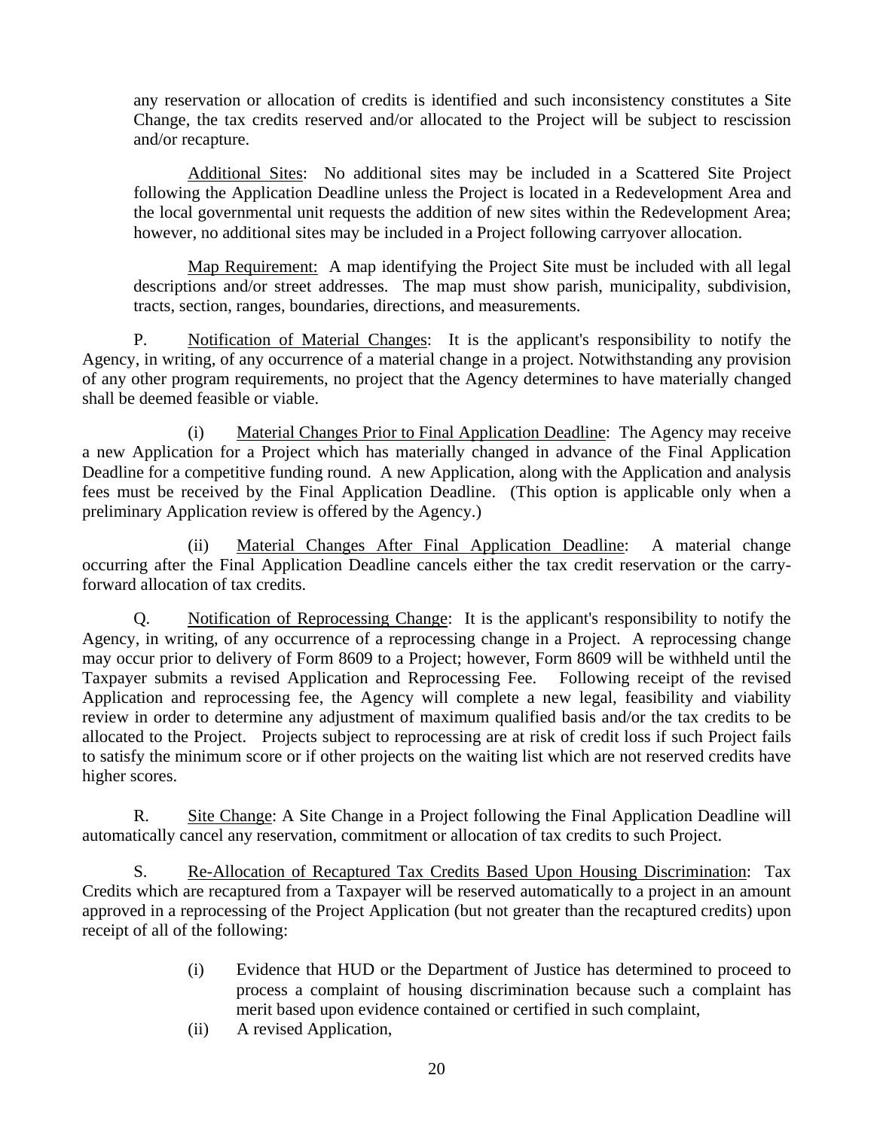Change, the tax credits reserved and/or allocated to the Project will be subject to rescission any reservation or allocation of credits is identified and such inconsistency constitutes a Site and/or recapture.

 Additional Sites: No additional sites may be included in a Scattered Site Project following the Application Deadline unless the Project is located in a Redevelopment Area and the local governmental unit requests the addition of new sites within the Redevelopment Area; however, no additional sites may be included in a Project following carryover allocation.

 Map Requirement: A map identifying the Project Site must be included with all legal descriptions and/or street addresses. The map must show parish, municipality, subdivision, tracts, section, ranges, boundaries, directions, and measurements.

P. Notification of Material Changes: It is the applicant's responsibility to notify the Agency, in writing, of any occurrence of a material change in a project. Notwithstanding any provision of any other program requirements, no project that the Agency determines to have materially changed shall be deemed feasible or viable.

 (i) Material Changes Prior to Final Application Deadline: The Agency may receive a new Application for a Project which has materially changed in advance of the Final Application Deadline for a competitive funding round. A new Application, along with the Application and analysis fees must be received by the Final Application Deadline. (This option is applicable only when a preliminary Application review is offered by the Agency.)

 (ii) Material Changes After Final Application Deadline: A material change occurring after the Final Application Deadline cancels either the tax credit reservation or the carryforward allocation of tax credits.

 Q. Notification of Reprocessing Change: It is the applicant's responsibility to notify the Agency, in writing, of any occurrence of a reprocessing change in a Project. A reprocessing change may occur prior to delivery of Form 8609 to a Project; however, Form 8609 will be withheld until the Taxpayer submits a revised Application and Reprocessing Fee. Following receipt of the revised allocated to the Project. Projects subject to reprocessing are at risk of credit loss if such Project fails to satisfy the minimum score or if other projects on the waiting list which are not reserved credits have Application and reprocessing fee, the Agency will complete a new legal, feasibility and viability review in order to determine any adjustment of maximum qualified basis and/or the tax credits to be higher scores.

 R. Site Change: A Site Change in a Project following the Final Application Deadline will automatically cancel any reservation, commitment or allocation of tax credits to such Project.

S. Re-Allocation of Recaptured Tax Credits Based Upon Housing Discrimination: Tax Credits which are recaptured from a Taxpayer will be reserved automatically to a project in an amount approved in a reprocessing of the Project Application (but not greater than the recaptured credits) upon receipt of all of the following:

- merit based upon evidence contained or certified in such complaint, (i) Evidence that HUD or the Department of Justice has determined to proceed to process a complaint of housing discrimination because such a complaint has
- (ii) A revised Application,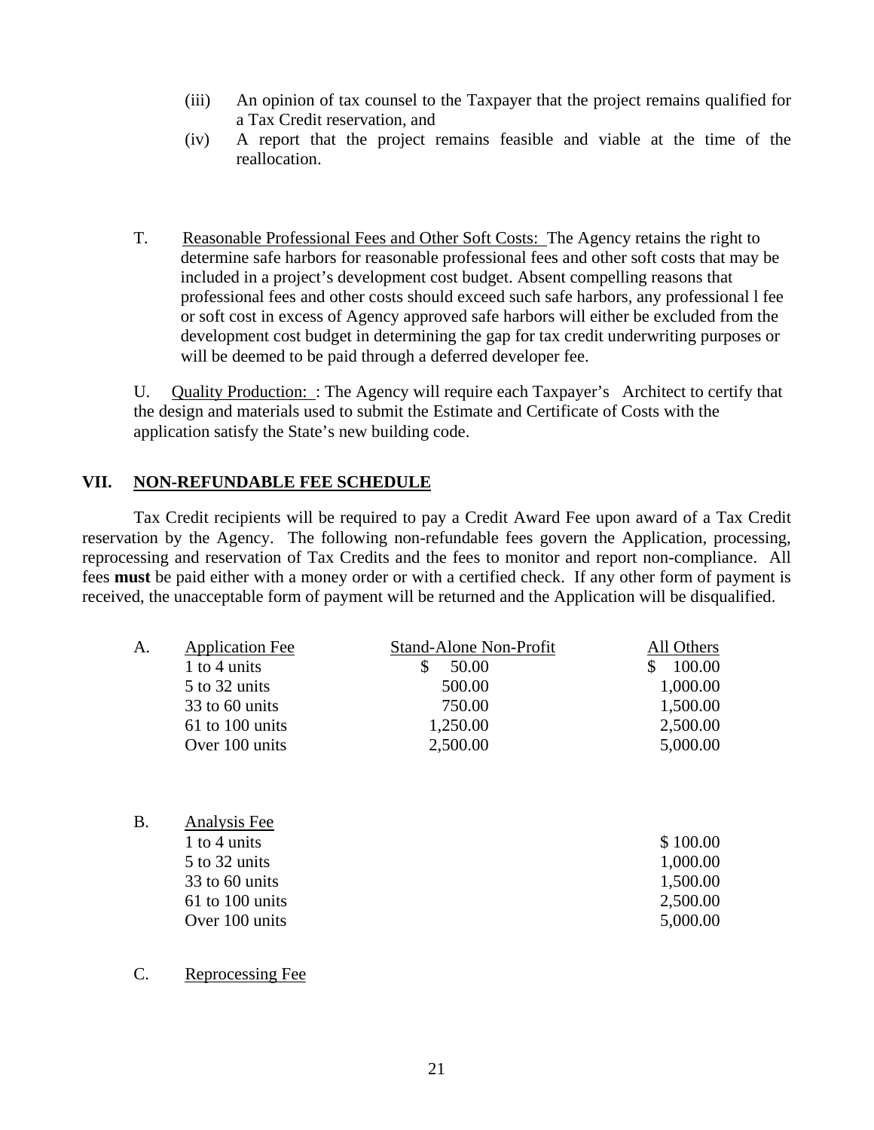- (iii) An opinion of tax counsel to the Taxpayer that the project remains qualified for a Tax Credit reservation, and
- (iv) A report that the project remains feasible and viable at the time of the reallocation.
- T. Reasonable Professional Fees and Other Soft Costs: The Agency retains the right to determine safe harbors for reasonable professional fees and other soft costs that may be professional fees and other costs should exceed such safe harbors, any professional 1 fee or soft cost in excess of Agency approved safe harbors will either be excluded from the development cost budget in determining the gap for tax credit underwriting purposes or will be deemed to be paid through a deferred developer fee. included in a project's development cost budget. Absent compelling reasons that

U. Quality Production: : The Agency will require each Taxpayer's Architect to certify that the design and materials used to submit the Estimate and Certificate of Costs with the application satisfy the State's new building code.

## **VII. NON-REFUNDABLE FEE SCHEDULE**

 Tax Credit recipients will be required to pay a Credit Award Fee upon award of a T ax Credit reservation by the Agency. The following non-refundable fees govern the Application, processing, reprocessing and reservation of Tax Credits and the fees to monitor and report non-compliance. All fees must be paid either with a money order or with a certified check. If any other form of payment is received, the unacceptable form of payment will be returned and the Application will be disqualified.

| A.        | <b>Application Fee</b><br>1 to 4 units<br>5 to 32 units<br>33 to 60 units<br>$61$ to 100 units<br>Over 100 units | <b>Stand-Alone Non-Profit</b><br>\$<br>50.00<br>500.00<br>750.00<br>1,250.00<br>2,500.00 | All Others<br>$\mathbb{S}$<br>100.00<br>1,000.00<br>1,500.00<br>2,500.00<br>5,000.00 |
|-----------|------------------------------------------------------------------------------------------------------------------|------------------------------------------------------------------------------------------|--------------------------------------------------------------------------------------|
| <b>B.</b> | Analysis Fee<br>1 to 4 units<br>5 to 32 units<br>33 to 60 units<br>61 to 100 units<br>Over 100 units             |                                                                                          | \$100.00<br>1,000.00<br>1,500.00<br>2,500.00<br>5,000.00                             |

C. Reprocessing Fee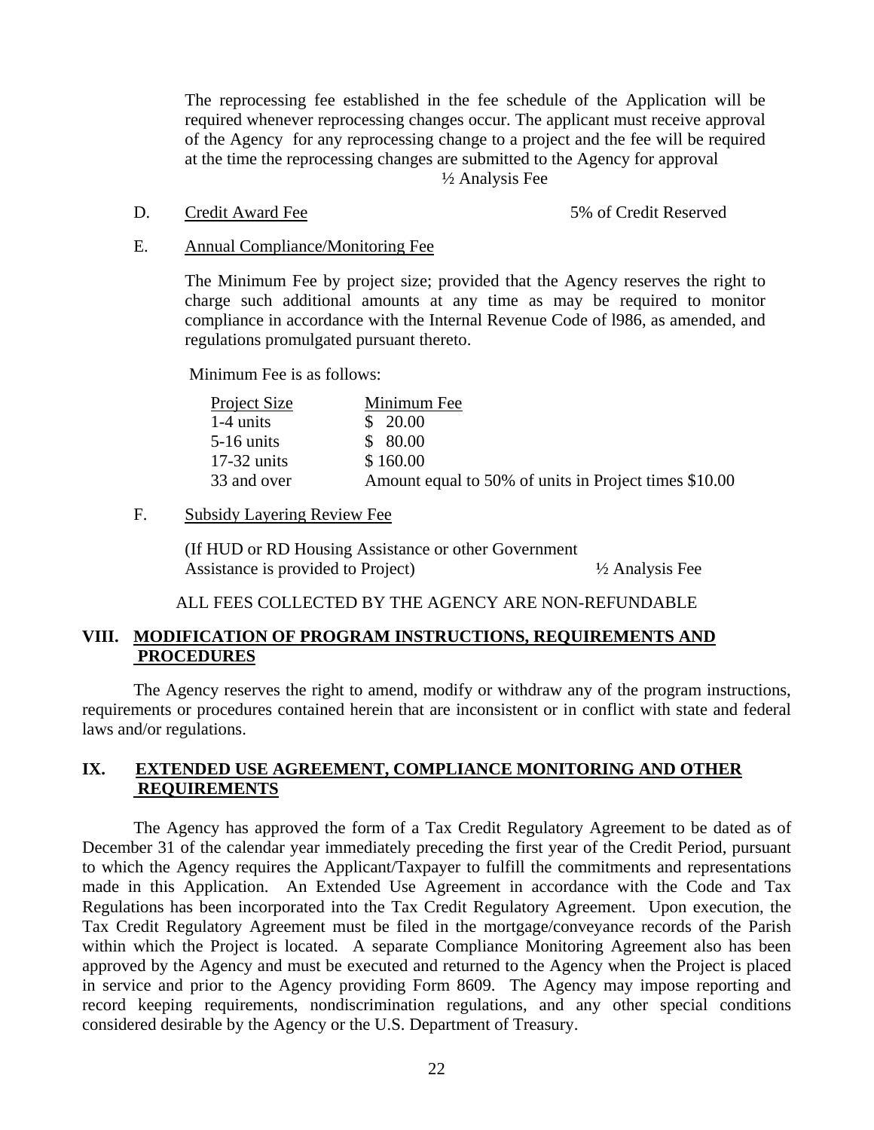at the time the reprocessing changes are submitted to the Agency for approval ½ Analysis Fee The reprocessing fee established in the fee schedule of the Application will be required whenever reprocessing changes occur. The applicant must receive approval of the Agency for any reprocessing change to a project and the fee will be required

D. Credit Award Fee 5% of Credit Reserved

#### E. Annual Compliance/Monitoring Fee

The Minimum Fee by project size; provided that the Agency reserves the right to charge such additional amounts at any time as may be required to monitor compliance in accordance with the Internal Revenue Code of 1986, as amended, and regulations promulgated pursuant thereto.

Minimum Fee is as follows:

| <b>Project Size</b> | Minimum Fee                                           |
|---------------------|-------------------------------------------------------|
| $1-4$ units         | \$20.00                                               |
| $5-16$ units        | \$80.00                                               |
| $17-32$ units       | \$160.00                                              |
| 33 and over         | Amount equal to 50% of units in Project times \$10.00 |

#### F. Subsidy Layering Review Fee

 (If HUD or RD Housing Assistance or other Government Assistance is provided to Project)  $\frac{1}{2}$  Analysis Fee

### ALL FEES COLLECTED BY THE AGENCY ARE NON-REFUNDABLE

## **VIII. MODIFICATION OF PROGRAM INSTRUCTIONS, REQUIREMENTS AND PROCEDURES**

 The Agency reserves the right to amend, modify or withdraw any of the program instructions, requirements or procedures contained herein that are inconsistent or in conflict with state and federal laws and/or regulations.

## **IX. EXTENDED USE AGREEMENT, COMPLIANCE MONITORING AND OTHER REQUIREMENTS**

 The Agency has approved the form of a Tax Credit Regulatory Agreement to be dated as of December 31 of the calendar year immediately preceding the first year of the Credit Period, pursuant to which the Agency requires the Applicant/Taxpayer to fulfill the commitments and representations made in this Application. An Extended Use Agreement in accordance with the Code and Tax Regulations has been incorporated into the Tax Credit Regulatory Agreement. Upon execution, the in service and prior to the Agency providing Form 8609. The Agency may impose reporting and record keeping requirements, nondiscrimination regulations, and any other special conditions considered desirable by the Agency or the U.S. Department of Treasury. Tax Credit Regulatory Agreement must be filed in the mortgage/conveyance records of the Parish within which the Project is located. A separate Compliance Monitoring Agreement also has been approved by the Agency and must be executed and returned to the Agency when the Project is placed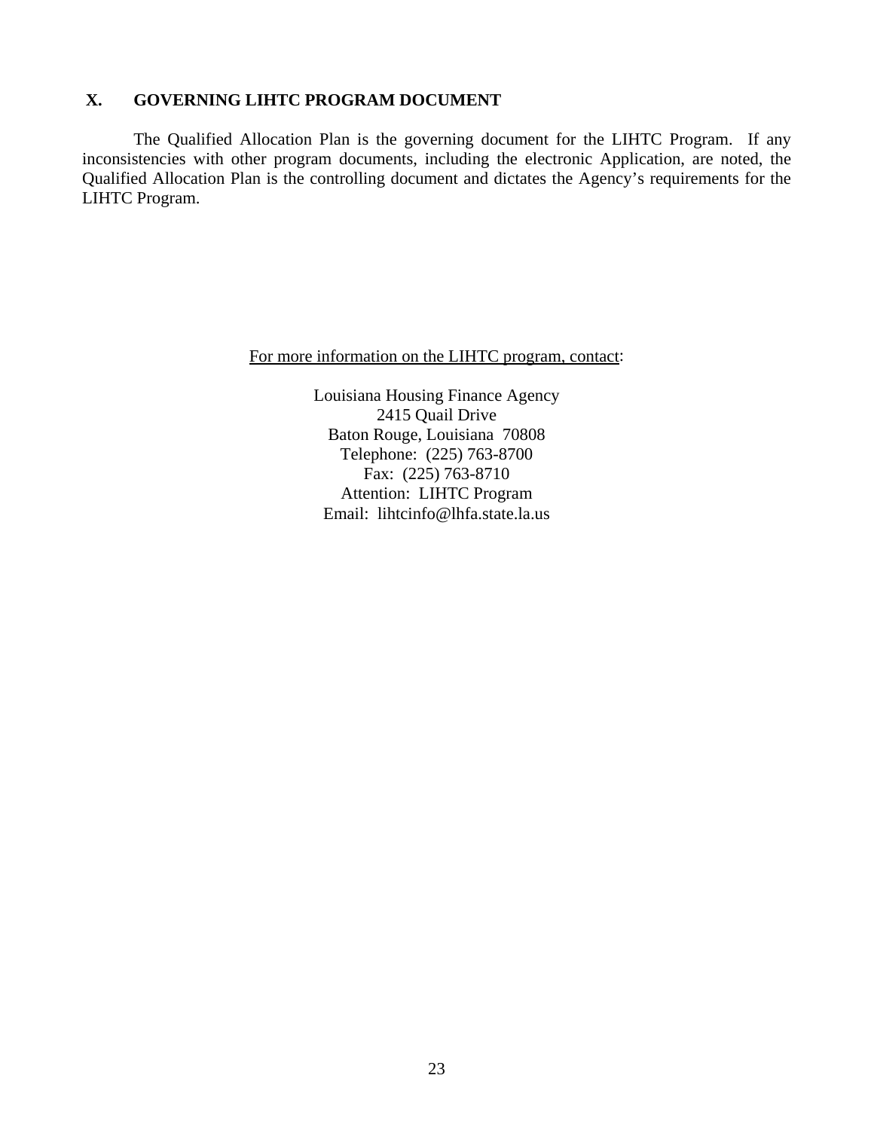#### **GOVERNING LIHTC PROGRAM DOCUMENT X.**

 The Qualified Allocation Plan is the governing document for the LIHTC Program. If any inconsistencies with other program documents, including the electronic Application, are noted, the Qualified Allocation Plan is the controlling document and dictates the Agency's requirements for the LIHTC Program.

For more information on the LIHTC program, contact:

Louisiana Housing Finance Agency 2415 Quail Drive Baton Rouge, Louisiana 70808 Telephone: (225) 763-8700 Fax: (225) 763-8710 Attention: LIHTC Program Email: lihtcinfo@lhfa.state.la.us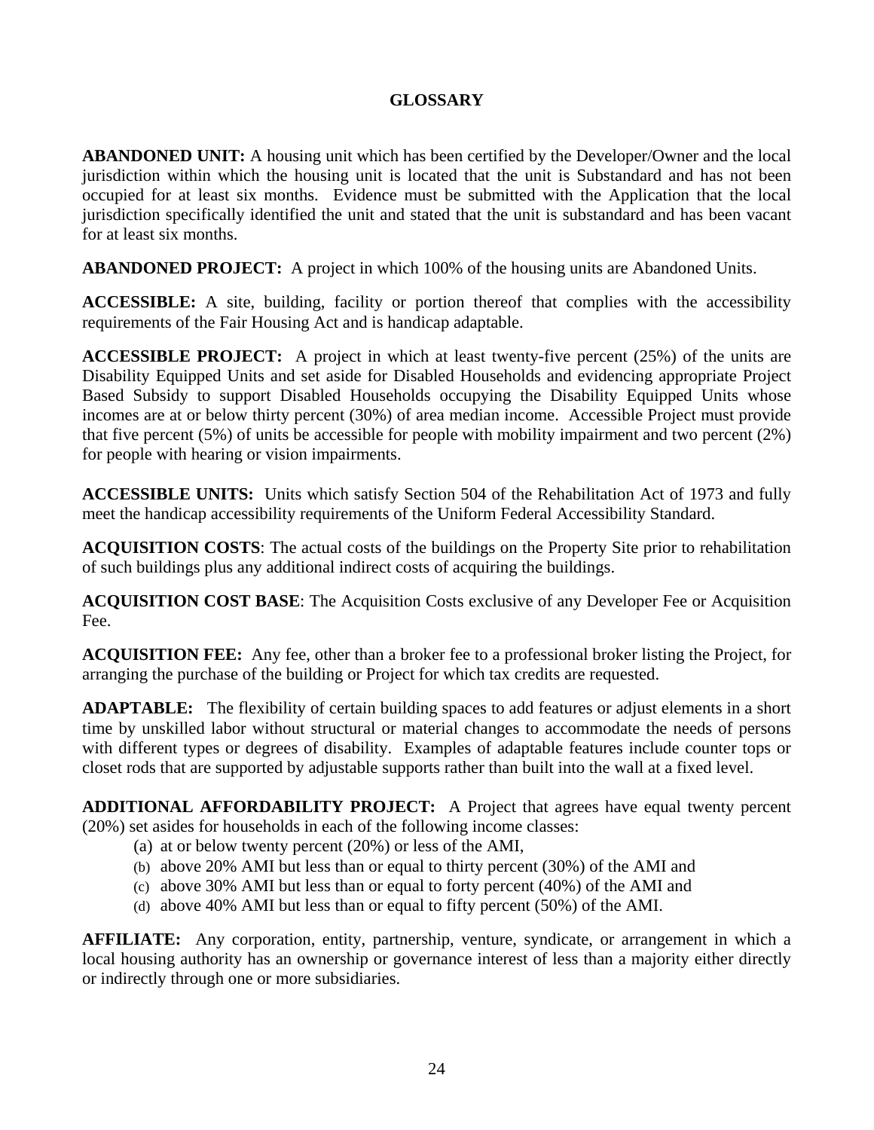# **GLOSSARY**

**ABANDONED UNIT:** A housing unit which has been certified by the Developer/Owner and the local jurisdiction within which the housing unit is located that the unit is Substandard and has not been occupied for at least six months. Evidence must be submitted with the Application that the local jurisdiction specifically identified the unit and stated that the unit is substandard and has been vacant for at least six months.

**ABANDONED PROJECT:** A project in which 100% of the housing units are Abandoned Units.

**ACCESSIBLE:** A site, building, facility or portion thereof that complies with the accessibility requirements of the Fair Housing Act and is handicap adaptable.

**ACCESSIBLE PROJECT:** A project in which at least twenty-five percent (25%) of the units are Disability Equipped Units and set aside for Disabled Households and evidencing appropriate Project Based Subsidy to support Disabled Households occupying the Disability Equipped Units whose incomes are at or below thirty percent (30%) of area median income. Accessible Project must provide that five percent (5%) of units be accessible for people with mobility impairment and two percent (2%) for people with hearing or vision impairments.

**ACCESSIBLE UNITS:** Units which satisfy Section 504 of the Rehabilitation Act of 1973 and fully meet the handicap accessibility requirements of the Uniform Federal Accessibility Standard.

**ACQUISITION COSTS**: The actual costs of the buildings on the Property Site prior to rehabilitation of such buildings plus any additional indirect costs of acquiring the buildings.

**ACQUISITION COST BASE**: The Acquisition Costs exclusive of any Developer Fee or Acquisition Fee.

**ACQUISITION FEE:** Any fee, other than a broker fee to a professional broker listing the Project, for arranging the purchase of the building or Project for which tax credits are requested.

**ADAPTABLE:** The flexibility of certain building spaces to add features or adjust elements in a short time by unskilled labor without structural or material changes to accommodate the needs of persons with different types or degrees of disability. Examples of adaptable features include counter tops or closet rods that are supported by adjustable supports rather than built into the wall at a fixed level.

**ADDITIONAL AFFORDABILITY PROJECT:** A Project that agrees have equal twenty percent (20%) set asides for households in each of the following income classes:

- (a) at or below twenty percent (20%) or less of the AMI,
- (b) above 20% AMI but less than or equal to thirty percent (30%) of the AMI and
- (c) above 30% AMI but less than or equal to forty percent (40%) of the AMI and
- (d) above 40% AMI but less than or equal to fifty percent (50%) of the AMI.

**AFFILIATE:** Any corporation, entity, partnership, venture, syndicate, or arrangement in which a local housing authority has an ownership or governance interest of less than a majority either directly or indirectly through one or more subsidiaries.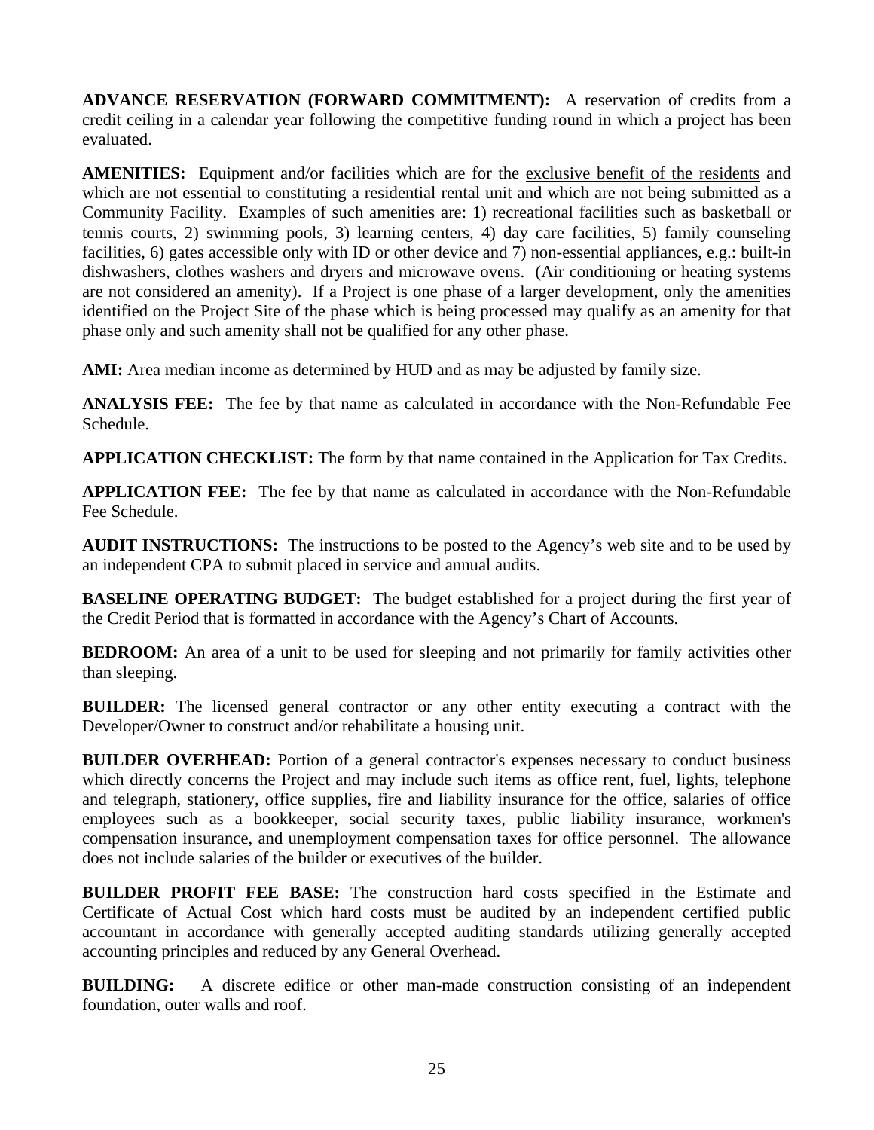**ADVANCE RESERVATION (FORWARD COMMITMENT):** A reservation of credits from a credit ceiling in a calendar year following the competitive funding round in which a project has been evaluated.

**AMENITIES:** Equipment and/or facilities which are for the exclusive benefit of the residents and which are not essential to constituting a residential rental unit and which are not being submitted as a Community Facility. Examples of such amenities are: 1) recreational facilities such as basketball or tennis courts, 2) swimming pools, 3) learning centers, 4) day care facilities, 5) family counseling facilities, 6) gates accessible only with ID or other device and 7) non-essential appliances, e.g.: built-in dishwashers, clothes washers and dryers and microwave ovens. (Air conditioning or heating systems are not considered an amenity). If a Project is one phase of a larger development, only the amenities identified on the Project Site of the phase which is being processed may qualify as an amenity for that phase only and such amenity shall not be qualified for any other phase.

AMI: Area median income as determined by HUD and as may be adjusted by family size.

**ANALYSIS FEE:** The fee by that name as calculated in accordance with the Non-Refundable Fee Schedule.

**APPLICATION CHECKLIST:** The form by that name contained in the Application for Tax Credits.

**APPLICATION FEE:** The fee by that name as calculated in accordance with the Non-Refundable Fee Schedule.

**AUDIT INSTRUCTIONS:** The instructions to be posted to the Agency's web site and to be used by an independent CPA to submit placed in service and annual audits.

**BASELINE OPERATING BUDGET:** The budget established for a project during the first year of the Credit Period that is formatted in accordance with the Agency's Chart of Accounts.

**BEDROOM:** An area of a unit to be used for sleeping and not primarily for family activities other than sleeping.

**BUILDER:** The licensed general contractor or any other entity executing a contract with the Developer/Owner to construct and/or rehabilitate a housing unit.

**BUILDER OVERHEAD:** Portion of a general contractor's expenses necessary to conduct business which directly concerns the Project and may include such items as office rent, fuel, lights, telephone and telegraph, stationery, office supplies, fire and liability insurance for the office, salaries of office employees such as a bookkeeper, social security taxes, public liability insurance, workmen's compensation insurance, and unemployment compensation taxes for office personnel. The allowance does not include salaries of the builder or executives of the builder.

**BUILDER PROFIT FEE BASE:** The construction hard costs specified in the Estimate and Certificate of Actual Cost which hard costs must be audited by an independent certified public accountant in accordance with generally accepted auditing standards utilizing generally accepted accounting principles and reduced by any General Overhead.

**BUILDING:** A discrete edifice or other man-made construction consisting of an independent foundation, outer walls and roof.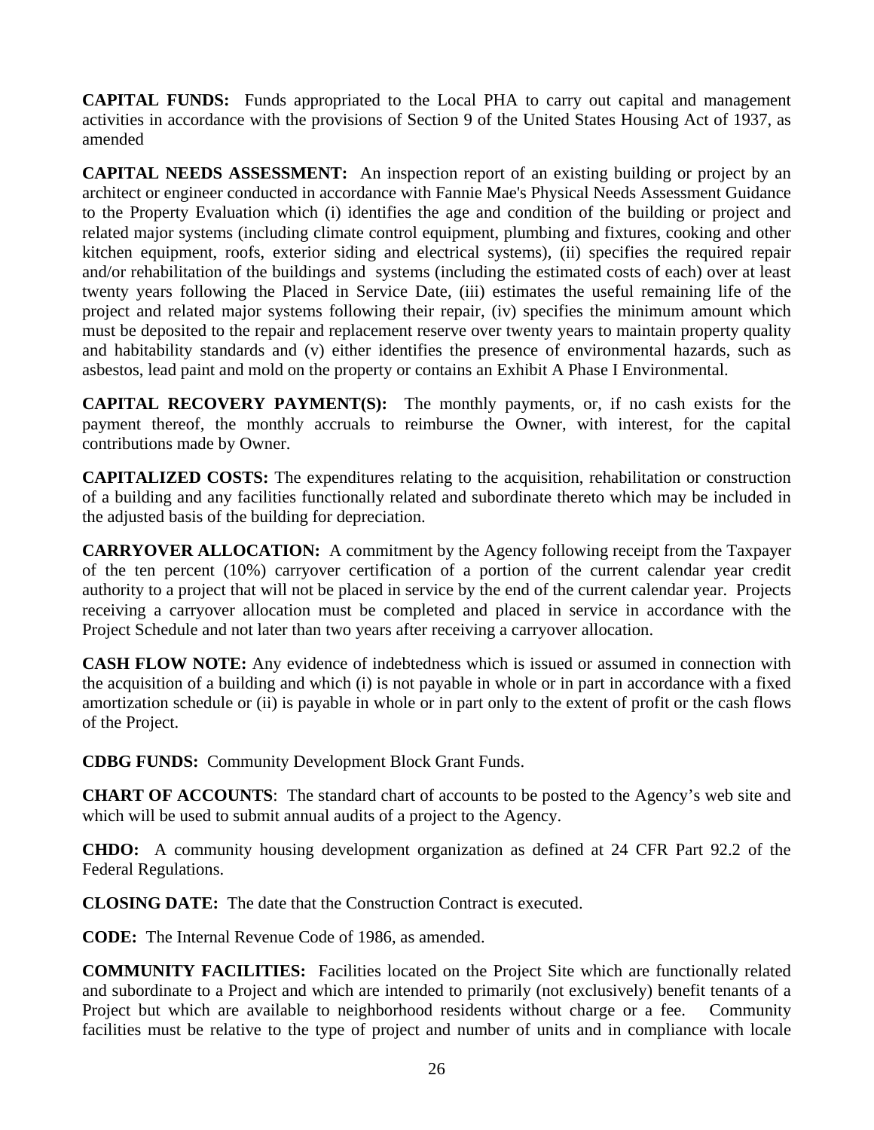**CAPITAL FUNDS:** Funds appropriated to the Local PHA to carry out capital and management activities in accordance with the provisions of Section 9 of the United States Housing Act of 1937, as amended

**CAPITAL NEEDS ASSESSMENT:** An inspection report of an existing building or project by an architect or engineer conducted in accordance with Fannie Mae's Physical Needs Assessment Guidance to the Property Evaluation which (i) identifies the age and condition of the building or project and related major systems (including climate control equipment, plumbing and fixtures, cooking and other kitchen equipment, roofs, exterior siding and electrical systems), (ii) specifies the required repair and/or rehabilitation of the buildings and systems (including the estimated costs of each) over at least twenty years following the Placed in Service Date, (iii) estimates the useful remaining life of the project and related major systems following their repair, (iv) specifies the minimum amount which must be deposited to the repair and replacement reserve over twenty years to maintain property quality and habitability standards and (v) either identifies the presence of environmental hazards, such as asbestos, lead paint and mold on the property or contains an Exhibit A Phase I Environmental.

**CAPITAL RECOVERY PAYMENT(S):** The monthly payments, or, if no cash exists for the payment thereof, the monthly accruals to reimburse the Owner, with interest, for the capital contributions made by Owner.

**CAPITALIZED COSTS:** The expenditures relating to the acquisition, rehabilitation or construction of a building and any facilities functionally related and subordinate thereto which may be included in the adjusted basis of the building for depreciation.

**CARRYOVER ALLOCATION:** A commitment by the Agency following receipt from the Taxpayer of the ten percent (10%) carryover certification of a portion of the current calendar year credit authority to a project that will not be placed in service by the end of the current calendar year. Projects receiving a carryover allocation must be completed and placed in service in accordance with the Project Schedule and not later than two years after receiving a carryover allocation.

**CASH FLOW NOTE:** Any evidence of indebtedness which is issued or assumed in connection with the acquisition of a building and which (i) is not payable in whole or in part in accordance with a fixed amortization schedule or (ii) is payable in whole or in part only to the extent of profit or the cash flows of the Project.

**CDBG FUNDS:** Community Development Block Grant Funds.

**CHART OF ACCOUNTS**: The standard chart of accounts to be posted to the Agency's web site and which will be used to submit annual audits of a project to the Agency.

**CHDO:** A community housing development organization as defined at 24 CFR Part 92.2 of the Federal Regulations.

**CLOSING DATE:** The date that the Construction Contract is executed.

**CODE:** The Internal Revenue Code of 1986, as amended.

**COMMUNITY FACILITIES:** Facilities located on the Project Site which are functionally related and subordinate to a Project and which are intended to primarily (not exclusively) benefit tenants of a Project but which are available to neighborhood residents without charge or a fee. Community facilities must be relative to the type of project and number of units and in compliance with locale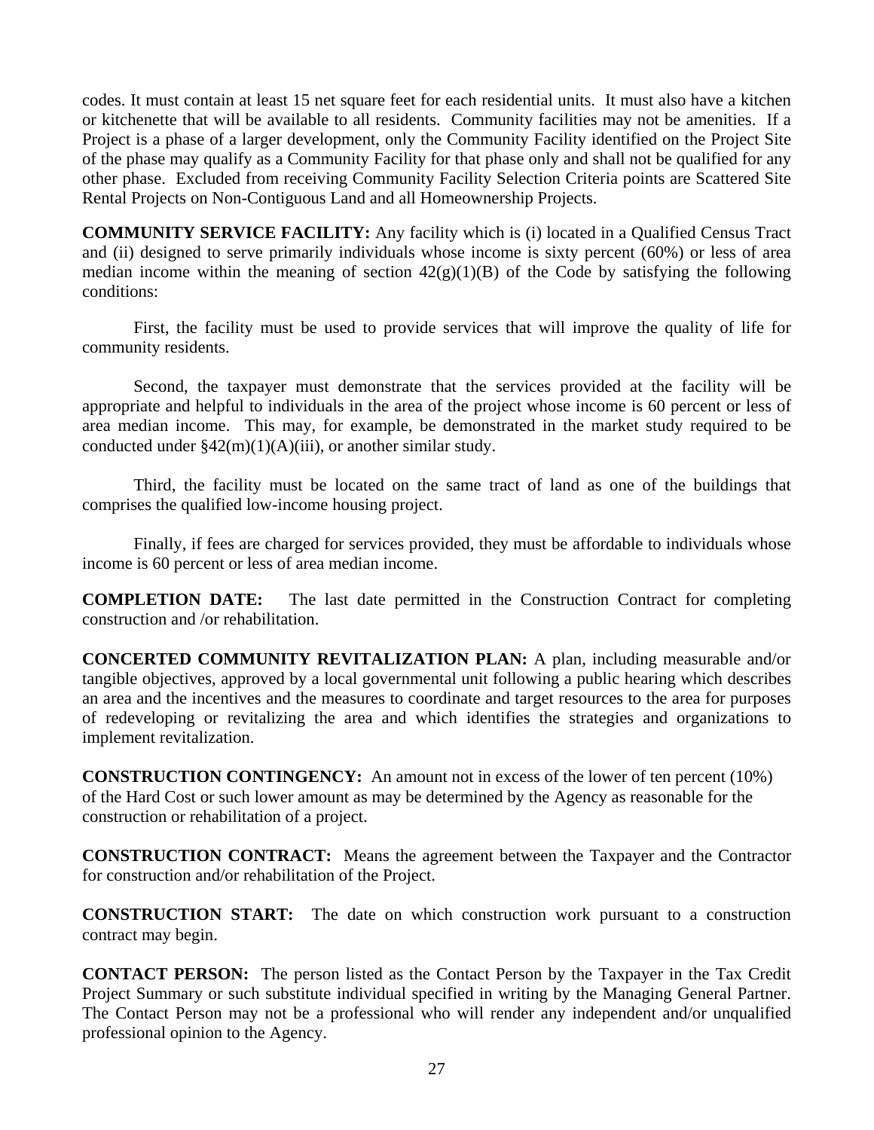codes. It must contain at least 15 net square feet for each residential units. It must also have a kitchen or kitchenette that will be available to all residents. Community facilities may not be amenities. If a Project is a phase of a larger development, only the Community Facility identified on the Project Site of the phase may qualify as a Community Facility for that phase only and shall not be qualified for any other phase. Excluded from receiving Community Facility Selection Criteria points are Scattered Site Rental Projects on Non-Contiguous Land and all Homeownership Projects.

**COMMUNITY SERVICE FACILITY:** Any facility which is (i) located in a Qualified Census Tract and (ii) designed to serve primarily individuals whose income is sixty percent (60%) or less of area median income within the meaning of section  $42(g)(1)(B)$  of the Code by satisfying the following conditions:

 First, the facility must be used to provide services that will improve the quality of life for community residents.

 Second, the taxpayer must demonstrate that the services provided at the facility will be appropriate and helpful to individuals in the area of the project whose income is 60 percent or less of area median income. This may, for example, be demonstrated in the market study required to be conducted under  $\frac{242(m)(1)(A)(iii)}{3}$ , or another similar study.

 Third, the facility must be located on the same tract of land as one of the buildings that comprises the qualified low-income housing project.

 Finally, if fees are charged for services provided, they must be affordable to individuals whose income is 60 percent or less of area median income.

**COMPLETION DATE:** The last date permitted in the Construction Contract for completing construction and /or rehabilitation.

**CONCERTED COMMUNITY REVITALIZATION PLAN:** A plan, including measurable and/or tangible objectives, approved by a local governmental unit following a public hearing which describes an area and the incentives and the measures to coordinate and target resources to the area for purposes of redeveloping or revitalizing the area and which identifies the strategies and organizations to implement revitalization.

**CONSTRUCTION CONTINGENCY:** An amount not in excess of the lower of ten percent (10%) of the Hard Cost or such lower amount as may be determined by the Agency as reasonable for the construction or rehabilitation of a project.

**CONSTRUCTION CONTRACT:** Means the agreement between the Taxpayer and the Contractor for construction and/or rehabilitation of the Project.

**CONSTRUCTION START:** The date on which construction work pursuant to a construction contract may begin.

**CONTACT PERSON:** The person listed as the Contact Person by the Taxpayer in the Tax Credit Project Summary or such substitute individual specified in writing by the Managing General Partner. The Contact Person may not be a professional who will render any independent and/or unqualified professional opinion to the Agency.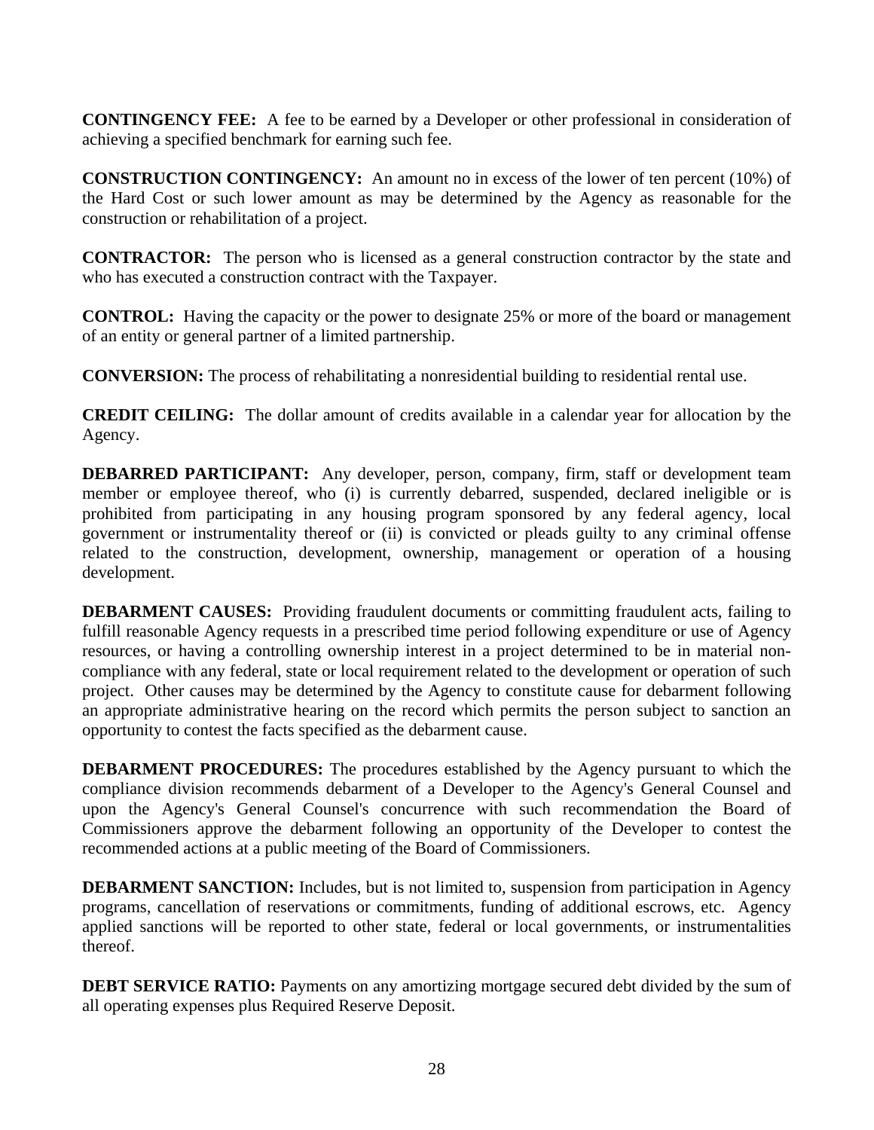**CONTINGENCY FEE:** A fee to be earned by a Developer or other professional in consideration of achieving a specified benchmark for earning such fee.

**CONSTRUCTION CONTINGENCY:** An amount no in excess of the lower of ten percent (10%) of the Hard Cost or such lower amount as may be determined by the Agency as reasonable for the construction or rehabilitation of a project.

**CONTRACTOR:** The person who is licensed as a general construction contractor by the state and who has executed a construction contract with the Taxpayer.

**CONTROL:** Having the capacity or the power to designate 25% or more of the board or management of an entity or general partner of a limited partnership.

**CONVERSION:** The process of rehabilitating a nonresidential building to residential rental use.

**CREDIT CEILING:** The dollar amount of credits available in a calendar year for allocation by the Agency.

**DEBARRED PARTICIPANT:** Any developer, person, company, firm, staff or development team member or employee thereof, who (i) is currently debarred, suspended, declared ineligible or is prohibited from participating in any housing program sponsored by any federal agency, local government or instrumentality thereof or (ii) is convicted or pleads guilty to any criminal offense related to the construction, development, ownership, management or operation of a housing development.

**DEBARMENT CAUSES:** Providing fraudulent documents or committing fraudulent acts, failing to fulfill reasonable Agency requests in a prescribed time period following expenditure or use of Agency resources, or having a controlling ownership interest in a project determined to be in material noncompliance with any federal, state or local requirement related to the development or operation of such project. Other causes may be determined by the Agency to constitute cause for debarment following an appropriate administrative hearing on the record which permits the person subject to sanction an opportunity to contest the facts specified as the debarment cause.

**DEBARMENT PROCEDURES:** The procedures established by the Agency pursuant to which the compliance division recommends debarment of a Developer to the Agency's General Counsel and upon the Agency's General Counsel's concurrence with such recommendation the Board of Commissioners approve the debarment following an opportunity of the Developer to contest the recommended actions at a public meeting of the Board of Commissioners.

**DEBARMENT SANCTION:** Includes, but is not limited to, suspension from participation in Agency programs, cancellation of reservations or commitments, funding of additional escrows, etc. Agency applied sanctions will be reported to other state, federal or local governments, or instrumentalities thereof.

**DEBT SERVICE RATIO:** Payments on any amortizing mortgage secured debt divided by the sum of all operating expenses plus Required Reserve Deposit.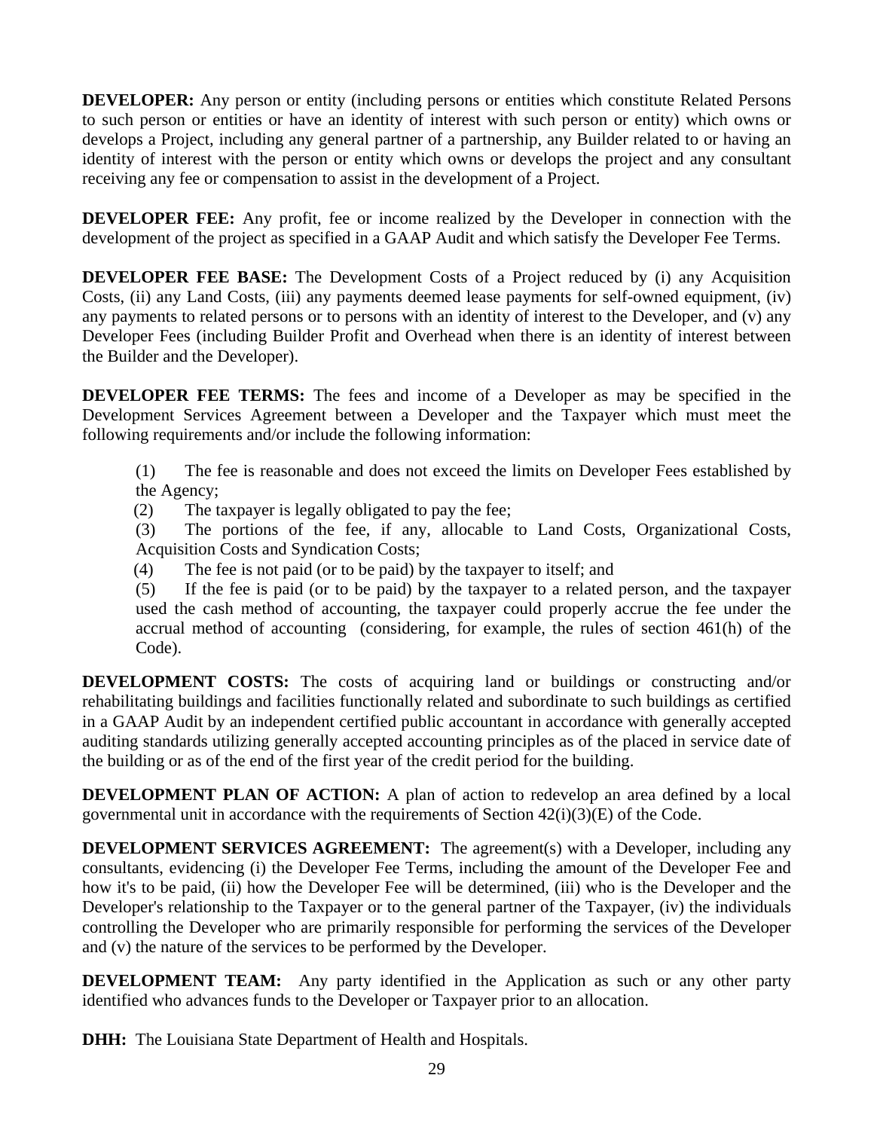**DEVELOPER:** Any person or entity (including persons or entities which constitute Related Persons to such person or entities or have an identity of interest with such person or entity) which owns or develops a Project, including any general partner of a partnership, any Builder related to or having an identity of interest with the person or entity which owns or develops the project and any consultant receiving any fee or compensation to assist in the development of a Project.

**DEVELOPER FEE:** Any profit, fee or income realized by the Developer in connection with the development of the project as specified in a GAAP Audit and which satisfy the Developer Fee Terms.

**DEVELOPER FEE BASE:** The Development Costs of a Project reduced by (i) any Acquisition Costs, (ii) any Land Costs, (iii) any payments deemed lease payments for self-owned equipment, (iv) any payments to related persons or to persons with an identity of interest to the Developer, and (v) any Developer Fees (including Builder Profit and Overhead when there is an identity of interest between the Builder and the Developer).

**DEVELOPER FEE TERMS:** The fees and income of a Developer as may be specified in the Development Services Agreement between a Developer and the Taxpayer which must meet the following requirements and/or include the following information:

(1) The fee is reasonable and does not exceed the limits on Developer Fees established by the Agency;

(2) The taxpayer is legally obligated to pay the fee;

(3) The portions of the fee, if any, allocable to Land Costs, Organizational Costs, Acquisition Costs and Syndication Costs;

(4) The fee is not paid (or to be paid) by the taxpayer to itself; and

(5) If the fee is paid (or to be paid) by the taxpayer to a related person, and the taxpayer used the cash method of accounting, the taxpayer could properly accrue the fee under the accrual method of accounting (considering, for example, the rules of section 461(h) of the Code).

**DEVELOPMENT COSTS:** The costs of acquiring land or buildings or constructing and/or rehabilitating buildings and facilities functionally related and subordinate to such buildings as certified in a GAAP Audit by an independent certified public accountant in accordance with generally accepted auditing standards utilizing generally accepted accounting principles as of the placed in service date of the building or as of the end of the first year of the credit period for the building.

**DEVELOPMENT PLAN OF ACTION:** A plan of action to redevelop an area defined by a local governmental unit in accordance with the requirements of Section  $42(i)(3)(E)$  of the Code.

**DEVELOPMENT SERVICES AGREEMENT:** The agreement(s) with a Developer, including any consultants, evidencing (i) the Developer Fee Terms, including the amount of the Developer Fee and how it's to be paid, (ii) how the Developer Fee will be determined, (iii) who is the Developer and the Developer's relationship to the Taxpayer or to the general partner of the Taxpayer, (iv) the individuals controlling the Developer who are primarily responsible for performing the services of the Developer and (v) the nature of the services to be performed by the Developer.

**DEVELOPMENT TEAM:** Any party identified in the Application as such or any other party identified who advances funds to the Developer or Taxpayer prior to an allocation.

**DHH:** The Louisiana State Department of Health and Hospitals.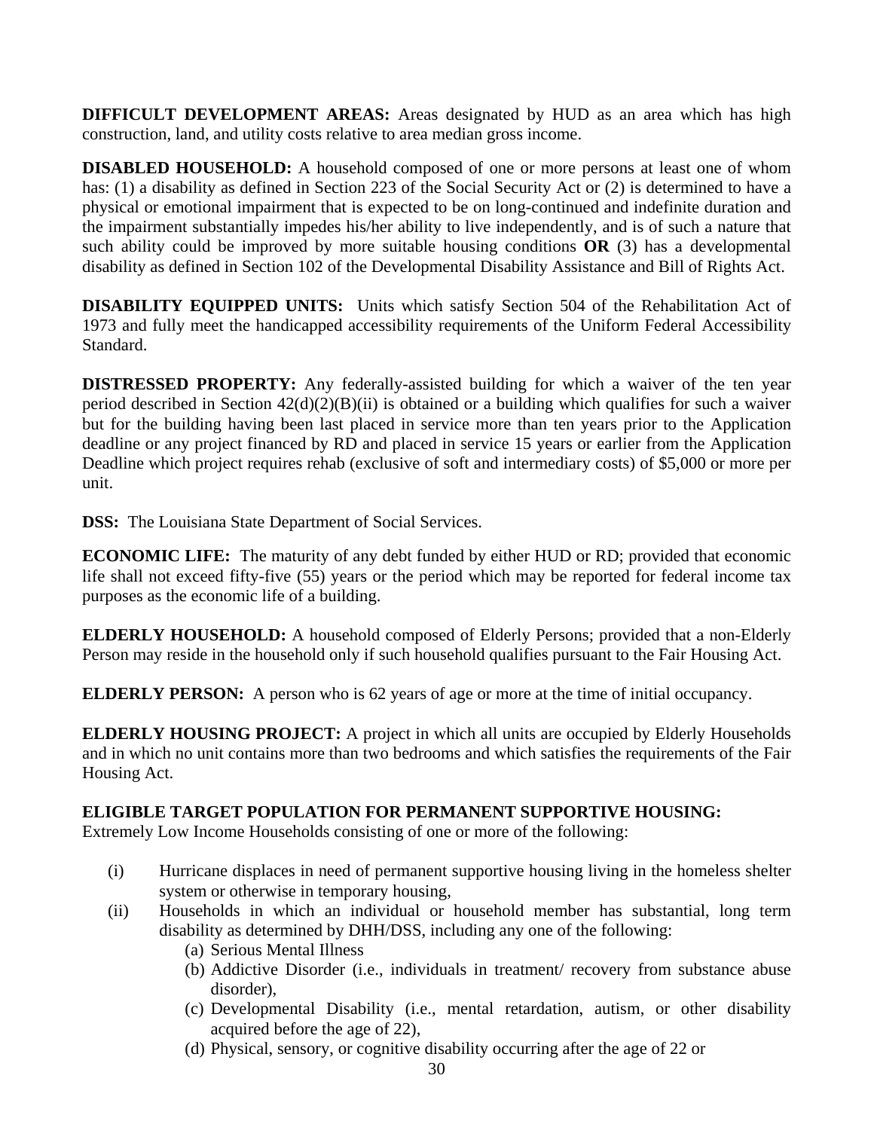**DIFFICULT DEVELOPMENT AREAS:** Areas designated by HUD as an area which has high construction, land, and utility costs relative to area median gross income.

**DISABLED HOUSEHOLD:** A household composed of one or more persons at least one of whom has: (1) a disability as defined in Section 223 of the Social Security Act or (2) is determined to have a physical or emotional impairment that is expected to be on long-continued and indefinite duration and the impairment substantially impedes his/her ability to live independently, and is of such a nature that such ability could be improved by more suitable housing conditions **OR** (3) has a developmental disability as defined in Section 102 of the Developmental Disability Assistance and Bill of Rights Act.

**DISABILITY EQUIPPED UNITS:** Units which satisfy Section 504 of the Rehabilitation Act of 1973 and fully meet the handicapped accessibility requirements of the Uniform Federal Accessibility Standard.

**DISTRESSED PROPERTY:** Any federally-assisted building for which a waiver of the ten year period described in Section 42(d)(2)(B)(ii) is obtained or a building which qualifies for such a waiver but for the building having been last placed in service more than ten years prior to the Application deadline or any project financed by RD and placed in service 15 years or earlier from the Application Deadline which project requires rehab (exclusive of soft and intermediary costs) of \$5,000 or more per unit.

**DSS:** The Louisiana State Department of Social Services.

**ECONOMIC LIFE:** The maturity of any debt funded by either HUD or RD; provided that economic life shall not exceed fifty-five (55) years or the period which may be reported for federal income tax purposes as the economic life of a building.

**ELDERLY HOUSEHOLD:** A household composed of Elderly Persons; provided that a non-Elderly Person may reside in the household only if such household qualifies pursuant to the Fair Housing Act.

**ELDERLY PERSON:** A person who is 62 years of age or more at the time of initial occupancy.

**ELDERLY HOUSING PROJECT:** A project in which all units are occupied by Elderly Households and in which no unit contains more than two bedrooms and which satisfies the requirements of the Fair Housing Act.

## **ELIGIBLE TARGET POPULATION FOR PERMANENT SUPPORTIVE HOUSING:**

Extremely Low Income Households consisting of one or more of the following:

- (i) Hurricane displaces in need of permanent supportive housing living in the homeless shelter system or otherwise in temporary housing,
- (ii) Households in which an individual or household member has substantial, long term disability as determined by DHH/DSS, including any one of the following:
	- (a) Serious Mental Illness
	- (b) Addictive Disorder (i.e., individuals in treatment/ recovery from substance abuse disorder),
	- (c) Developmental Disability (i.e., mental retardation, autism, or other disability acquired before the age of 22),
	- (d) Physical, sensory, or cognitive disability occurring after the age of 22 or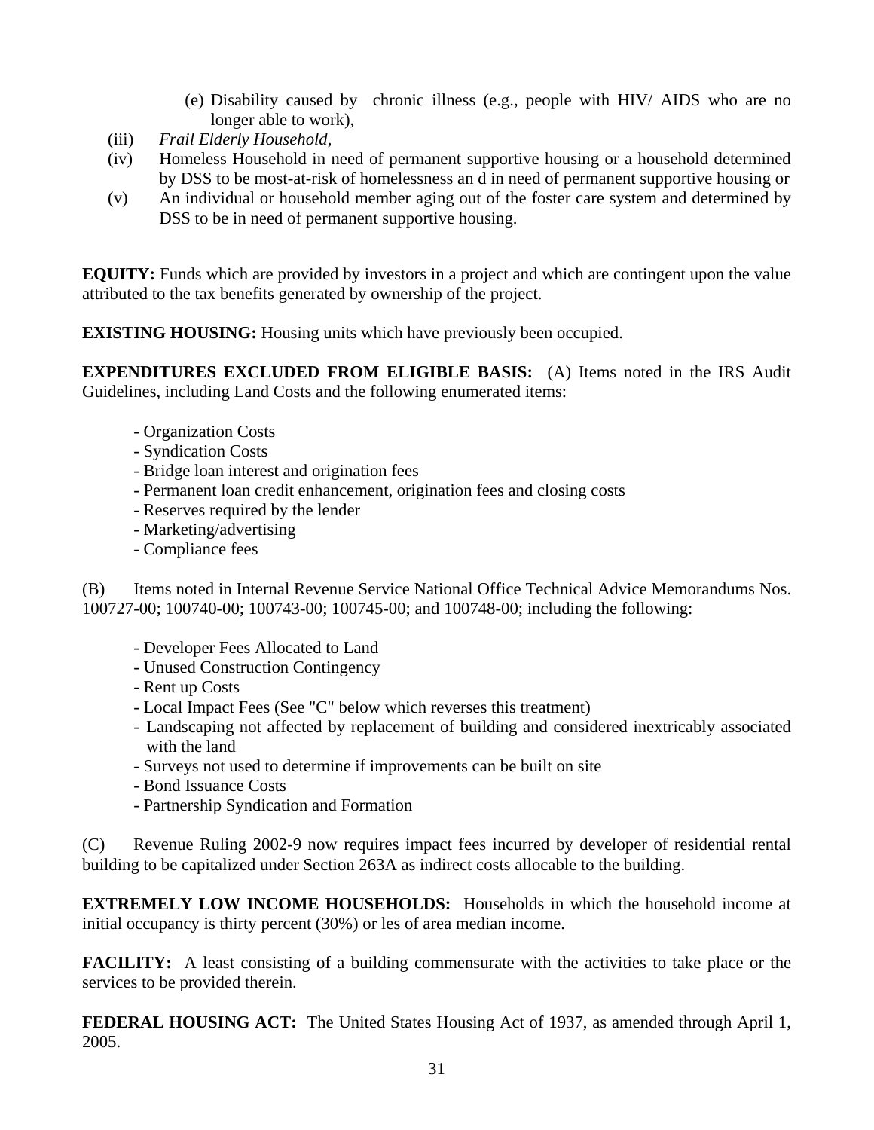- (e) Disability caused by chronic illness (e.g., people with HIV/ AIDS who are no longer able to work),
- (iii) *Frail Elderly Household,*
- (iv) Homeless Household in need of permanent supportive housing or a household determined by DSS to be most-at-risk of homelessness an d in need of permanent supportive housing or
- (v) An individual or household member aging out of the foster care system and determined by DSS to be in need of permanent supportive housing.

**EQUITY:** Funds which are provided by investors in a project and which are contingent upon the value attributed to the tax benefits generated by ownership of the project.

**EXISTING HOUSING:** Housing units which have previously been occupied.

**EXPENDITURES EXCLUDED FROM ELIGIBLE BASIS:** (A) Items noted in the IRS Audit Guidelines, including Land Costs and the following enumerated items:

- Organization Costs
- Syndication Costs
- Bridge loan interest and origination fees
- Permanent loan credit enhancement, origination fees and closing costs
- Reserves required by the lender
- Marketing/advertising
- Compliance fees

(B) Items noted in Internal Revenue Service National Office Technical Advice Memorandums Nos. 100727-00; 100740-00; 100743-00; 100745-00; and 100748-00; including the following:

- Developer Fees Allocated to Land
- Unused Construction Contingency
- Rent up Costs
- Local Impact Fees (See "C" below which reverses this treatment)
- Landscaping not affected by replacement of building and considered inextricably associated with the land
- Surveys not used to determine if improvements can be built on site
- Bond Issuance Costs
- Partnership Syndication and Formation

(C) Revenue Ruling 2002-9 now requires impact fees incurred by developer of residential rental building to be capitalized under Section 263A as indirect costs allocable to the building.

**EXTREMELY LOW INCOME HOUSEHOLDS:** Households in which the household income at initial occupancy is thirty percent (30%) or les of area median income.

**FACILITY:** A least consisting of a building commensurate with the activities to take place or the services to be provided therein.

**FEDERAL HOUSING ACT:** The United States Housing Act of 1937, as amended through April 1, 2005.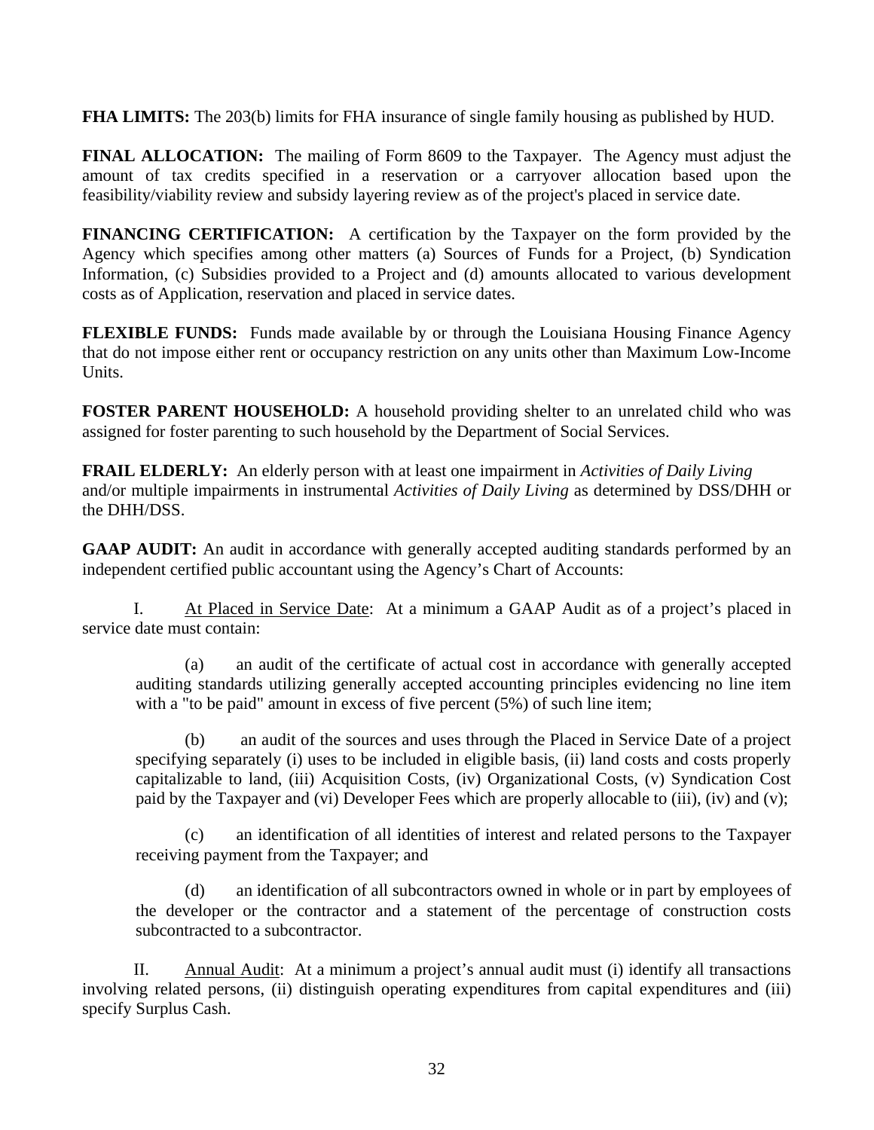**FHA LIMITS:** The 203(b) limits for FHA insurance of single family housing as published by HUD.

**FINAL ALLOCATION:** The mailing of Form 8609 to the Taxpayer. The Agency must adjust the amount of tax credits specified in a reservation or a carryover allocation based upon the feasibility/viability review and subsidy layering review as of the project's placed in service date.

**FINANCING CERTIFICATION:** A certification by the Taxpayer on the form provided by the Agency which specifies among other matters (a) Sources of Funds for a Project, (b) Syndication Information, (c) Subsidies provided to a Project and (d) amounts allocated to various development costs as of Application, reservation and placed in service dates.

**FLEXIBLE FUNDS:** Funds made available by or through the Louisiana Housing Finance Agency that do not impose either rent or occupancy restriction on any units other than Maximum Low-Income Units.

**FOSTER PARENT HOUSEHOLD:** A household providing shelter to an unrelated child who was assigned for foster parenting to such household by the Department of Social Services.

**FRAIL ELDERLY:** An elderly person with at least one impairment in *Activities of Daily Living*  and/or multiple impairments in instrumental *Activities of Daily Living* as determined by DSS/DHH or the DHH/DSS.

**GAAP AUDIT:** An audit in accordance with generally accepted auditing standards performed by an independent certified public accountant using the Agency's Chart of Accounts:

 I. At Placed in Service Date: At a minimum a GAAP Audit as of a project's placed in service date must contain:

 (a) an audit of the certificate of actual cost in accordance with generally accepted auditing standards utilizing generally accepted accounting principles evidencing no line item with a "to be paid" amount in excess of five percent (5%) of such line item;

 (b) an audit of the sources and uses through the Placed in Service Date of a project specifying separately (i) uses to be included in eligible basis, (ii) land costs and costs properly capitalizable to land, (iii) Acquisition Costs, (iv) Organizational Costs, (v) Syndication Cost paid by the Taxpayer and (vi) Developer Fees which are properly allocable to (iii), (iv) and (v);

 (c) an identification of all identities of interest and related persons to the Taxpayer receiving payment from the Taxpayer; and

 (d) an identification of all subcontractors owned in whole or in part by employees of the developer or the contractor and a statement of the percentage of construction costs subcontracted to a subcontractor.

 II. Annual Audit: At a minimum a project's annual audit must (i) identify all transactions involving related persons, (ii) distinguish operating expenditures from capital expenditures and (iii) specify Surplus Cash.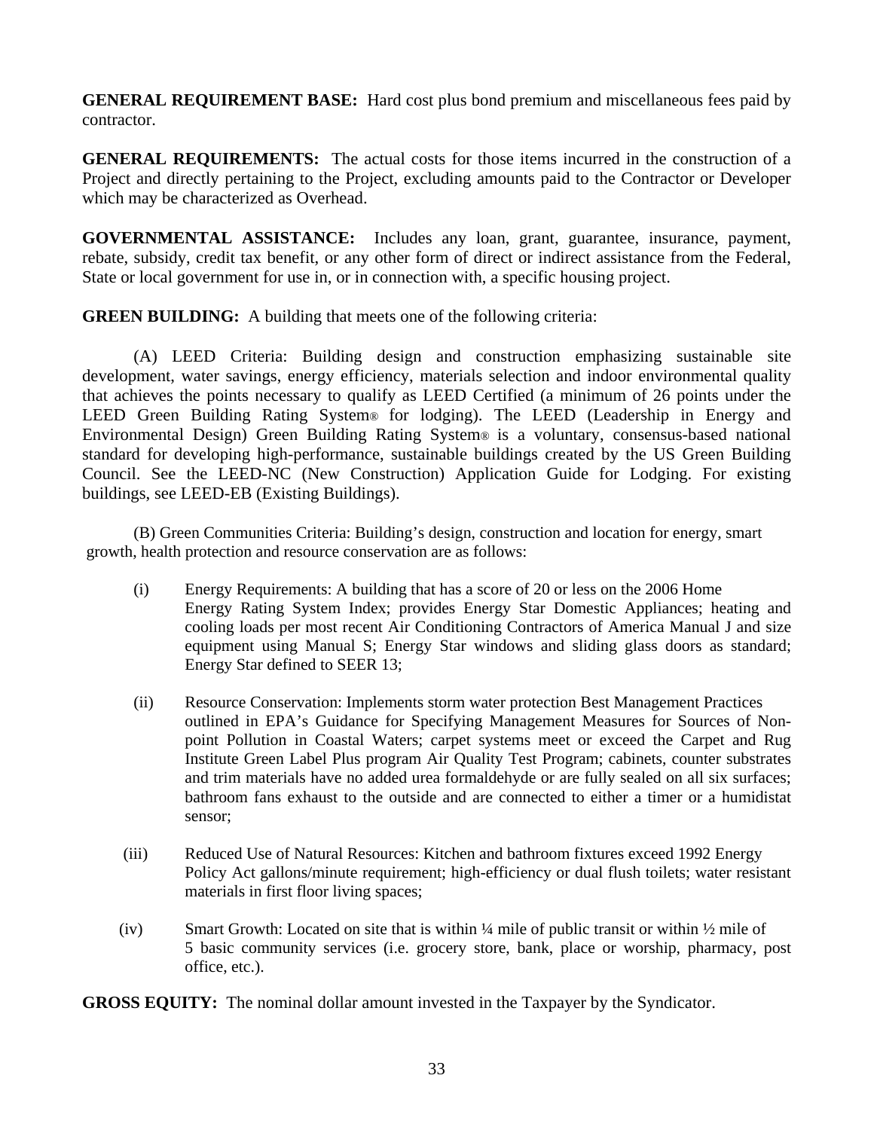**GENERAL REQUIREMENT BASE:** Hard cost plus bond premium and miscellaneous fees paid by contractor.

**GENERAL REQUIREMENTS:** The actual costs for those items incurred in the construction of a Project and directly pertaining to the Project, excluding amounts paid to the Contractor or Developer which may be characterized as Overhead.

**GOVERNMENTAL ASSISTANCE:** Includes any loan, grant, guarantee, insurance, payment, rebate, subsidy, credit tax benefit, or any other form of direct or indirect assistance from the Federal, State or local government for use in, or in connection with, a specific housing project.

**GREEN BUILDING:** A building that meets one of the following criteria:

(A) LEED Criteria: Building design and construction emphasizing sustainable site development, water savings, energy efficiency, materials selection and indoor environmental quality that achieves the points necessary to qualify as LEED Certified (a minimum of 26 points under the LEED Green Building Rating System® for lodging). The LEED (Leadership in Energy and Environmental Design) Green Building Rating System® is a voluntary, consensus-based national standard for developing high-performance, sustainable buildings created by the US Green Building Council. See the LEED-NC (New Construction) Application Guide for Lodging. For existing buildings, see LEED-EB (Existing Buildings).

(B) Green Communities Criteria: Building's design, construction and location for energy, smart growth, health protection and resource conservation are as follows:

- (i) Energy Requirements: A building that has a score of 20 or less on the 2006 Home Energy Rating System Index; provides Energy Star Domestic Appliances; heating and cooling loads per most recent Air Conditioning Contractors of America Manual J and size equipment using Manual S; Energy Star windows and sliding glass doors as standard; Energy Star defined to SEER 13;
- (ii) Resource Conservation: Implements storm water protection Best Management Practices outlined in EPA's Guidance for Specifying Management Measures for Sources of Nonpoint Pollution in Coastal Waters; carpet systems meet or exceed the Carpet and Rug Institute Green Label Plus program Air Quality Test Program; cabinets, counter substrates and trim materials have no added urea formaldehyde or are fully sealed on all six surfaces; bathroom fans exhaust to the outside and are connected to either a timer or a humidistat sensor;
- (iii) Reduced Use of Natural Resources: Kitchen and bathroom fixtures exceed 1992 Energy Policy Act gallons/minute requirement; high-efficiency or dual flush toilets; water resistant materials in first floor living spaces;
- (iv) Smart Growth: Located on site that is within  $\frac{1}{4}$  mile of public transit or within  $\frac{1}{2}$  mile of 5 basic community services (i.e. grocery store, bank, place or worship, pharmacy, post office, etc.).

**GROSS EQUITY:** The nominal dollar amount invested in the Taxpayer by the Syndicator.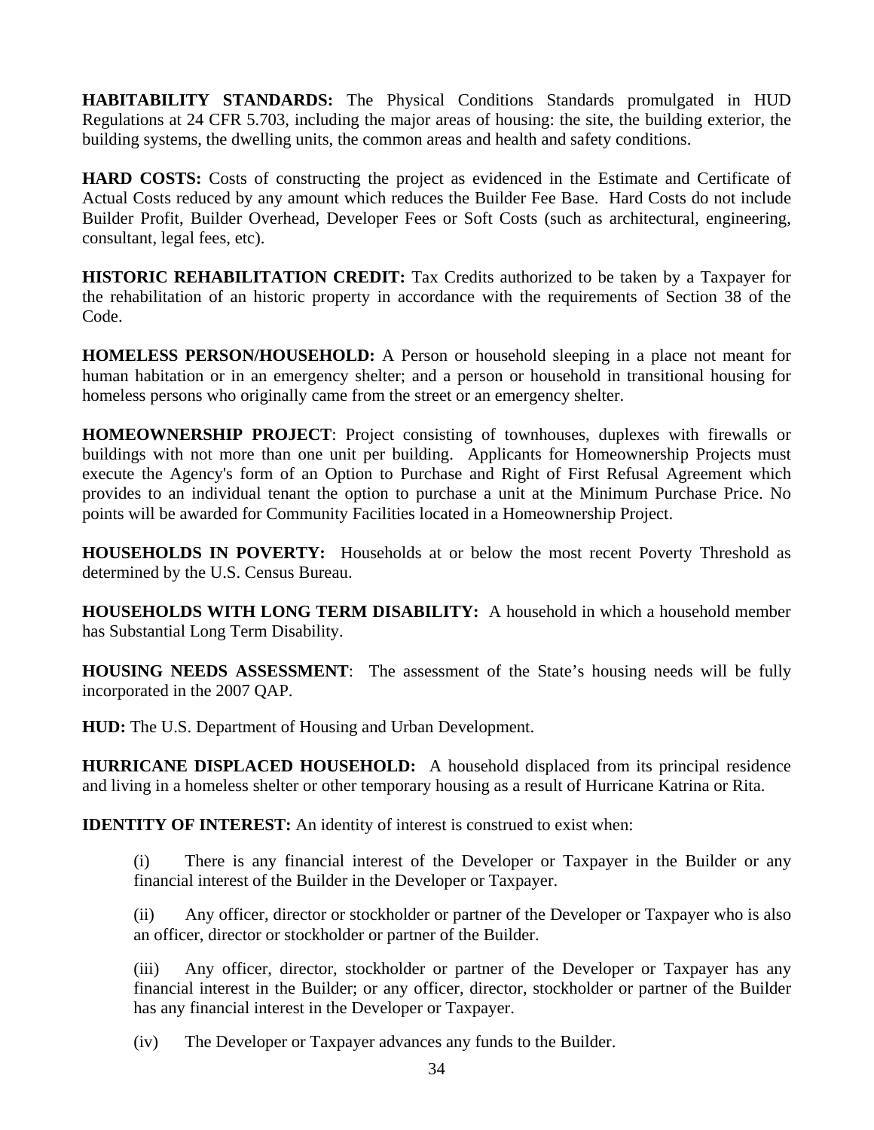**HABITABILITY STANDARDS:** The Physical Conditions Standards promulgated in HUD Regulations at 24 CFR 5.703, including the major areas of housing: the site, the building exterior, the building systems, the dwelling units, the common areas and health and safety conditions.

**HARD COSTS:** Costs of constructing the project as evidenced in the Estimate and Certificate of Actual Costs reduced by any amount which reduces the Builder Fee Base. Hard Costs do not include Builder Profit, Builder Overhead, Developer Fees or Soft Costs (such as architectural, engineering, consultant, legal fees, etc).

**HISTORIC REHABILITATION CREDIT:** Tax Credits authorized to be taken by a Taxpayer for the rehabilitation of an historic property in accordance with the requirements of Section 38 of the Code.

**HOMELESS PERSON/HOUSEHOLD:** A Person or household sleeping in a place not meant for human habitation or in an emergency shelter; and a person or household in transitional housing for homeless persons who originally came from the street or an emergency shelter.

**HOMEOWNERSHIP PROJECT**: Project consisting of townhouses, duplexes with firewalls or buildings with not more than one unit per building. Applicants for Homeownership Projects must execute the Agency's form of an Option to Purchase and Right of First Refusal Agreement which provides to an individual tenant the option to purchase a unit at the Minimum Purchase Price. No points will be awarded for Community Facilities located in a Homeownership Project.

**HOUSEHOLDS IN POVERTY:** Households at or below the most recent Poverty Threshold as determined by the U.S. Census Bureau.

**HOUSEHOLDS WITH LONG TERM DISABILITY:** A household in which a household member has Substantial Long Term Disability.

**HOUSING NEEDS ASSESSMENT**: The assessment of the State's housing needs will be fully incorporated in the 2007 QAP.

**HUD:** The U.S. Department of Housing and Urban Development.

**HURRICANE DISPLACED HOUSEHOLD:** A household displaced from its principal residence and living in a homeless shelter or other temporary housing as a result of Hurricane Katrina or Rita.

**IDENTITY OF INTEREST:** An identity of interest is construed to exist when:

(i) There is any financial interest of the Developer or Taxpayer in the Builder or any financial interest of the Builder in the Developer or Taxpayer.

(ii) Any officer, director or stockholder or partner of the Developer or Taxpayer who is also an officer, director or stockholder or partner of the Builder.

(iii) Any officer, director, stockholder or partner of the Developer or Taxpayer has any financial interest in the Builder; or any officer, director, stockholder or partner of the Builder has any financial interest in the Developer or Taxpayer.

(iv) The Developer or Taxpayer advances any funds to the Builder.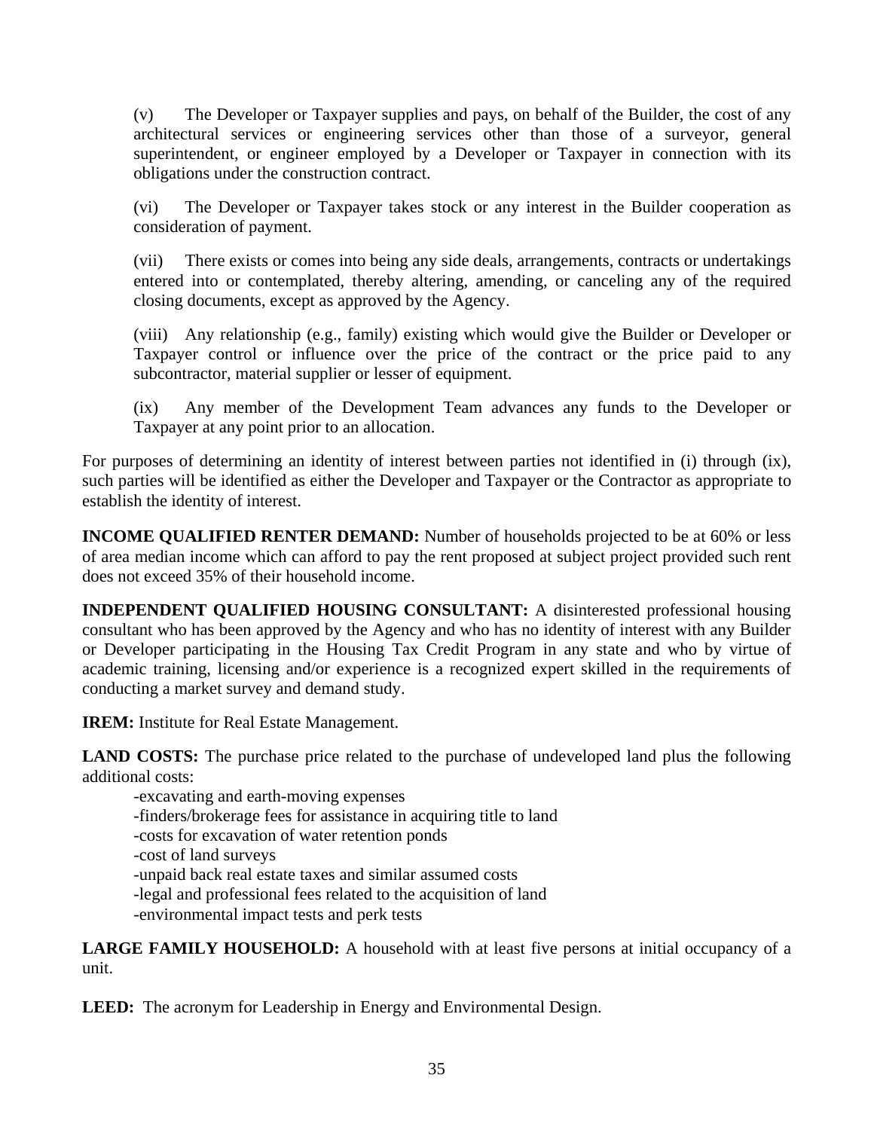(v) The Developer or Taxpayer supplies and pays, on behalf of the Builder, the cost of any architectural services or engineering services other than those of a surveyor, general superintendent, or engineer employed by a Developer or Taxpayer in connection with its obligations under the construction contract.

(vi) The Developer or Taxpayer takes stock or any interest in the Builder cooperation as consideration of payment.

(vii) There exists or comes into being any side deals, arrangements, contracts or undertakings entered into or contemplated, thereby altering, amending, or canceling any of the required closing documents, except as approved by the Agency.

(viii) Any relationship (e.g., family) existing which would give the Builder or Developer or Taxpayer control or influence over the price of the contract or the price paid to any subcontractor, material supplier or lesser of equipment.

(ix) Any member of the Development Team advances any funds to the Developer or Taxpayer at any point prior to an allocation.

For purposes of determining an identity of interest between parties not identified in (i) through (ix), such parties will be identified as either the Developer and Taxpayer or the Contractor as appropriate to establish the identity of interest.

**INCOME QUALIFIED RENTER DEMAND:** Number of households projected to be at 60% or less of area median income which can afford to pay the rent proposed at subject project provided such rent does not exceed 35% of their household income.

**INDEPENDENT QUALIFIED HOUSING CONSULTANT:** A disinterested professional housing consultant who has been approved by the Agency and who has no identity of interest with any Builder or Developer participating in the Housing Tax Credit Program in any state and who by virtue of academic training, licensing and/or experience is a recognized expert skilled in the requirements of conducting a market survey and demand study.

**IREM:** Institute for Real Estate Management.

**LAND COSTS:** The purchase price related to the purchase of undeveloped land plus the following additional costs:

-excavating and earth-moving expenses

- -finders/brokerage fees for assistance in acquiring title to land
- -costs for excavation of water retention ponds
- -cost of land surveys

-unpaid back real estate taxes and similar assumed costs

-legal and professional fees related to the acquisition of land

-environmental impact tests and perk tests

**LARGE FAMILY HOUSEHOLD:** A household with at least five persons at initial occupancy of a unit.

**LEED:** The acronym for Leadership in Energy and Environmental Design.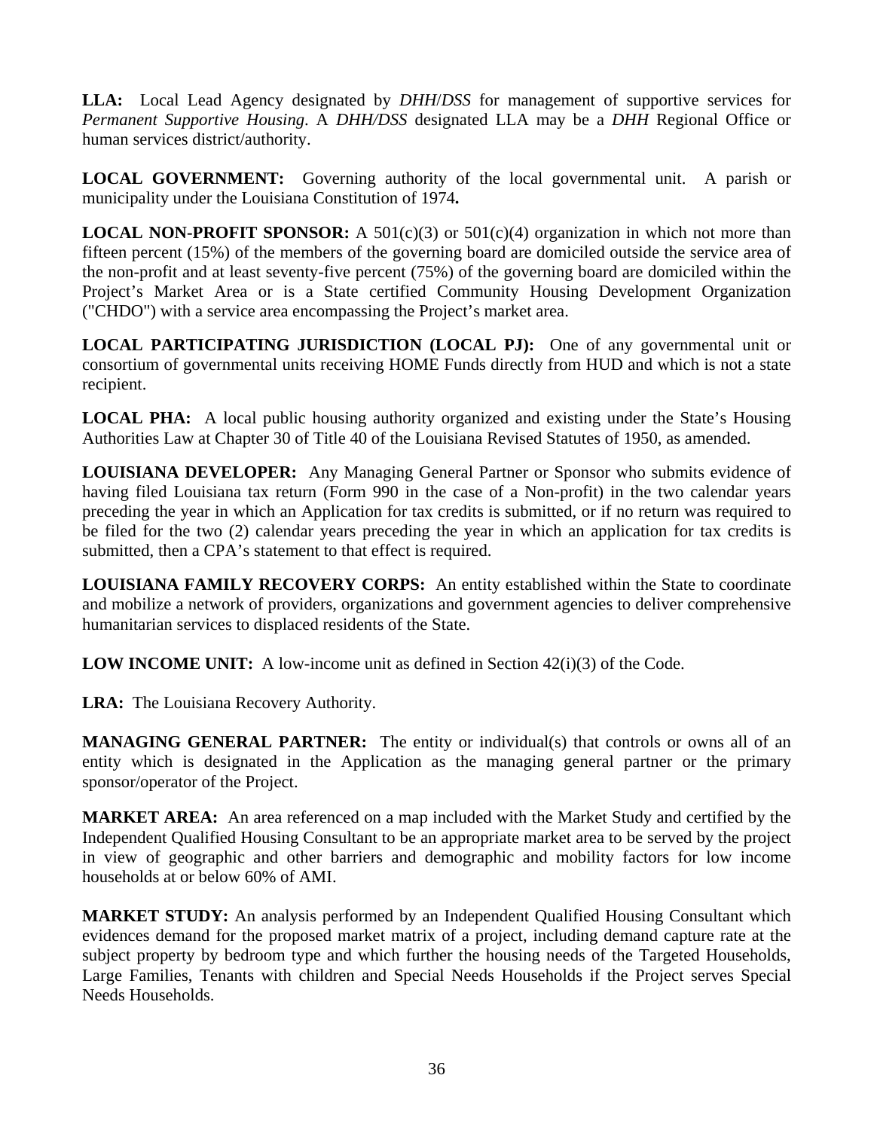**LLA:** Local Lead Agency designated by *DHH*/*DSS* for management of supportive services for *Permanent Supportive Housing*. A *DHH/DSS* designated LLA may be a *DHH* Regional Office or human services district/authority.

**LOCAL GOVERNMENT:** Governing authority of the local governmental unit. A parish or municipality under the Louisiana Constitution of 1974**.** 

**LOCAL NON-PROFIT SPONSOR:** A 501(c)(3) or 501(c)(4) organization in which not more than fifteen percent (15%) of the members of the governing board are domiciled outside the service area of the non-profit and at least seventy-five percent (75%) of the governing board are domiciled within the Project's Market Area or is a State certified Community Housing Development Organization ("CHDO") with a service area encompassing the Project's market area.

**LOCAL PARTICIPATING JURISDICTION (LOCAL PJ):** One of any governmental unit or consortium of governmental units receiving HOME Funds directly from HUD and which is not a state recipient.

**LOCAL PHA:** A local public housing authority organized and existing under the State's Housing Authorities Law at Chapter 30 of Title 40 of the Louisiana Revised Statutes of 1950, as amended.

**LOUISIANA DEVELOPER:** Any Managing General Partner or Sponsor who submits evidence of having filed Louisiana tax return (Form 990 in the case of a Non-profit) in the two calendar years preceding the year in which an Application for tax credits is submitted, or if no return was required to be filed for the two (2) calendar years preceding the year in which an application for tax credits is submitted, then a CPA's statement to that effect is required.

**LOUISIANA FAMILY RECOVERY CORPS:** An entity established within the State to coordinate and mobilize a network of providers, organizations and government agencies to deliver comprehensive humanitarian services to displaced residents of the State.

**LOW INCOME UNIT:** A low-income unit as defined in Section 42(i)(3) of the Code.

**LRA:** The Louisiana Recovery Authority.

**MANAGING GENERAL PARTNER:** The entity or individual(s) that controls or owns all of an entity which is designated in the Application as the managing general partner or the primary sponsor/operator of the Project.

**MARKET AREA:** An area referenced on a map included with the Market Study and certified by the Independent Qualified Housing Consultant to be an appropriate market area to be served by the project in view of geographic and other barriers and demographic and mobility factors for low income households at or below 60% of AMI.

**MARKET STUDY:** An analysis performed by an Independent Qualified Housing Consultant which evidences demand for the proposed market matrix of a project, including demand capture rate at the subject property by bedroom type and which further the housing needs of the Targeted Households, Large Families, Tenants with children and Special Needs Households if the Project serves Special Needs Households.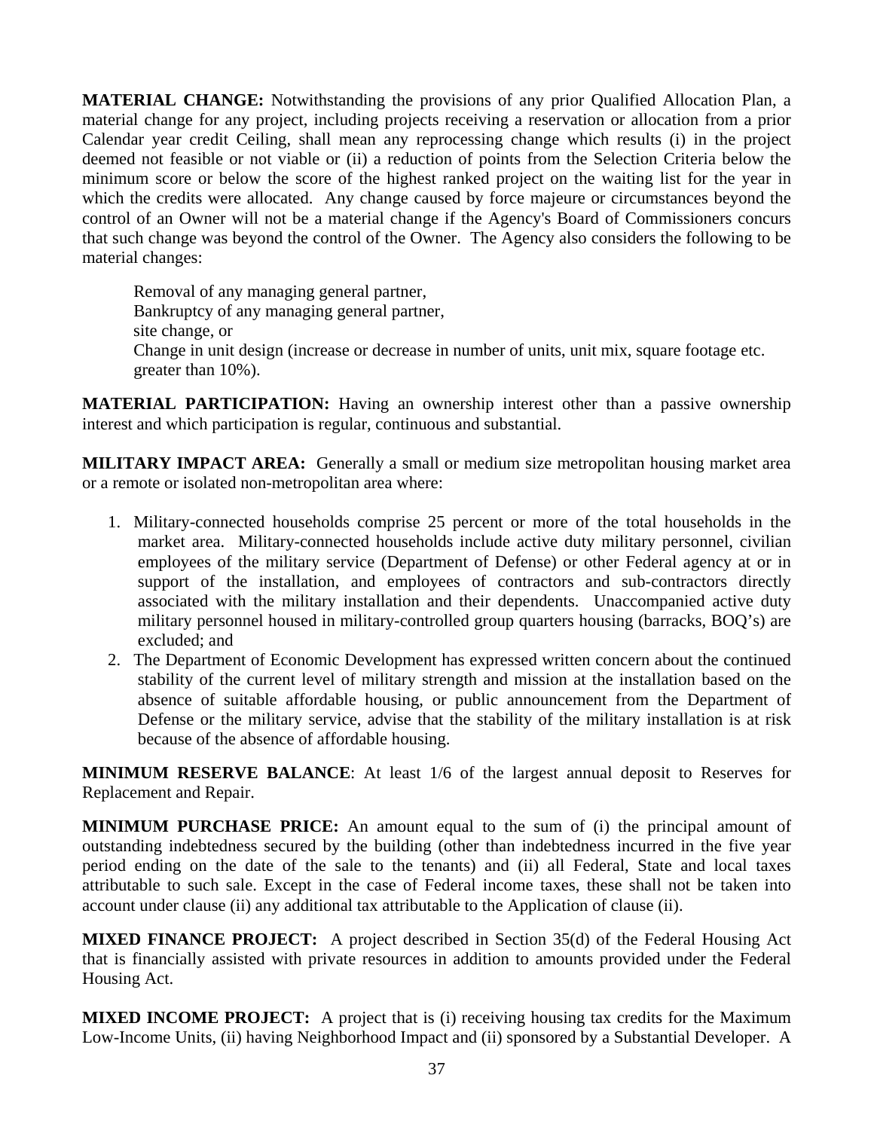**MATERIAL CHANGE:** Notwithstanding the provisions of any prior Qualified Allocation Plan, a material change for any project, including projects receiving a reservation or allocation from a prior Calendar year credit Ceiling, shall mean any reprocessing change which results (i) in the project deemed not feasible or not viable or (ii) a reduction of points from the Selection Criteria below the minimum score or below the score of the highest ranked project on the waiting list for the year in which the credits were allocated. Any change caused by force majeure or circumstances beyond the control of an Owner will not be a material change if the Agency's Board of Commissioners concurs that such change was beyond the control of the Owner. The Agency also considers the following to be material changes:

 Removal of any managing general partner, Bankruptcy of any managing general partner, site change, or Change in unit design (increase or decrease in number of units, unit mix, square footage etc. greater than 10%).

**MATERIAL PARTICIPATION:** Having an ownership interest other than a passive ownership interest and which participation is regular, continuous and substantial.

**MILITARY IMPACT AREA:** Generally a small or medium size metropolitan housing market area or a remote or isolated non-metropolitan area where:

- 1. Military-connected households comprise 25 percent or more of the total households in the market area. Military-connected households include active duty military personnel, civilian employees of the military service (Department of Defense) or other Federal agency at or in support of the installation, and employees of contractors and sub-contractors directly associated with the military installation and their dependents. Unaccompanied active duty military personnel housed in military-controlled group quarters housing (barracks, BOQ's) are excluded; and
- 2. The Department of Economic Development has expressed written concern about the continued stability of the current level of military strength and mission at the installation based on the absence of suitable affordable housing, or public announcement from the Department of Defense or the military service, advise that the stability of the military installation is at risk because of the absence of affordable housing.

**MINIMUM RESERVE BALANCE**: At least 1/6 of the largest annual deposit to Reserves for Replacement and Repair.

**MINIMUM PURCHASE PRICE:** An amount equal to the sum of (i) the principal amount of outstanding indebtedness secured by the building (other than indebtedness incurred in the five year period ending on the date of the sale to the tenants) and (ii) all Federal, State and local taxes attributable to such sale. Except in the case of Federal income taxes, these shall not be taken into account under clause (ii) any additional tax attributable to the Application of clause (ii).

**MIXED FINANCE PROJECT:** A project described in Section 35(d) of the Federal Housing Act that is financially assisted with private resources in addition to amounts provided under the Federal Housing Act.

**MIXED INCOME PROJECT:** A project that is (i) receiving housing tax credits for the Maximum Low-Income Units, (ii) having Neighborhood Impact and (ii) sponsored by a Substantial Developer. A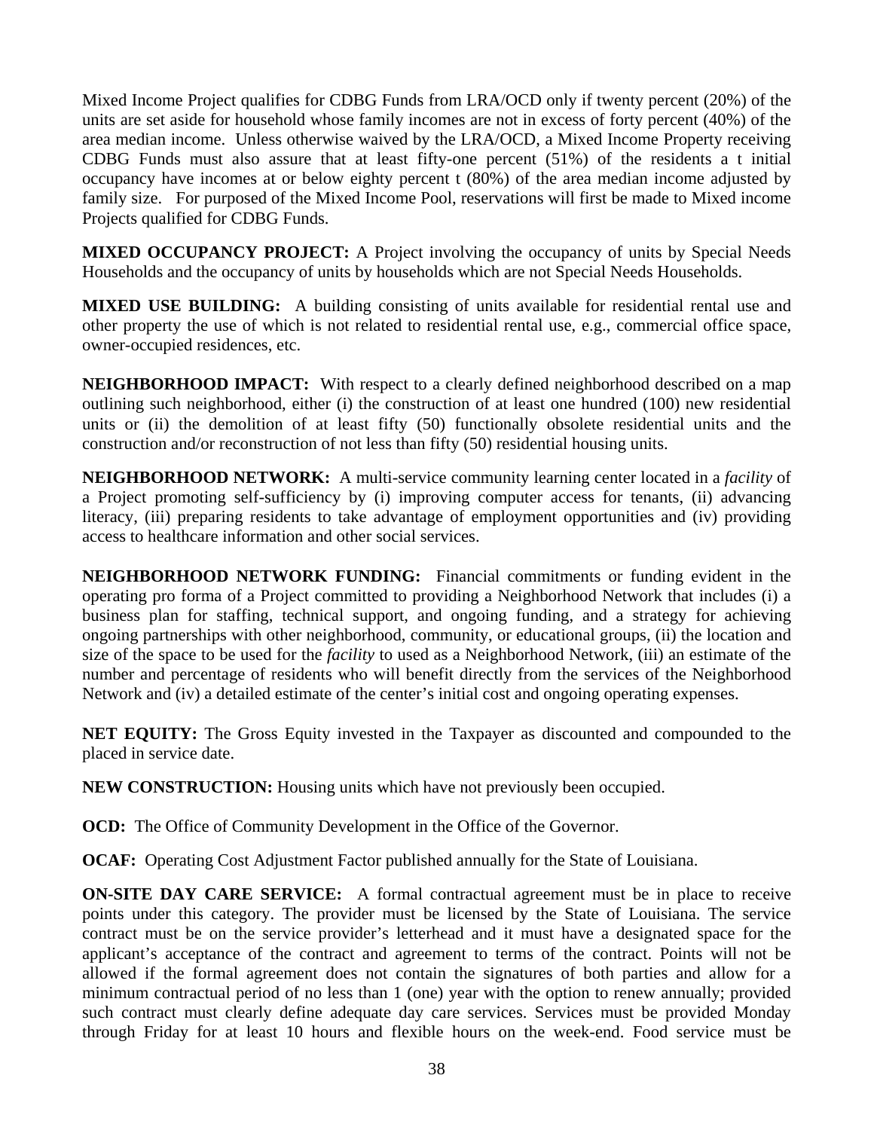Mixed Income Project qualifies for CDBG Funds from LRA/OCD only if twenty percent (20%) of the units are set aside for household whose family incomes are not in excess of forty percent (40%) of the area median income. Unless otherwise waived by the LRA/OCD, a Mixed Income Property receiving CDBG Funds must also assure that at least fifty-one percent (51%) of the residents a t initial occupancy have incomes at or below eighty percent t (80%) of the area median income adjusted by family size. For purposed of the Mixed Income Pool, reservations will first be made to Mixed income Projects qualified for CDBG Funds.

**MIXED OCCUPANCY PROJECT:** A Project involving the occupancy of units by Special Needs Households and the occupancy of units by households which are not Special Needs Households.

**MIXED USE BUILDING:** A building consisting of units available for residential rental use and other property the use of which is not related to residential rental use, e.g., commercial office space, owner-occupied residences, etc.

**NEIGHBORHOOD IMPACT:** With respect to a clearly defined neighborhood described on a map outlining such neighborhood, either (i) the construction of at least one hundred (100) new residential units or (ii) the demolition of at least fifty (50) functionally obsolete residential units and the construction and/or reconstruction of not less than fifty (50) residential housing units.

**NEIGHBORHOOD NETWORK:** A multi-service community learning center located in a *facility* of a Project promoting self-sufficiency by (i) improving computer access for tenants, (ii) advancing literacy, (iii) preparing residents to take advantage of employment opportunities and (iv) providing access to healthcare information and other social services.

**NEIGHBORHOOD NETWORK FUNDING:** Financial commitments or funding evident in the operating pro forma of a Project committed to providing a Neighborhood Network that includes (i) a business plan for staffing, technical support, and ongoing funding, and a strategy for achieving ongoing partnerships with other neighborhood, community, or educational groups, (ii) the location and size of the space to be used for the *facility* to used as a Neighborhood Network, (iii) an estimate of the number and percentage of residents who will benefit directly from the services of the Neighborhood Network and (iv) a detailed estimate of the center's initial cost and ongoing operating expenses.

**NET EQUITY:** The Gross Equity invested in the Taxpayer as discounted and compounded to the placed in service date.

**NEW CONSTRUCTION:** Housing units which have not previously been occupied.

**OCD:** The Office of Community Development in the Office of the Governor.

**OCAF:** Operating Cost Adjustment Factor published annually for the State of Louisiana.

**ON-SITE DAY CARE SERVICE:** A formal contractual agreement must be in place to receive points under this category. The provider must be licensed by the State of Louisiana. The service contract must be on the service provider's letterhead and it must have a designated space for the applicant's acceptance of the contract and agreement to terms of the contract. Points will not be allowed if the formal agreement does not contain the signatures of both parties and allow for a minimum contractual period of no less than 1 (one) year with the option to renew annually; provided such contract must clearly define adequate day care services. Services must be provided Monday through Friday for at least 10 hours and flexible hours on the week-end. Food service must be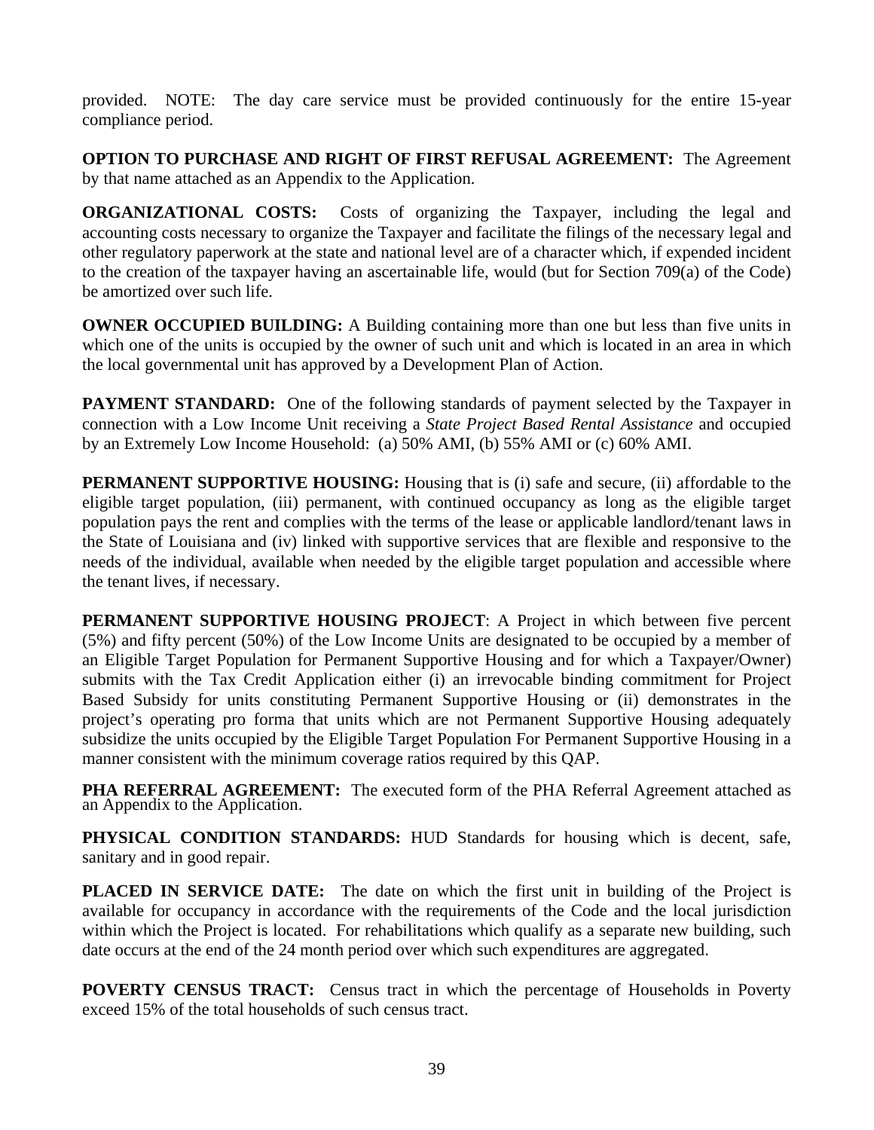provided. NOTE: The day care service must be provided continuously for the entire 15-year compliance period.

**OPTION TO PURCHASE AND RIGHT OF FIRST REFUSAL AGREEMENT:** The Agreement by that name attached as an Appendix to the Application.

**ORGANIZATIONAL COSTS:** Costs of organizing the Taxpayer, including the legal and accounting costs necessary to organize the Taxpayer and facilitate the filings of the necessary legal and other regulatory paperwork at the state and national level are of a character which, if expended incident to the creation of the taxpayer having an ascertainable life, would (but for Section 709(a) of the Code) be amortized over such life.

**OWNER OCCUPIED BUILDING:** A Building containing more than one but less than five units in which one of the units is occupied by the owner of such unit and which is located in an area in which the local governmental unit has approved by a Development Plan of Action.

**PAYMENT STANDARD:** One of the following standards of payment selected by the Taxpayer in connection with a Low Income Unit receiving a *State Project Based Rental Assistance* and occupied by an Extremely Low Income Household: (a) 50% AMI, (b) 55% AMI or (c) 60% AMI.

**PERMANENT SUPPORTIVE HOUSING:** Housing that is (i) safe and secure, (ii) affordable to the eligible target population, (iii) permanent, with continued occupancy as long as the eligible target population pays the rent and complies with the terms of the lease or applicable landlord/tenant laws in the State of Louisiana and (iv) linked with supportive services that are flexible and responsive to the needs of the individual, available when needed by the eligible target population and accessible where the tenant lives, if necessary.

**PERMANENT SUPPORTIVE HOUSING PROJECT**: A Project in which between five percent (5%) and fifty percent (50%) of the Low Income Units are designated to be occupied by a member of an Eligible Target Population for Permanent Supportive Housing and for which a Taxpayer/Owner) submits with the Tax Credit Application either (i) an irrevocable binding commitment for Project Based Subsidy for units constituting Permanent Supportive Housing or (ii) demonstrates in the project's operating pro forma that units which are not Permanent Supportive Housing adequately subsidize the units occupied by the Eligible Target Population For Permanent Supportive Housing in a manner consistent with the minimum coverage ratios required by this QAP.

**PHA REFERRAL AGREEMENT:** The executed form of the PHA Referral Agreement attached as an Appendix to the Application.

**PHYSICAL CONDITION STANDARDS:** HUD Standards for housing which is decent, safe, sanitary and in good repair.

**PLACED IN SERVICE DATE:** The date on which the first unit in building of the Project is available for occupancy in accordance with the requirements of the Code and the local jurisdiction within which the Project is located. For rehabilitations which qualify as a separate new building, such date occurs at the end of the 24 month period over which such expenditures are aggregated.

**POVERTY CENSUS TRACT:** Census tract in which the percentage of Households in Poverty exceed 15% of the total households of such census tract.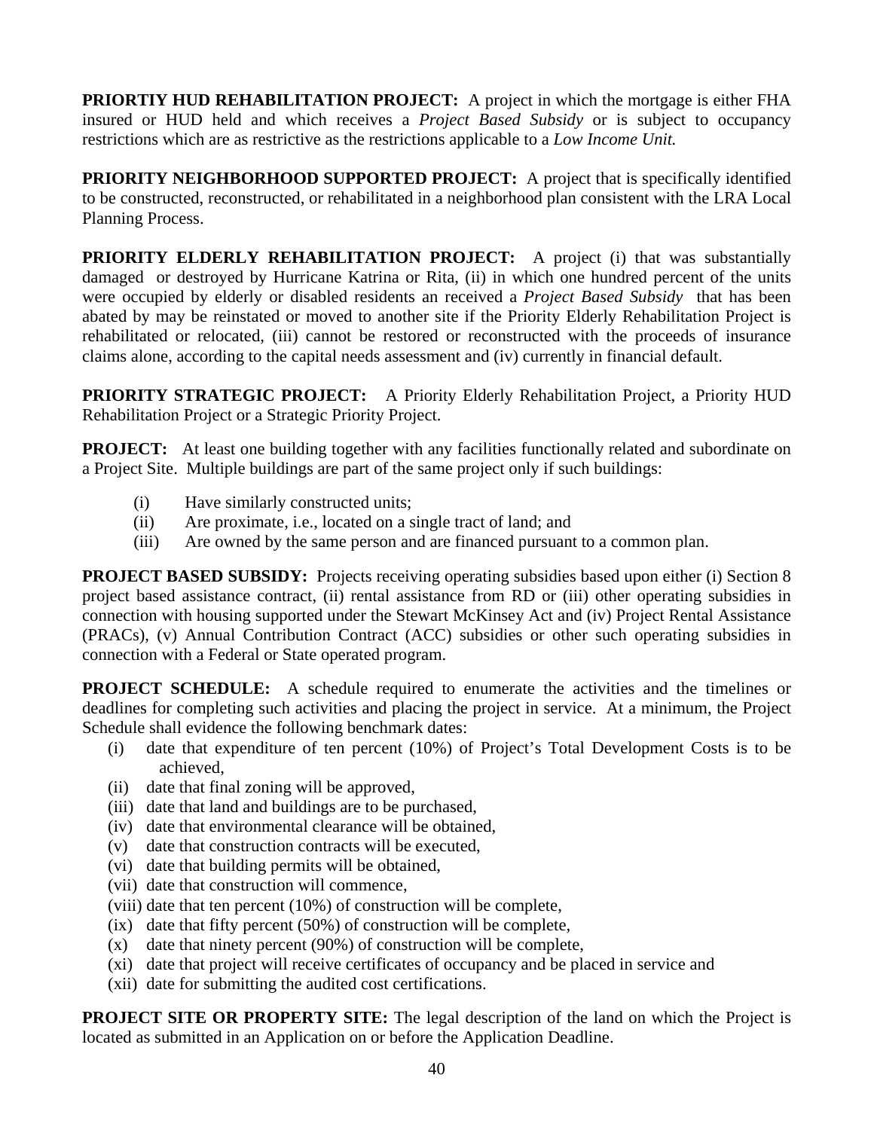**PRIORTIY HUD REHABILITATION PROJECT:** A project in which the mortgage is either FHA insured or HUD held and which receives a *Project Based Subsidy* or is subject to occupancy restrictions which are as restrictive as the restrictions applicable to a *Low Income Unit.*

**PRIORITY NEIGHBORHOOD SUPPORTED PROJECT:** A project that is specifically identified to be constructed, reconstructed, or rehabilitated in a neighborhood plan consistent with the LRA Local Planning Process.

**PRIORITY ELDERLY REHABILITATION PROJECT:** A project (i) that was substantially damaged or destroyed by Hurricane Katrina or Rita, (ii) in which one hundred percent of the units were occupied by elderly or disabled residents an received a *Project Based Subsidy* that has been abated by may be reinstated or moved to another site if the Priority Elderly Rehabilitation Project is rehabilitated or relocated, (iii) cannot be restored or reconstructed with the proceeds of insurance claims alone, according to the capital needs assessment and (iv) currently in financial default.

**PRIORITY STRATEGIC PROJECT:** A Priority Elderly Rehabilitation Project, a Priority HUD Rehabilitation Project or a Strategic Priority Project.

**PROJECT:** At least one building together with any facilities functionally related and subordinate on a Project Site. Multiple buildings are part of the same project only if such buildings:

- (i) Have similarly constructed units;
- (ii) Are proximate, i.e., located on a single tract of land; and
- (iii) Are owned by the same person and are financed pursuant to a common plan.

**PROJECT BASED SUBSIDY:** Projects receiving operating subsidies based upon either (i) Section 8 project based assistance contract, (ii) rental assistance from RD or (iii) other operating subsidies in connection with housing supported under the Stewart McKinsey Act and (iv) Project Rental Assistance (PRACs), (v) Annual Contribution Contract (ACC) subsidies or other such operating subsidies in connection with a Federal or State operated program.

**PROJECT SCHEDULE:** A schedule required to enumerate the activities and the timelines or deadlines for completing such activities and placing the project in service. At a minimum, the Project Schedule shall evidence the following benchmark dates:

- (i) date that expenditure of ten percent (10%) of Project's Total Development Costs is to be achieved,
- (ii) date that final zoning will be approved,
- (iii) date that land and buildings are to be purchased,
- (iv) date that environmental clearance will be obtained,
- (v) date that construction contracts will be executed,
- (vi) date that building permits will be obtained,
- (vii) date that construction will commence,
- (viii) date that ten percent (10%) of construction will be complete,
- (ix) date that fifty percent (50%) of construction will be complete,
- (x) date that ninety percent (90%) of construction will be complete,
- (xi) date that project will receive certificates of occupancy and be placed in service and
- (xii) date for submitting the audited cost certifications.

**PROJECT SITE OR PROPERTY SITE:** The legal description of the land on which the Project is located as submitted in an Application on or before the Application Deadline.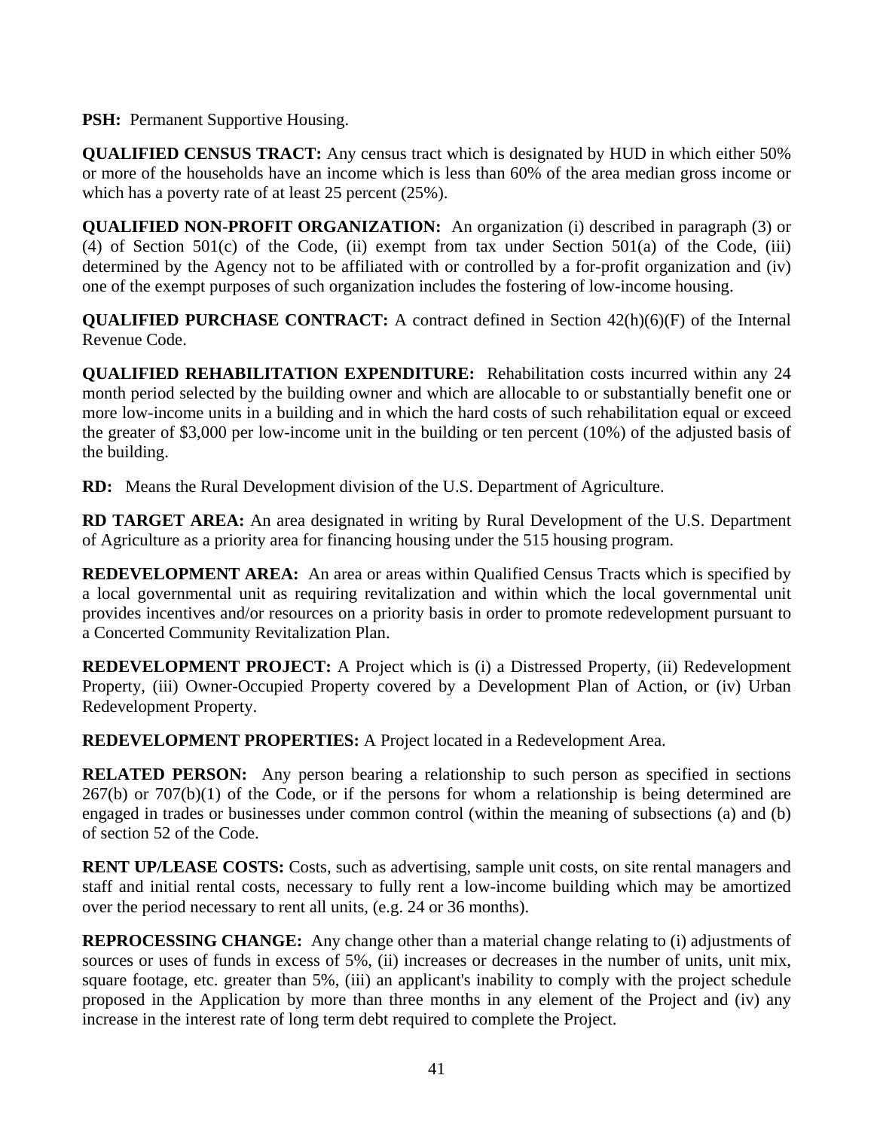**PSH:** Permanent Supportive Housing.

**QUALIFIED CENSUS TRACT:** Any census tract which is designated by HUD in which either 50% or more of the households have an income which is less than 60% of the area median gross income or which has a poverty rate of at least 25 percent (25%).

**QUALIFIED NON-PROFIT ORGANIZATION:** An organization (i) described in paragraph (3) or (4) of Section  $501(c)$  of the Code, (ii) exempt from tax under Section  $501(a)$  of the Code, (iii) determined by the Agency not to be affiliated with or controlled by a for-profit organization and (iv) one of the exempt purposes of such organization includes the fostering of low-income housing.

**QUALIFIED PURCHASE CONTRACT:** A contract defined in Section 42(h)(6)(F) of the Internal Revenue Code.

**QUALIFIED REHABILITATION EXPENDITURE:** Rehabilitation costs incurred within any 24 month period selected by the building owner and which are allocable to or substantially benefit one or more low-income units in a building and in which the hard costs of such rehabilitation equal or exceed the greater of \$3,000 per low-income unit in the building or ten percent (10%) of the adjusted basis of the building.

**RD:** Means the Rural Development division of the U.S. Department of Agriculture.

**RD TARGET AREA:** An area designated in writing by Rural Development of the U.S. Department of Agriculture as a priority area for financing housing under the 515 housing program.

**REDEVELOPMENT AREA:** An area or areas within Qualified Census Tracts which is specified by a local governmental unit as requiring revitalization and within which the local governmental unit provides incentives and/or resources on a priority basis in order to promote redevelopment pursuant to a Concerted Community Revitalization Plan.

**REDEVELOPMENT PROJECT:** A Project which is (i) a Distressed Property, (ii) Redevelopment Property, (iii) Owner-Occupied Property covered by a Development Plan of Action, or (iv) Urban Redevelopment Property.

**REDEVELOPMENT PROPERTIES:** A Project located in a Redevelopment Area.

**RELATED PERSON:** Any person bearing a relationship to such person as specified in sections  $267(b)$  or  $707(b)(1)$  of the Code, or if the persons for whom a relationship is being determined are engaged in trades or businesses under common control (within the meaning of subsections (a) and (b) of section 52 of the Code.

**RENT UP/LEASE COSTS:** Costs, such as advertising, sample unit costs, on site rental managers and staff and initial rental costs, necessary to fully rent a low-income building which may be amortized over the period necessary to rent all units, (e.g. 24 or 36 months).

**REPROCESSING CHANGE:** Any change other than a material change relating to (i) adjustments of sources or uses of funds in excess of 5%, (ii) increases or decreases in the number of units, unit mix, square footage, etc. greater than 5%, (iii) an applicant's inability to comply with the project schedule proposed in the Application by more than three months in any element of the Project and (iv) any increase in the interest rate of long term debt required to complete the Project.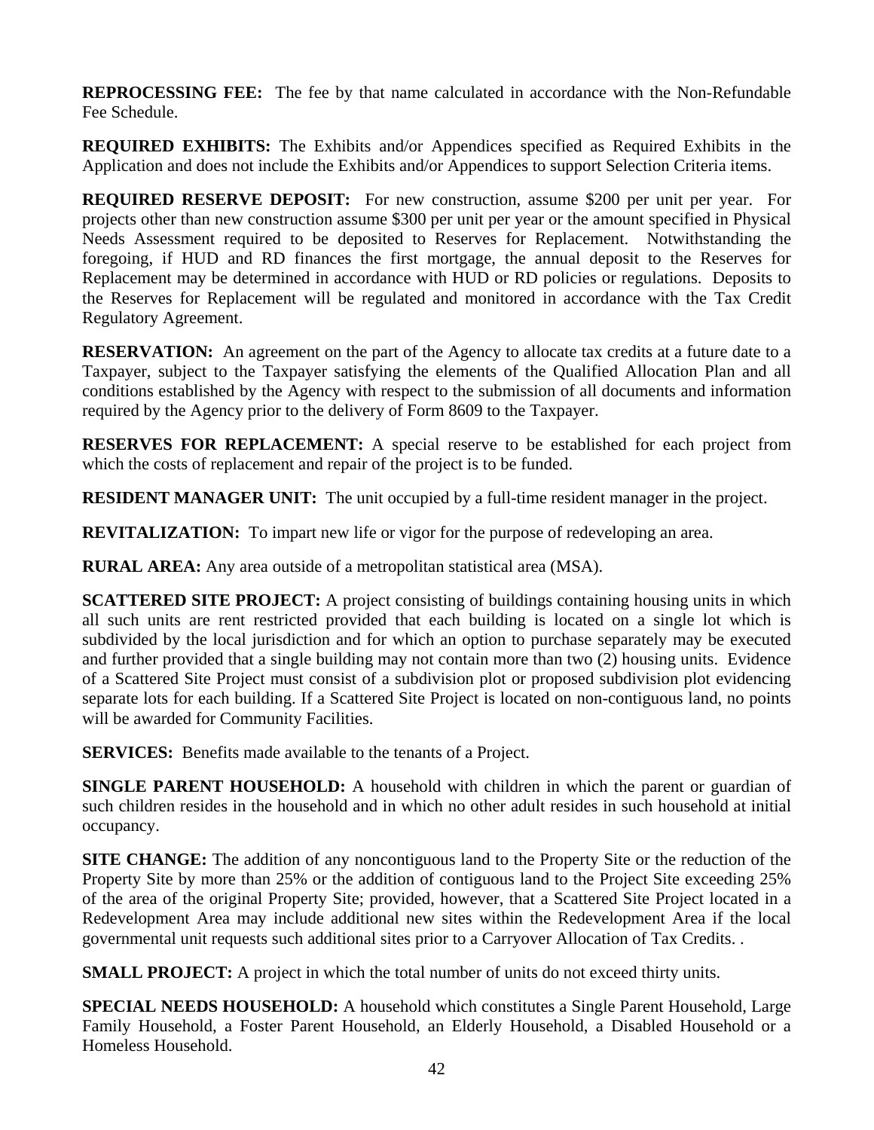**REPROCESSING FEE:** The fee by that name calculated in accordance with the Non-Refundable Fee Schedule.

**REQUIRED EXHIBITS:** The Exhibits and/or Appendices specified as Required Exhibits in the Application and does not include the Exhibits and/or Appendices to support Selection Criteria items.

**REQUIRED RESERVE DEPOSIT:** For new construction, assume \$200 per unit per year. For projects other than new construction assume \$300 per unit per year or the amount specified in Physical Needs Assessment required to be deposited to Reserves for Replacement. Notwithstanding the foregoing, if HUD and RD finances the first mortgage, the annual deposit to the Reserves for Replacement may be determined in accordance with HUD or RD policies or regulations. Deposits to the Reserves for Replacement will be regulated and monitored in accordance with the Tax Credit Regulatory Agreement.

**RESERVATION:** An agreement on the part of the Agency to allocate tax credits at a future date to a Taxpayer, subject to the Taxpayer satisfying the elements of the Qualified Allocation Plan and all conditions established by the Agency with respect to the submission of all documents and information required by the Agency prior to the delivery of Form 8609 to the Taxpayer.

**RESERVES FOR REPLACEMENT:** A special reserve to be established for each project from which the costs of replacement and repair of the project is to be funded.

**RESIDENT MANAGER UNIT:** The unit occupied by a full-time resident manager in the project.

**REVITALIZATION:** To impart new life or vigor for the purpose of redeveloping an area.

**RURAL AREA:** Any area outside of a metropolitan statistical area (MSA).

**SCATTERED SITE PROJECT:** A project consisting of buildings containing housing units in which all such units are rent restricted provided that each building is located on a single lot which is subdivided by the local jurisdiction and for which an option to purchase separately may be executed and further provided that a single building may not contain more than two (2) housing units. Evidence of a Scattered Site Project must consist of a subdivision plot or proposed subdivision plot evidencing separate lots for each building. If a Scattered Site Project is located on non-contiguous land, no points will be awarded for Community Facilities.

**SERVICES:** Benefits made available to the tenants of a Project.

**SINGLE PARENT HOUSEHOLD:** A household with children in which the parent or guardian of such children resides in the household and in which no other adult resides in such household at initial occupancy.

**SITE CHANGE:** The addition of any noncontiguous land to the Property Site or the reduction of the Property Site by more than 25% or the addition of contiguous land to the Project Site exceeding 25% of the area of the original Property Site; provided, however, that a Scattered Site Project located in a Redevelopment Area may include additional new sites within the Redevelopment Area if the local governmental unit requests such additional sites prior to a Carryover Allocation of Tax Credits. .

**SMALL PROJECT:** A project in which the total number of units do not exceed thirty units.

**SPECIAL NEEDS HOUSEHOLD:** A household which constitutes a Single Parent Household, Large Family Household, a Foster Parent Household, an Elderly Household, a Disabled Household or a Homeless Household.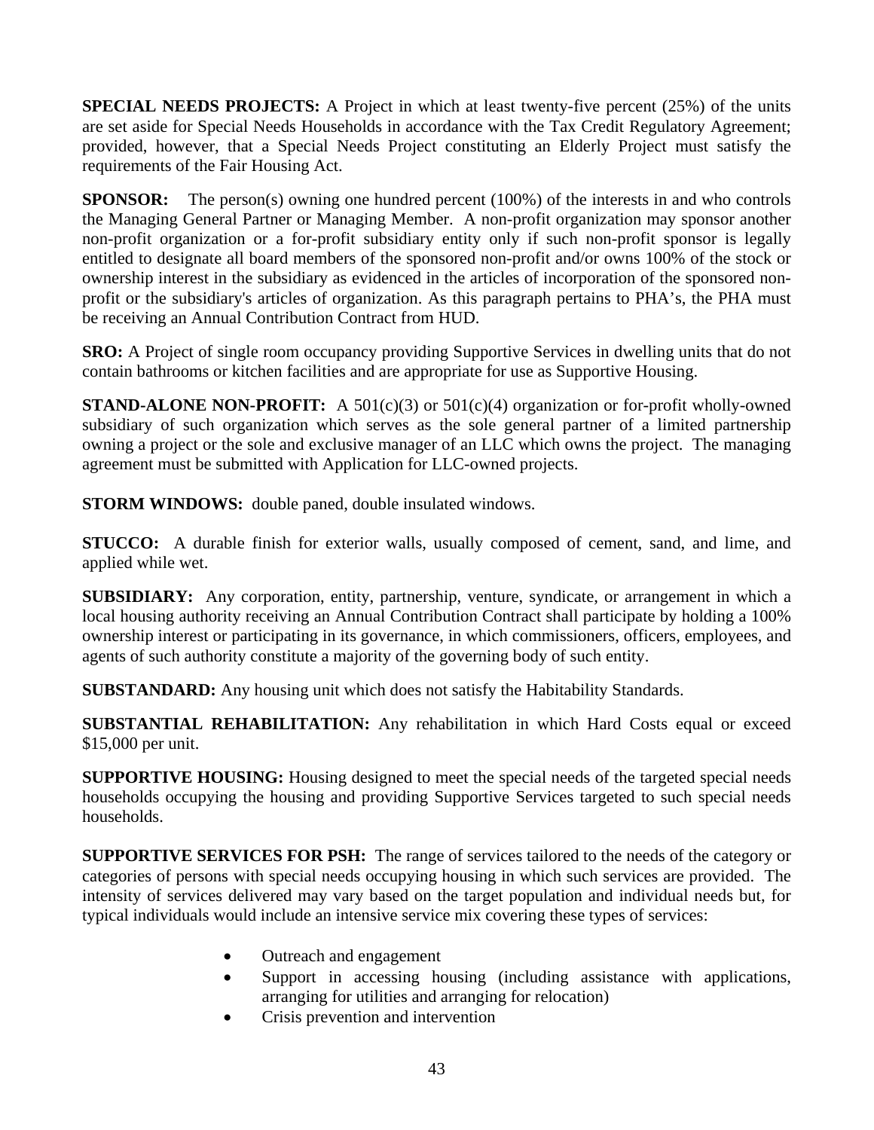**SPECIAL NEEDS PROJECTS:** A Project in which at least twenty-five percent (25%) of the units are set aside for Special Needs Households in accordance with the Tax Credit Regulatory Agreement; provided, however, that a Special Needs Project constituting an Elderly Project must satisfy the requirements of the Fair Housing Act.

**SPONSOR:** The person(s) owning one hundred percent (100%) of the interests in and who controls the Managing General Partner or Managing Member. A non-profit organization may sponsor another non-profit organization or a for-profit subsidiary entity only if such non-profit sponsor is legally entitled to designate all board members of the sponsored non-profit and/or owns 100% of the stock or ownership interest in the subsidiary as evidenced in the articles of incorporation of the sponsored nonprofit or the subsidiary's articles of organization. As this paragraph pertains to PHA's, the PHA must be receiving an Annual Contribution Contract from HUD.

**SRO:** A Project of single room occupancy providing Supportive Services in dwelling units that do not contain bathrooms or kitchen facilities and are appropriate for use as Supportive Housing.

**STAND-ALONE NON-PROFIT:** A 501(c)(3) or  $501(c)(4)$  organization or for-profit wholly-owned subsidiary of such organization which serves as the sole general partner of a limited partnership owning a project or the sole and exclusive manager of an LLC which owns the project. The managing agreement must be submitted with Application for LLC-owned projects.

**STORM WINDOWS:** double paned, double insulated windows.

**STUCCO:** A durable finish for exterior walls, usually composed of cement, sand, and lime, and applied while wet.

**SUBSIDIARY:** Any corporation, entity, partnership, venture, syndicate, or arrangement in which a local housing authority receiving an Annual Contribution Contract shall participate by holding a 100% ownership interest or participating in its governance, in which commissioners, officers, employees, and agents of such authority constitute a majority of the governing body of such entity.

**SUBSTANDARD:** Any housing unit which does not satisfy the Habitability Standards.

**SUBSTANTIAL REHABILITATION:** Any rehabilitation in which Hard Costs equal or exceed \$15,000 per unit.

**SUPPORTIVE HOUSING:** Housing designed to meet the special needs of the targeted special needs households occupying the housing and providing Supportive Services targeted to such special needs households.

**SUPPORTIVE SERVICES FOR PSH:** The range of services tailored to the needs of the category or categories of persons with special needs occupying housing in which such services are provided. The intensity of services delivered may vary based on the target population and individual needs but, for typical individuals would include an intensive service mix covering these types of services:

- Outreach and engagement
- Support in accessing housing (including assistance with applications, arranging for utilities and arranging for relocation)
- Crisis prevention and intervention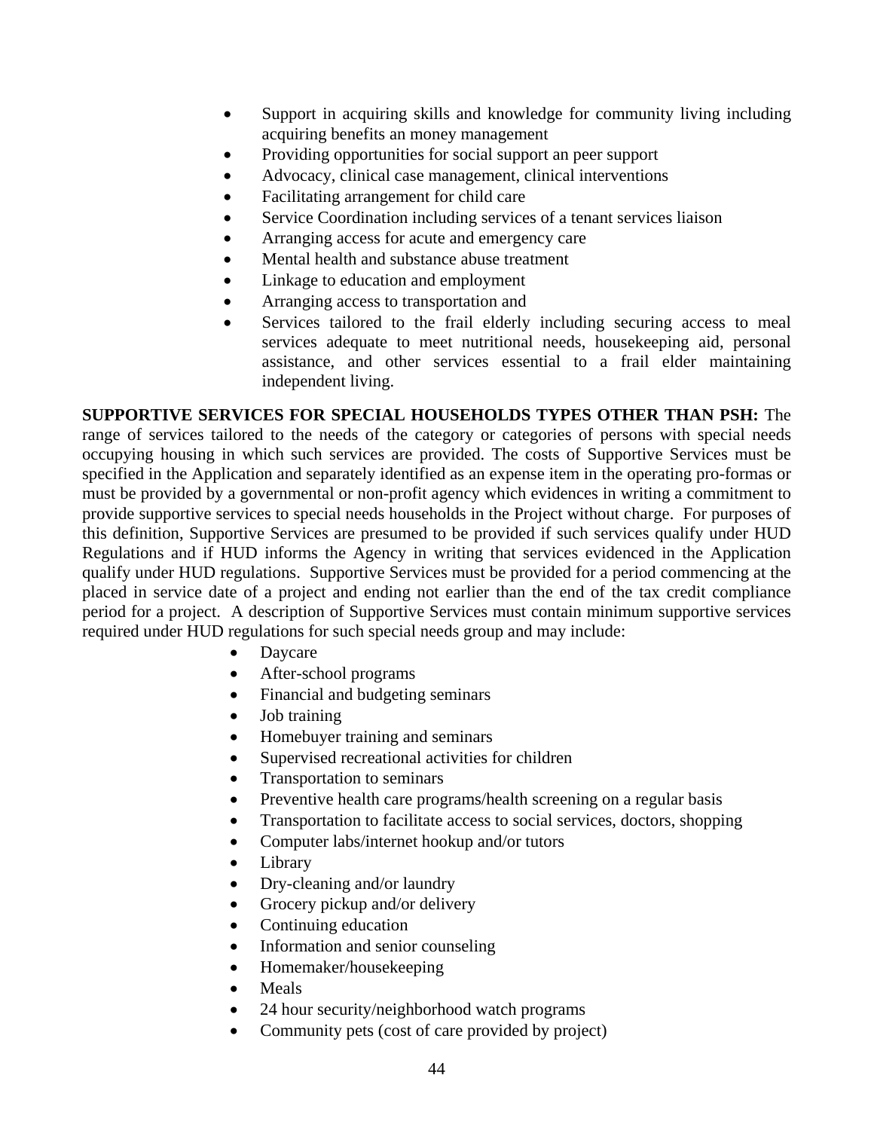- Support in acquiring skills and knowledge for community living including acquiring benefits an money management
- Providing opportunities for social support an peer support
- Advocacy, clinical case management, clinical interventions
- Facilitating arrangement for child care
- Service Coordination including services of a tenant services liaison
- Arranging access for acute and emergency care
- Mental health and substance abuse treatment
- Linkage to education and employment
- Arranging access to transportation and
- Services tailored to the frail elderly including securing access to meal services adequate to meet nutritional needs, housekeeping aid, personal assistance, and other services essential to a frail elder maintaining independent living.

**SUPPORTIVE SERVICES FOR SPECIAL HOUSEHOLDS TYPES OTHER THAN PSH:** The range of services tailored to the needs of the category or categories of persons with special needs occupying housing in which such services are provided. The costs of Supportive Services must be specified in the Application and separately identified as an expense item in the operating pro-formas or must be provided by a governmental or non-profit agency which evidences in writing a commitment to provide supportive services to special needs households in the Project without charge. For purposes of this definition, Supportive Services are presumed to be provided if such services qualify under HUD Regulations and if HUD informs the Agency in writing that services evidenced in the Application qualify under HUD regulations. Supportive Services must be provided for a period commencing at the placed in service date of a project and ending not earlier than the end of the tax credit compliance period for a project. A description of Supportive Services must contain minimum supportive services required under HUD regulations for such special needs group and may include:

- Daycare
- After-school programs
- Financial and budgeting seminars
- Job training
- Homebuyer training and seminars
- Supervised recreational activities for children
- Transportation to seminars
- Preventive health care programs/health screening on a regular basis
- Transportation to facilitate access to social services, doctors, shopping
- Computer labs/internet hookup and/or tutors
- Library
- Dry-cleaning and/or laundry
- Grocery pickup and/or delivery
- Continuing education
- Information and senior counseling
- Homemaker/housekeeping
- **Meals**
- 24 hour security/neighborhood watch programs
- Community pets (cost of care provided by project)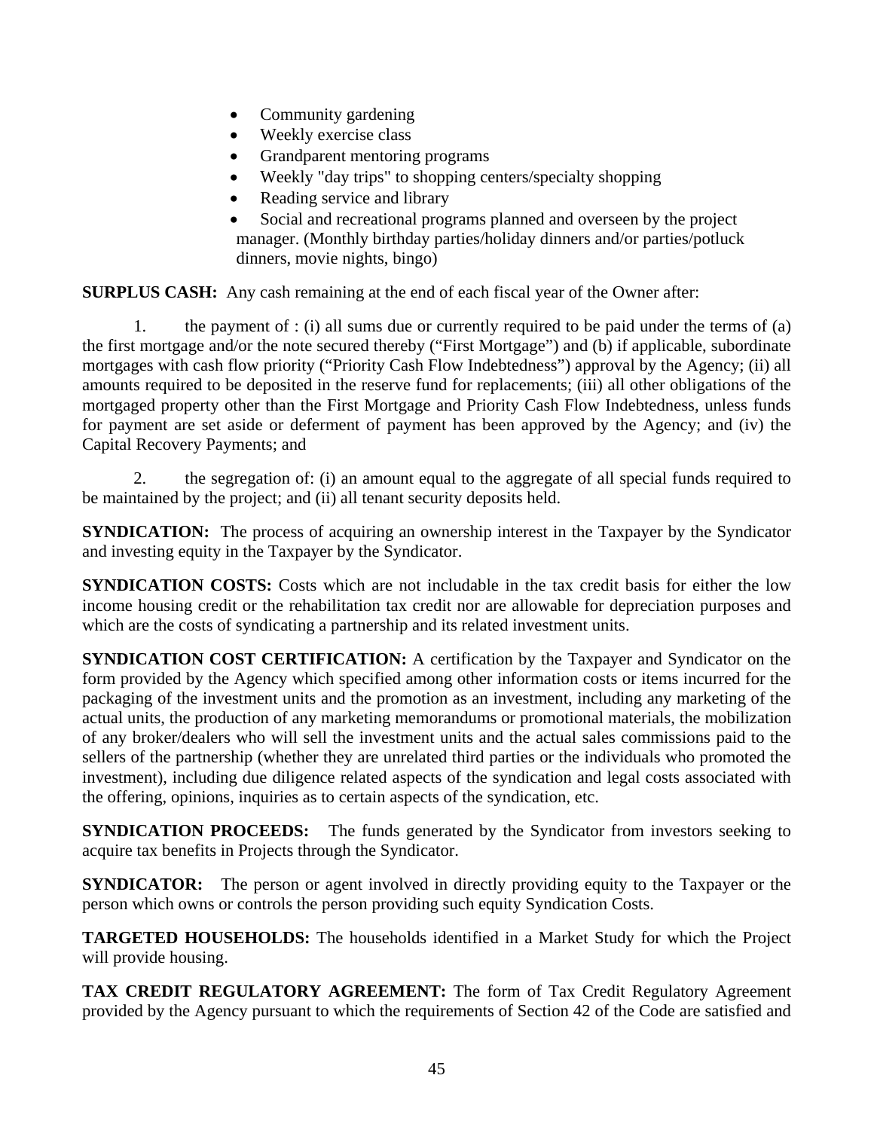- Community gardening
- Weekly exercise class
- Grandparent mentoring programs
- Weekly "day trips" to shopping centers/specialty shopping
- Reading service and library
- Social and recreational programs planned and overseen by the project manager. (Monthly birthday parties/holiday dinners and/or parties/potluck dinners, movie nights, bingo)

**SURPLUS CASH:** Any cash remaining at the end of each fiscal year of the Owner after:

 1. the payment of : (i) all sums due or currently required to be paid under the terms of (a) the first mortgage and/or the note secured thereby ("First Mortgage") and (b) if applicable, subordinate mortgages with cash flow priority ("Priority Cash Flow Indebtedness") approval by the Agency; (ii) all amounts required to be deposited in the reserve fund for replacements; (iii) all other obligations of the mortgaged property other than the First Mortgage and Priority Cash Flow Indebtedness, unless funds for payment are set aside or deferment of payment has been approved by the Agency; and (iv) the Capital Recovery Payments; and

 2. the segregation of: (i) an amount equal to the aggregate of all special funds required to be maintained by the project; and (ii) all tenant security deposits held.

**SYNDICATION:** The process of acquiring an ownership interest in the Taxpayer by the Syndicator and investing equity in the Taxpayer by the Syndicator.

**SYNDICATION COSTS:** Costs which are not includable in the tax credit basis for either the low income housing credit or the rehabilitation tax credit nor are allowable for depreciation purposes and which are the costs of syndicating a partnership and its related investment units.

**SYNDICATION COST CERTIFICATION:** A certification by the Taxpayer and Syndicator on the form provided by the Agency which specified among other information costs or items incurred for the packaging of the investment units and the promotion as an investment, including any marketing of the actual units, the production of any marketing memorandums or promotional materials, the mobilization of any broker/dealers who will sell the investment units and the actual sales commissions paid to the sellers of the partnership (whether they are unrelated third parties or the individuals who promoted the investment), including due diligence related aspects of the syndication and legal costs associated with the offering, opinions, inquiries as to certain aspects of the syndication, etc.

**SYNDICATION PROCEEDS:** The funds generated by the Syndicator from investors seeking to acquire tax benefits in Projects through the Syndicator.

**SYNDICATOR:** The person or agent involved in directly providing equity to the Taxpayer or the person which owns or controls the person providing such equity Syndication Costs.

**TARGETED HOUSEHOLDS:** The households identified in a Market Study for which the Project will provide housing.

**TAX CREDIT REGULATORY AGREEMENT:** The form of Tax Credit Regulatory Agreement provided by the Agency pursuant to which the requirements of Section 42 of the Code are satisfied and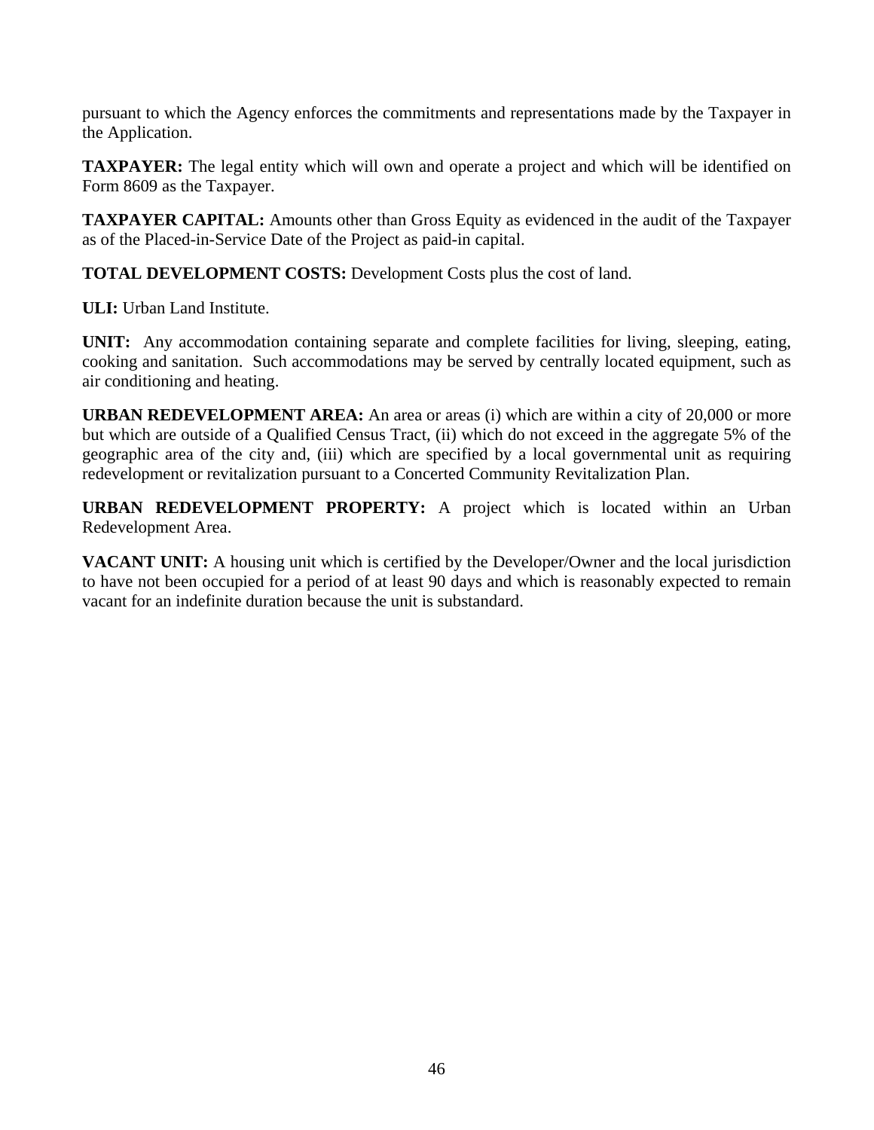pursuant to which the Agency enforces the commitments and representations made by the Taxpayer in the Application.

**TAXPAYER:** The legal entity which will own and operate a project and which will be identified on Form 8609 as the Taxpayer.

**TAXPAYER CAPITAL:** Amounts other than Gross Equity as evidenced in the audit of the Taxpayer as of the Placed-in-Service Date of the Project as paid-in capital.

**TOTAL DEVELOPMENT COSTS:** Development Costs plus the cost of land.

**ULI:** Urban Land Institute.

**UNIT:** Any accommodation containing separate and complete facilities for living, sleeping, eating, cooking and sanitation. Such accommodations may be served by centrally located equipment, such as air conditioning and heating.

**URBAN REDEVELOPMENT AREA:** An area or areas (i) which are within a city of 20,000 or more but which are outside of a Qualified Census Tract, (ii) which do not exceed in the aggregate 5% of the geographic area of the city and, (iii) which are specified by a local governmental unit as requiring redevelopment or revitalization pursuant to a Concerted Community Revitalization Plan.

**URBAN REDEVELOPMENT PROPERTY:** A project which is located within an Urban Redevelopment Area.

**VACANT UNIT:** A housing unit which is certified by the Developer/Owner and the local jurisdiction to have not been occupied for a period of at least 90 days and which is reasonably expected to remain vacant for an indefinite duration because the unit is substandard.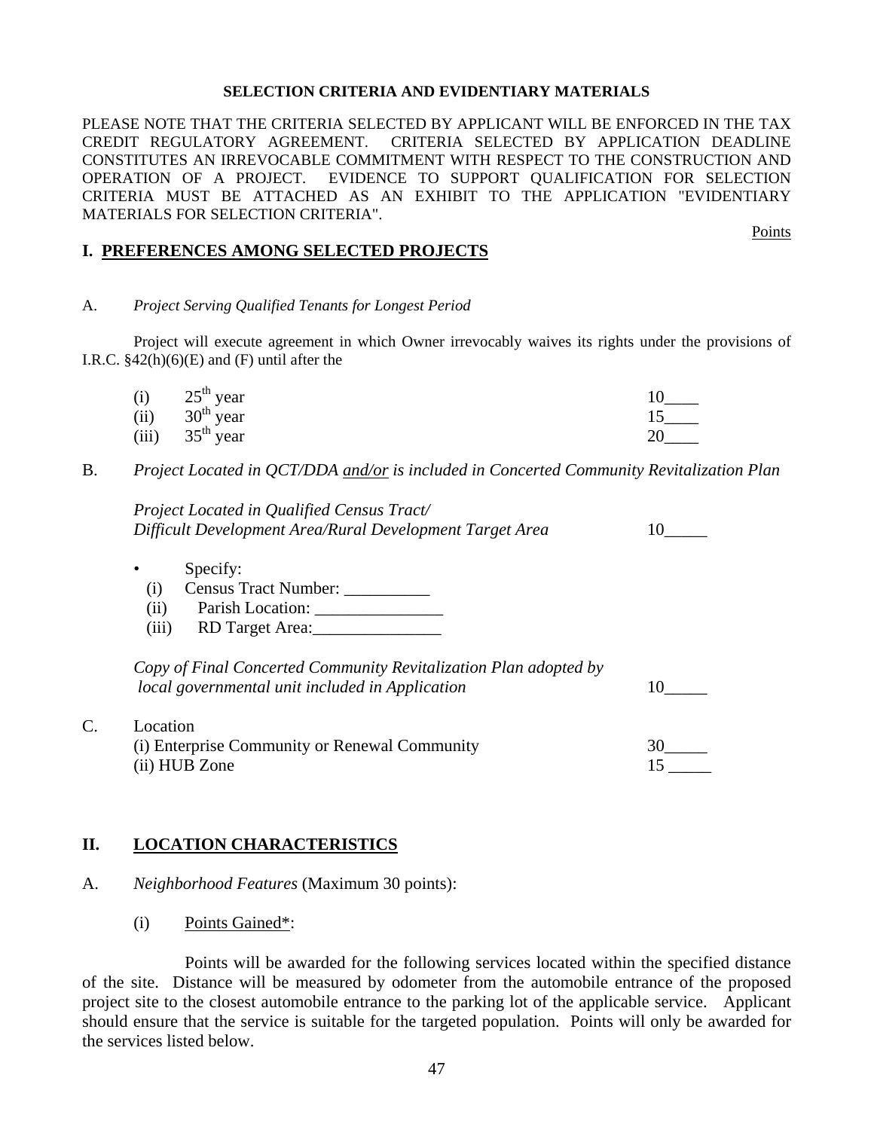#### **SELECTION CRITERIA AND EVIDENTIARY MATERIALS**

PLEASE NOTE THAT THE CRITERIA SELECTED BY APPLICANT WILL BE ENFORCED IN THE TAX CREDIT REGULATORY AGREEMENT. CRITERIA SELECTED BY APPLICATION DEADLINE CONSTITUTES AN IRREVOCABLE COMMITMENT WITH RESPECT TO THE CONSTRUCTION AND OPERATION OF A PROJECT. EVIDENCE TO SUPPORT QUALIFICATION FOR SELECTION CRITERIA MUST BE ATTACHED AS AN EXHIBIT TO THE APPLICATION "EVIDENTIARY MATERIALS FOR SELECTION CRITERIA".

#### **I. PREFERENCES AMONG SELECTED PROJECTS**

#### A. *Project Serving Qualified Tenants for Longest Period*

Project will execute agreement in which Owner irrevocably waives its rights under the provisions of I.R.C.  $§42(h)(6)(E)$  and  $(F)$  until after the

| (i) $25th$ year   |  |
|-------------------|--|
| (ii) $30th$ year  |  |
| (iii) $35th$ year |  |

B. *Project Located in QCT/DDA and/or is included in Concerted Community Revitalization Plan* 

*Project Located in Qualified Census Tract/ Difficult Development Area/Rural Development Target Area* 10\_\_\_\_\_

- Specify:
- (i) Census Tract Number: \_\_\_\_\_\_\_\_\_\_
- (ii) Parish Location: \_\_\_\_\_\_\_\_\_\_\_\_\_\_\_
- (iii) RD Target Area:\_\_\_\_\_\_\_\_\_\_\_\_\_\_\_

*Copy of Final Concerted Community Revitalization Plan adopted by local governmental unit included in Application* 10\_\_\_\_\_

| $C_{\cdot}$ | Location                                      |  |
|-------------|-----------------------------------------------|--|
|             | (i) Enterprise Community or Renewal Community |  |
|             | (ii) HUB Zone                                 |  |

#### **II. LOCATION CHARACTERISTICS**

- A. *Neighborhood Features* (Maximum 30 points):
	- (i) Points Gained\*:

 Points will be awarded for the following services located within the specified distance of the site. Distance will be measured by odometer from the automobile entrance of the proposed project site to the closest automobile entrance to the parking lot of the applicable service. Applicant should ensure that the service is suitable for the targeted population. Points will only be awarded for the services listed below.

Points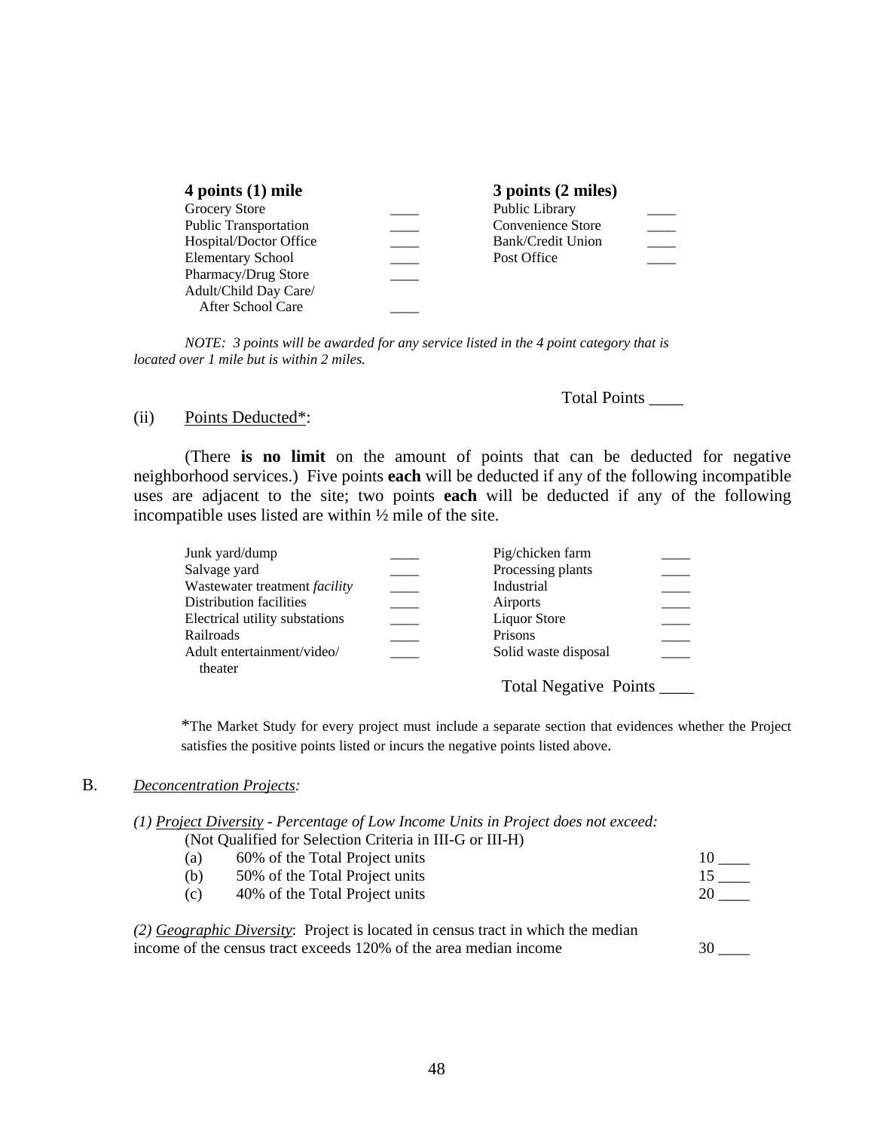| 4 points $(1)$ mile          | 3 points (2 miles) |  |
|------------------------------|--------------------|--|
| Grocery Store                | Public Library     |  |
| <b>Public Transportation</b> | Convenience Store  |  |
| Hospital/Doctor Office       | Bank/Credit Union  |  |
| <b>Elementary School</b>     | Post Office        |  |
| Pharmacy/Drug Store          |                    |  |
| Adult/Child Day Care/        |                    |  |
| After School Care            |                    |  |

 *NOTE: 3 points will be awarded for any service listed in the 4 point category that is located over 1 mile but is within 2 miles.* 

Total Points \_\_\_\_

#### (ii) Points Deducted\*:

 (There **is no limit** on the amount of points that can be deducted for negative neighborhood services.) Five points **each** will be deducted if any of the following incompatible uses are adjacent to the site; two points **each** will be deducted if any of the following incompatible uses listed are within ½ mile of the site.

| Junk yard/dump                        | Pig/chicken farm          |  |
|---------------------------------------|---------------------------|--|
| Salvage yard                          | Processing plants         |  |
| Wastewater treatment <i>facility</i>  | Industrial                |  |
| Distribution facilities               | Airports                  |  |
| Electrical utility substations        | <b>Liquor Store</b>       |  |
| Railroads                             | Prisons                   |  |
| Adult entertainment/video/<br>theater | Solid waste disposal      |  |
|                                       | Total Negative Points ___ |  |

\*The Market Study for every project must include a separate section that evidences whether the Project satisfies the positive points listed or incurs the negative points listed above.

#### B. *Deconcentration Projects:*

| (1) Project Diversity - Percentage of Low Income Units in Project does not exceed: |                                                          |  |  |
|------------------------------------------------------------------------------------|----------------------------------------------------------|--|--|
|                                                                                    | (Not Qualified for Selection Criteria in III-G or III-H) |  |  |

| (a) | 60% of the Total Project units |    |
|-----|--------------------------------|----|
| (b) | 50% of the Total Project units |    |
| (C) | 40% of the Total Project units | 20 |
|     |                                |    |

 *(2) Geographic Diversity*: Project is located in census tract in which the median income of the census tract exceeds 120% of the area median income 30 \_\_\_\_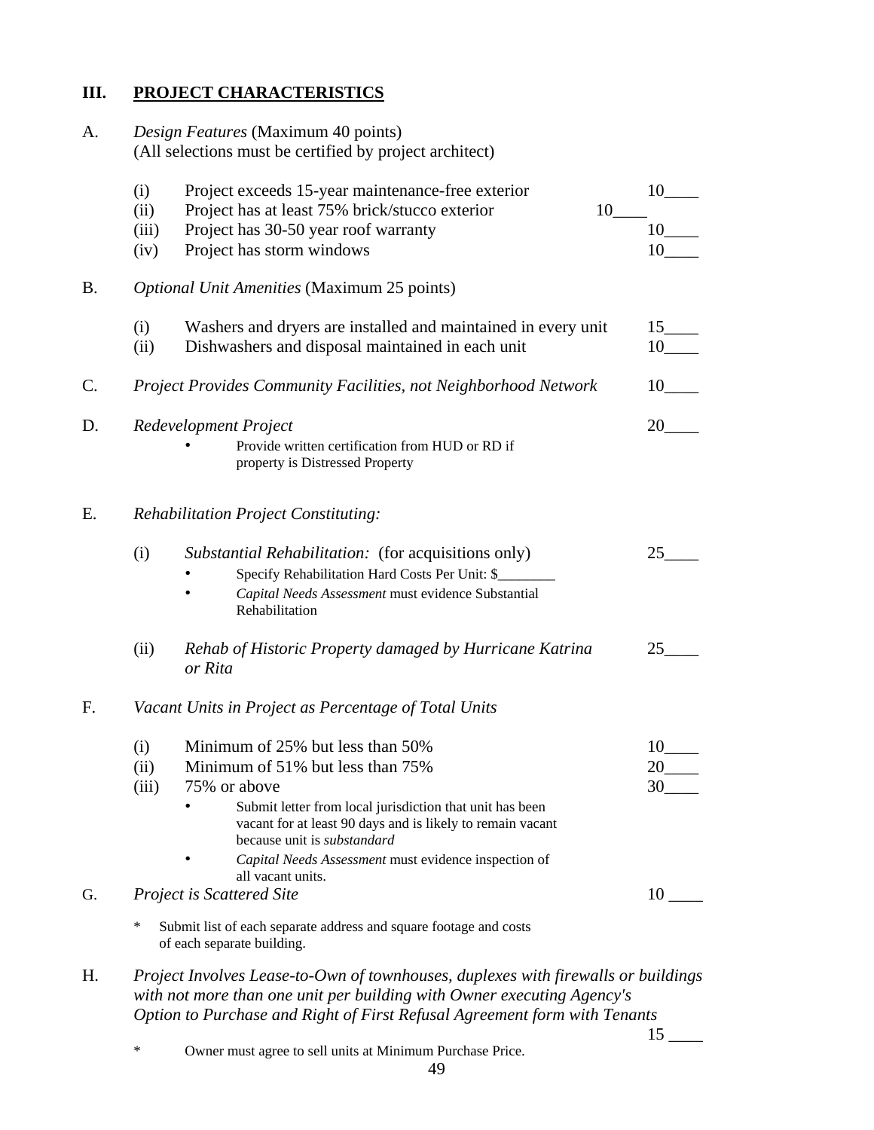## **III. PROJECT CHARACTERISTICS**

A. *Design Features* (Maximum 40 points) (All selections must be certified by project architect) (i) Project exceeds 15-year maintenance-free exterior 10\_\_\_\_ (ii) Project has at least 75% brick/stucco exterior  $10$  10  $10$  10 (iii) Project has  $30-50$  year roof warranty (iv) Project has storm windows 10\_\_\_\_ B. *Optional Unit Amenities* (Maximum 25 points) (i) Washers and dryers are installed and maintained in every unit 15\_\_\_\_ (ii) Dishwashers and disposal maintained in each unit 10 C. *Project Provides Community Facilities, not Neighborhood Network* 10\_\_\_\_ D. *Redevelopment Project* 20\_\_\_\_ • Provide written certification from HUD or RD if property is Distressed Property E. *Rehabilitation Project Constituting:*  (i) *Substantial Rehabilitation:* (for acquisitions only) 25\_\_\_\_ • Specify Rehabilitation Hard Costs Per Unit: \$ • *Capital Needs Assessment* must evidence Substantial Rehabilitation (ii) *Rehab of Historic Property damaged by Hurricane Katrina* 25\_\_\_\_  *or Rita* F. *Vacant Units in Project as Percentage of Total Units*  (i) Minimum of 25% but less than  $50\%$  10 (ii) Minimum of 51% but less than 75% 20\_\_\_\_ (iii)  $75\%$  or above  $30$ Submit letter from local jurisdiction that unit has been vacant for at least 90 days and is likely to remain vacant because unit is *substandard* • *Capital Needs Assessment* must evidence inspection of all vacant units. G. *Project is Scattered Site* 10 \_\_\_\_ Submit list of each separate address and square footage and costs of each separate building.

- H. *Project Involves Lease-to-Own of townhouses, duplexes with firewalls or buildings with not more than one unit per building with Owner executing Agency's Option to Purchase and Right of First Refusal Agreement form with Tenants* 
	- <sup>\*</sup> Owner must agree to sell units at Minimum Purchase Price.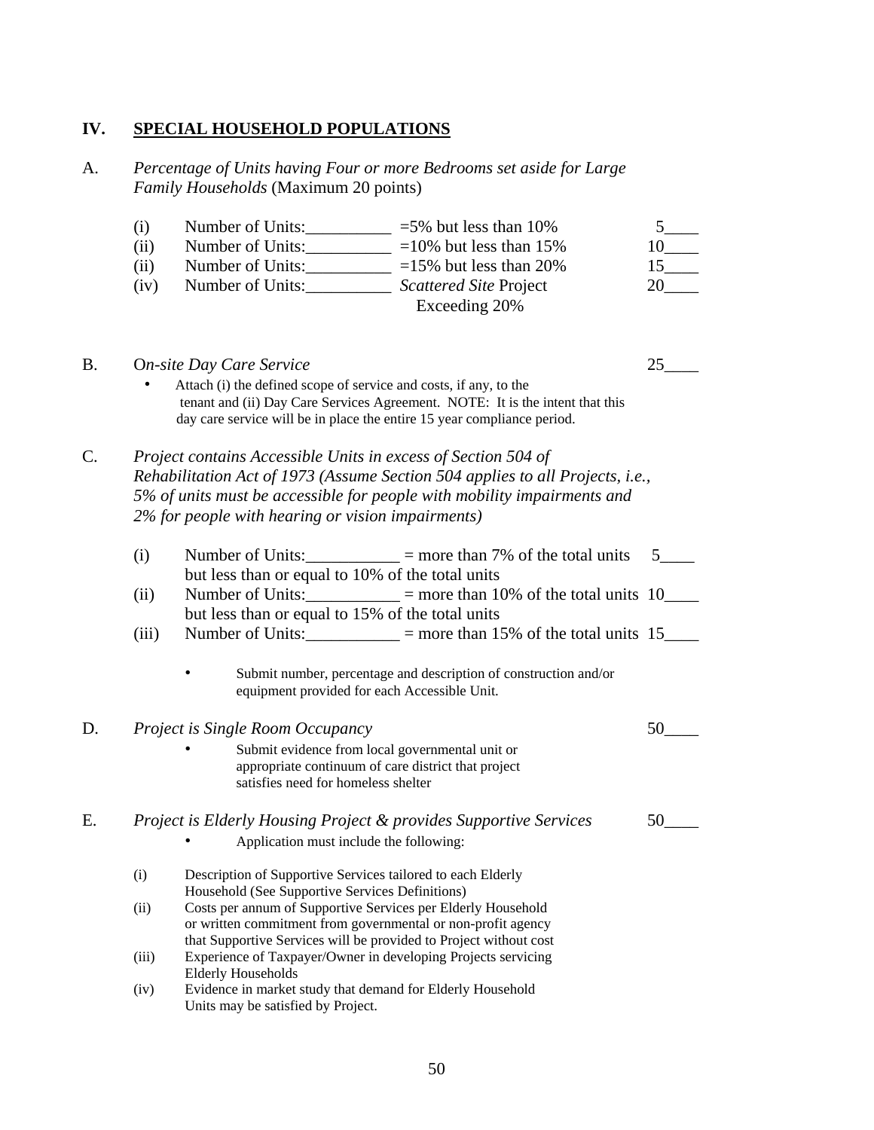# **IV. SPECIAL HOUSEHOLD POPULATIONS**

A. *Percentage of Units having Four or more Bedrooms set aside for Large Family Households* (Maximum 20 points)

|    | (i)<br>(ii)<br>(ii)<br>(iv) | Number of Units: ____________ =5% but less than 10%<br>Number of Units: __________ =10% but less than 15%<br>Number of Units: $\frac{1}{2}$ =15% but less than 20%<br>Number of Units:______________ Scattered Site Project                                                    | Exceeding 20% | 5 <sup>5</sup><br>10<br>$15$ <sub>____</sub><br>20 |
|----|-----------------------------|--------------------------------------------------------------------------------------------------------------------------------------------------------------------------------------------------------------------------------------------------------------------------------|---------------|----------------------------------------------------|
| B. |                             | <b>On-site Day Care Service</b><br>Attach (i) the defined scope of service and costs, if any, to the<br>tenant and (ii) Day Care Services Agreement. NOTE: It is the intent that this<br>day care service will be in place the entire 15 year compliance period.               |               | 25                                                 |
| C. |                             | Project contains Accessible Units in excess of Section 504 of<br>Rehabilitation Act of 1973 (Assume Section 504 applies to all Projects, i.e.,<br>5% of units must be accessible for people with mobility impairments and<br>2% for people with hearing or vision impairments) |               |                                                    |
|    | (i)                         | Number of Units: $\frac{1}{2}$ = more than 7% of the total units                                                                                                                                                                                                               |               | 5 <sup>5</sup>                                     |
|    | (ii)                        | but less than or equal to 10% of the total units<br>Number of Units: $\frac{10}{2}$ = more than 10% of the total units 10<br>but less than or equal to 15% of the total units                                                                                                  |               |                                                    |
|    | (iii)                       | Number of Units: $\frac{15}{15}$ = more than 15% of the total units 15                                                                                                                                                                                                         |               |                                                    |
|    |                             | Submit number, percentage and description of construction and/or<br>equipment provided for each Accessible Unit.                                                                                                                                                               |               |                                                    |
| D. |                             | Project is Single Room Occupancy                                                                                                                                                                                                                                               |               | 50                                                 |
|    |                             | Submit evidence from local governmental unit or<br>appropriate continuum of care district that project<br>satisfies need for homeless shelter                                                                                                                                  |               |                                                    |
| E. |                             | Project is Elderly Housing Project & provides Supportive Services<br>Application must include the following:                                                                                                                                                                   |               | 50                                                 |
|    | (i)                         | Description of Supportive Services tailored to each Elderly                                                                                                                                                                                                                    |               |                                                    |
|    | (ii)                        | Household (See Supportive Services Definitions)<br>Costs per annum of Supportive Services per Elderly Household<br>or written commitment from governmental or non-profit agency<br>that Supportive Services will be provided to Project without cost                           |               |                                                    |
|    | (iii)                       | Experience of Taxpayer/Owner in developing Projects servicing                                                                                                                                                                                                                  |               |                                                    |
|    | (iv)                        | <b>Elderly Households</b><br>Evidence in market study that demand for Elderly Household<br>Units may be satisfied by Project.                                                                                                                                                  |               |                                                    |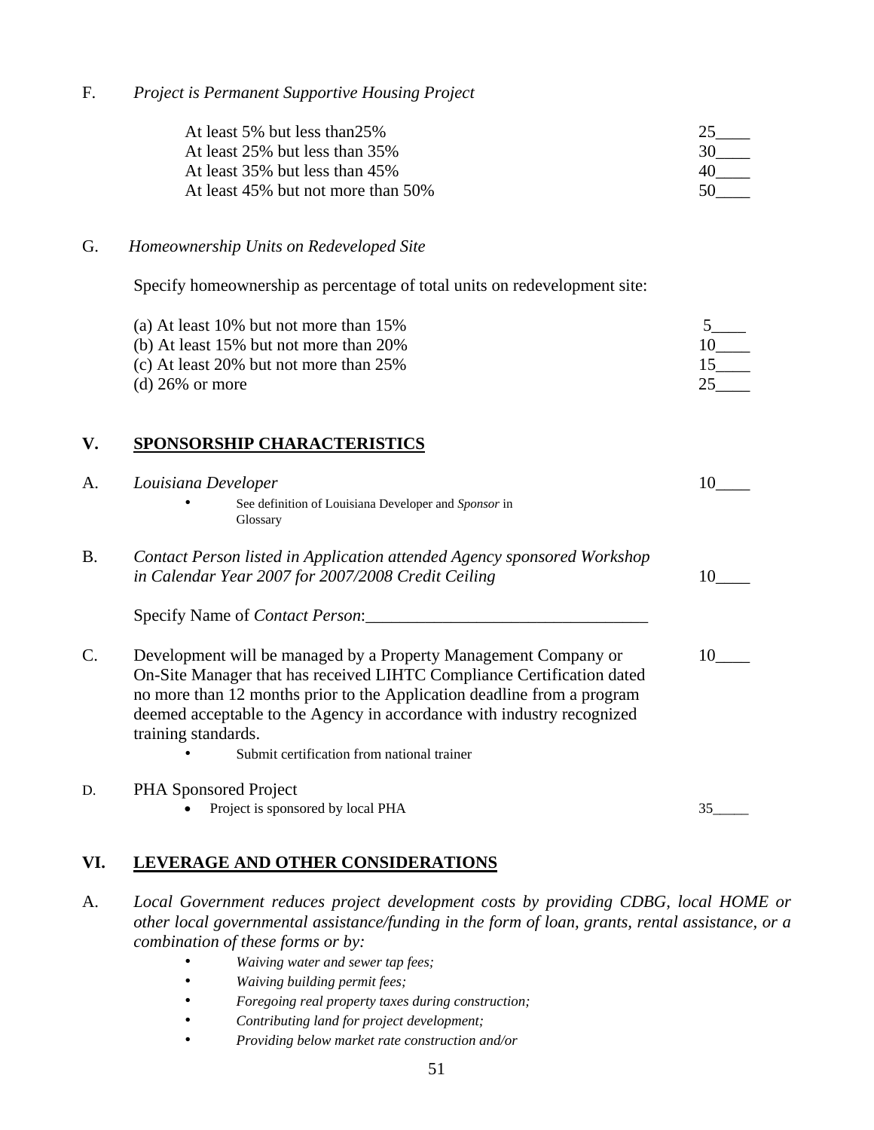F. *Project is Permanent Supportive Housing Project* 

| At least 5% but less than 25%      |    |
|------------------------------------|----|
| At least 25% but less than 35%     | 30 |
| At least 35% but less than 45%     |    |
| At least 45% but not more than 50% | 50 |

#### G. *Homeownership Units on Redeveloped Site*

Specify homeownership as percentage of total units on redevelopment site:

| (a) At least $10\%$ but not more than $15\%$ |  |
|----------------------------------------------|--|
| (b) At least $15\%$ but not more than $20\%$ |  |
| (c) At least 20% but not more than $25\%$    |  |
| (d) $26\%$ or more                           |  |

## **V. SPONSORSHIP CHARACTERISTICS**

| A.        | Louisiana Developer                                                                                                                                                                                                                                                                                                                                                 |    |
|-----------|---------------------------------------------------------------------------------------------------------------------------------------------------------------------------------------------------------------------------------------------------------------------------------------------------------------------------------------------------------------------|----|
|           | See definition of Louisiana Developer and Sponsor in<br>Glossary                                                                                                                                                                                                                                                                                                    |    |
| <b>B.</b> | Contact Person listed in Application attended Agency sponsored Workshop<br>in Calendar Year 2007 for 2007/2008 Credit Ceiling                                                                                                                                                                                                                                       | 10 |
|           | Specify Name of <i>Contact Person</i> :                                                                                                                                                                                                                                                                                                                             |    |
|           | Development will be managed by a Property Management Company or<br>On-Site Manager that has received LIHTC Compliance Certification dated<br>no more than 12 months prior to the Application deadline from a program<br>deemed acceptable to the Agency in accordance with industry recognized<br>training standards.<br>Submit certification from national trainer | 10 |
| D.        | <b>PHA Sponsored Project</b><br>Project is sponsored by local PHA                                                                                                                                                                                                                                                                                                   |    |

## **VI. LEVERAGE AND OTHER CONSIDERATIONS**

- A. *Local Government reduces project development costs by providing CDBG, local HOME or other local governmental assistance/funding in the form of loan, grants, rental assistance, or a combination of these forms or by:* 
	- • *Waiving water and sewer tap fees;*
	- • *Waiving building permit fees;*
	- • *Foregoing real property taxes during construction;*
	- • *Contributing land for project development;*
	- • *Providing below market rate construction and/or*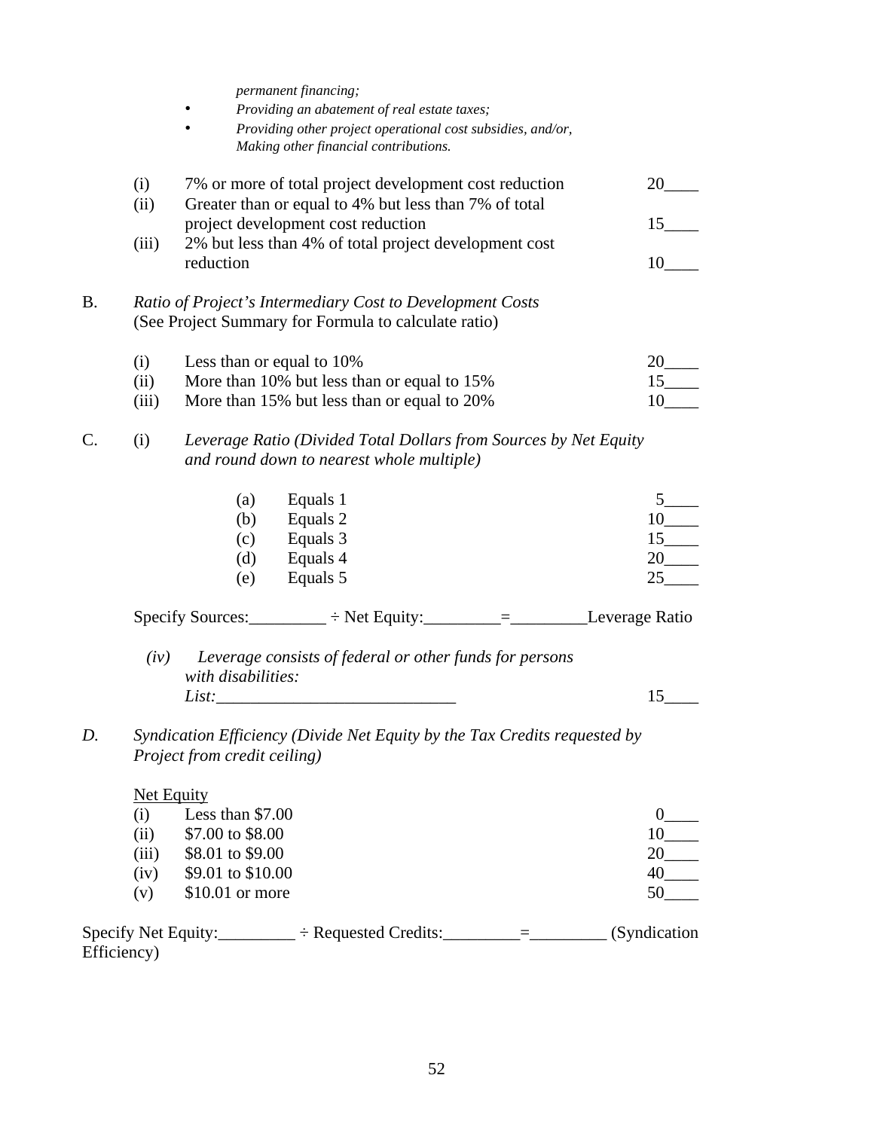*permanent financing;* 

- • *Providing an abatement of real estate taxes;*
- • *Providing other project operational cost subsidies, and/or, Making other financial contributions.*

|    | (i)<br>(ii) |                               | 7% or more of total project development cost reduction<br>Greater than or equal to 4% but less than 7% of total   | 20                   |
|----|-------------|-------------------------------|-------------------------------------------------------------------------------------------------------------------|----------------------|
|    |             |                               | project development cost reduction                                                                                | 15                   |
|    | (iii)       | reduction                     | 2% but less than 4% of total project development cost                                                             | 10                   |
| B. |             |                               | Ratio of Project's Intermediary Cost to Development Costs<br>(See Project Summary for Formula to calculate ratio) |                      |
|    | (i)         |                               | Less than or equal to 10%                                                                                         | 20                   |
|    | (ii)        |                               | More than 10% but less than or equal to 15%                                                                       | $15$ <sub>____</sub> |
|    | (iii)       |                               | More than 15% but less than or equal to 20%                                                                       |                      |
|    | (i)         |                               | Leverage Ratio (Divided Total Dollars from Sources by Net Equity<br>and round down to nearest whole multiple)     |                      |
|    |             | (a)                           | Equals 1                                                                                                          |                      |
|    |             | (b)                           | Equals 2                                                                                                          | $10$ <sub>____</sub> |
|    |             | (c)                           | Equals 3                                                                                                          |                      |
|    |             | (d)                           | Equals 4                                                                                                          | $20$ <sub>—</sub>    |
|    |             | (e)                           | Equals 5                                                                                                          | 25                   |
|    |             |                               | Specify Sources: $\_\_\_\_$ ÷ Net Equity: $\_\_\_\_\_\_\_\_\_\_$ = $\_\_\_\_\_\_\_$ Leverage Ratio                |                      |
|    | (iv)        | with disabilities:            | Leverage consists of federal or other funds for persons                                                           |                      |
|    |             |                               |                                                                                                                   | 15                   |
|    |             | $\mathbf{r}$ and $\mathbf{r}$ |                                                                                                                   |                      |

*D. Syndication Efficiency (Divide Net Equity by the Tax Credits requested by Project from credit ceiling)* 

| Net Equity |                   |  |
|------------|-------------------|--|
| (1)        | Less than $$7.00$ |  |
| (ii)       | \$7.00 to \$8.00  |  |
| (iii)      | \$8.01 to \$9.00  |  |
| (iv)       | \$9.01 to \$10.00 |  |
| ( V )      | $$10.01$ or more  |  |

| Specify Net Equity: | $\div$ Requested Credits: | (Syndication) |
|---------------------|---------------------------|---------------|
| Efficiency)         |                           |               |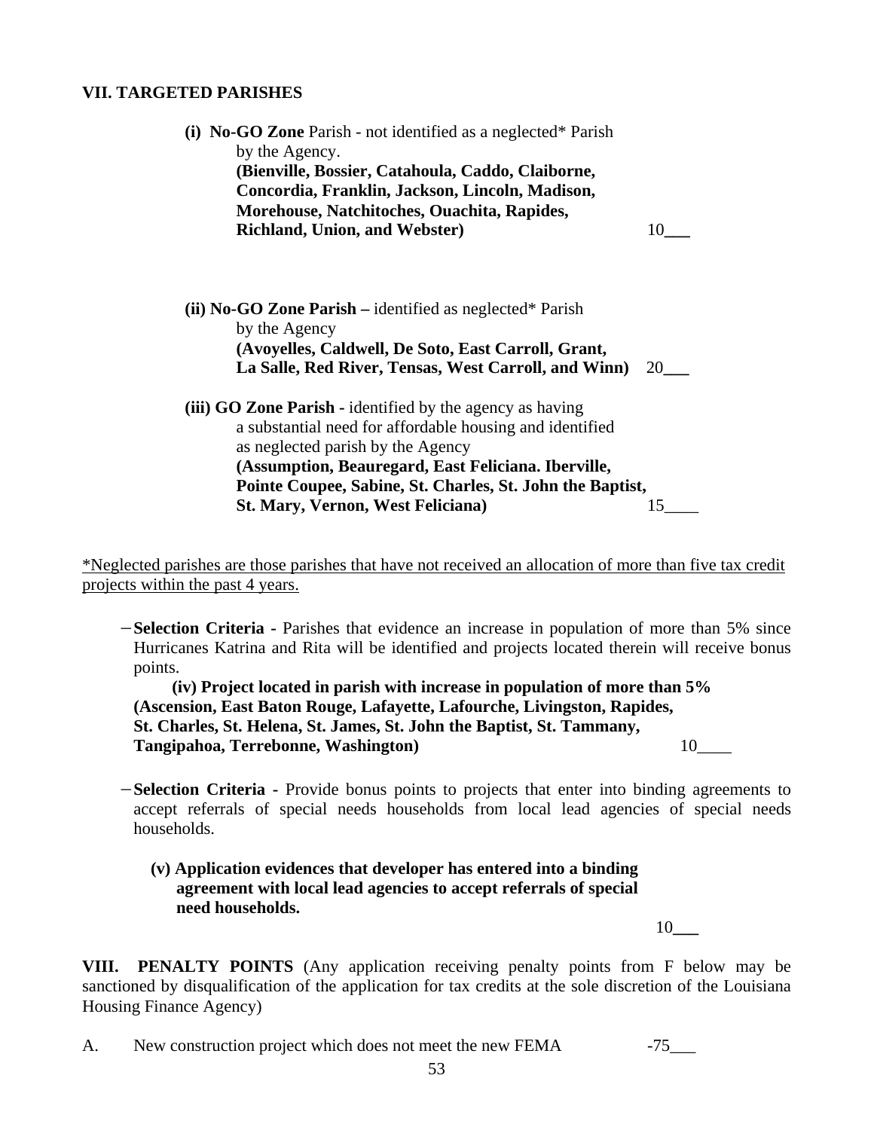#### **VII. TARGETED PARISHES**

| (i) No-GO Zone Parish - not identified as a neglected* Parish<br>by the Agency.<br>(Bienville, Bossier, Catahoula, Caddo, Claiborne,<br>Concordia, Franklin, Jackson, Lincoln, Madison,<br>Morehouse, Natchitoches, Ouachita, Rapides,<br><b>Richland, Union, and Webster)</b>                                             | 10 |
|----------------------------------------------------------------------------------------------------------------------------------------------------------------------------------------------------------------------------------------------------------------------------------------------------------------------------|----|
| (ii) No-GO Zone Parish – identified as neglected* Parish<br>by the Agency<br>(Avoyelles, Caldwell, De Soto, East Carroll, Grant,<br>La Salle, Red River, Tensas, West Carroll, and Winn)                                                                                                                                   | 20 |
| (iii) GO Zone Parish - identified by the agency as having<br>a substantial need for affordable housing and identified<br>as neglected parish by the Agency<br>(Assumption, Beauregard, East Feliciana. Iberville,<br>Pointe Coupee, Sabine, St. Charles, St. John the Baptist,<br><b>St. Mary, Vernon, West Feliciana)</b> | 15 |

\*Neglected parishes are those parishes that have not received an allocation of more than five tax credit projects within the past 4 years.

−**Selection Criteria -** Parishes that evidence an increase in population of more than 5% since Hurricanes Katrina and Rita will be identified and projects located therein will receive bonus points.

 **(iv) Project located in parish with increase in population of more than 5% (Ascension, East Baton Rouge, Lafayette, Lafourche, Livingston, Rapides, St. Charles, St. Helena, St. James, St. John the Baptist, St. Tammany, Tangipahoa, Terrebonne, Washington)** 10\_\_\_\_

- −**Selection Criteria** Provide bonus points to projects that enter into binding agreements to accept referrals of special needs households from local lead agencies of special needs households.
	- **(v) Application evidences that developer has entered into a binding agreement with local lead agencies to accept referrals of special need households.**

10**\_\_\_** 

**VIII. PENALTY POINTS** (Any application receiving penalty points from F below may be sanctioned by disqualification of the application for tax credits at the sole discretion of the Louisiana Housing Finance Agency)

A. New construction project which does not meet the new FEMA -75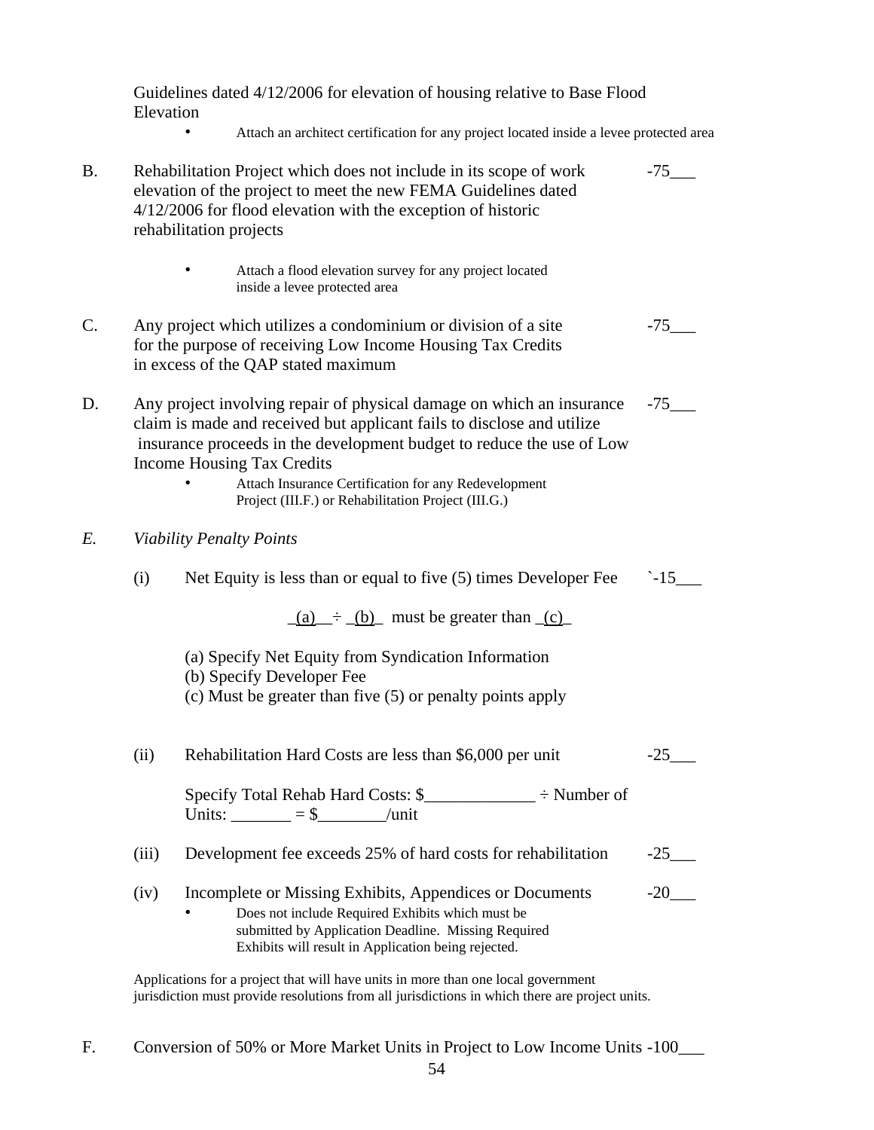Guidelines dated 4/12/2006 for elevation of housing relative to Base Flood Elevation

• Attach an architect certification for any project located inside a levee protected area

| <b>B.</b> | Rehabilitation Project which does not include in its scope of work<br>elevation of the project to meet the new FEMA Guidelines dated<br>$4/12/2006$ for flood elevation with the exception of historic<br>rehabilitation projects |                                                                                                                                                                                                                                                                                                                                                                              | $-75$               |
|-----------|-----------------------------------------------------------------------------------------------------------------------------------------------------------------------------------------------------------------------------------|------------------------------------------------------------------------------------------------------------------------------------------------------------------------------------------------------------------------------------------------------------------------------------------------------------------------------------------------------------------------------|---------------------|
|           |                                                                                                                                                                                                                                   | Attach a flood elevation survey for any project located<br>inside a levee protected area                                                                                                                                                                                                                                                                                     |                     |
| C.        |                                                                                                                                                                                                                                   | Any project which utilizes a condominium or division of a site<br>for the purpose of receiving Low Income Housing Tax Credits<br>in excess of the QAP stated maximum                                                                                                                                                                                                         | $-75$               |
| D.        |                                                                                                                                                                                                                                   | Any project involving repair of physical damage on which an insurance<br>claim is made and received but applicant fails to disclose and utilize<br>insurance proceeds in the development budget to reduce the use of Low<br><b>Income Housing Tax Credits</b><br>Attach Insurance Certification for any Redevelopment<br>Project (III.F.) or Rehabilitation Project (III.G.) | $-75$               |
| E.        |                                                                                                                                                                                                                                   | <b>Viability Penalty Points</b>                                                                                                                                                                                                                                                                                                                                              |                     |
|           | (i)                                                                                                                                                                                                                               | Net Equity is less than or equal to five (5) times Developer Fee                                                                                                                                                                                                                                                                                                             | $-15$               |
|           |                                                                                                                                                                                                                                   | $(a) \div (b)$ must be greater than $(c)$                                                                                                                                                                                                                                                                                                                                    |                     |
|           |                                                                                                                                                                                                                                   | (a) Specify Net Equity from Syndication Information<br>(b) Specify Developer Fee<br>(c) Must be greater than five (5) or penalty points apply                                                                                                                                                                                                                                |                     |
|           | (ii)                                                                                                                                                                                                                              | Rehabilitation Hard Costs are less than \$6,000 per unit                                                                                                                                                                                                                                                                                                                     | $-25$               |
|           |                                                                                                                                                                                                                                   | Specify Total Rehab Hard Costs: \$________________ ÷ Number of<br>Units: $=$ \$ /unit                                                                                                                                                                                                                                                                                        |                     |
|           | (iii)                                                                                                                                                                                                                             | Development fee exceeds 25% of hard costs for rehabilitation                                                                                                                                                                                                                                                                                                                 | $-25$ <sub>——</sub> |
|           | (iv)                                                                                                                                                                                                                              | Incomplete or Missing Exhibits, Appendices or Documents<br>Does not include Required Exhibits which must be<br>submitted by Application Deadline. Missing Required<br>Exhibits will result in Application being rejected.                                                                                                                                                    | $-20$               |
|           |                                                                                                                                                                                                                                   | Applications for a project that will have units in more than one local government                                                                                                                                                                                                                                                                                            |                     |

jurisdiction must provide resolutions from all jurisdictions in which there are project units.

F. Conversion of 50% or More Market Units in Project to Low Income Units -100\_\_\_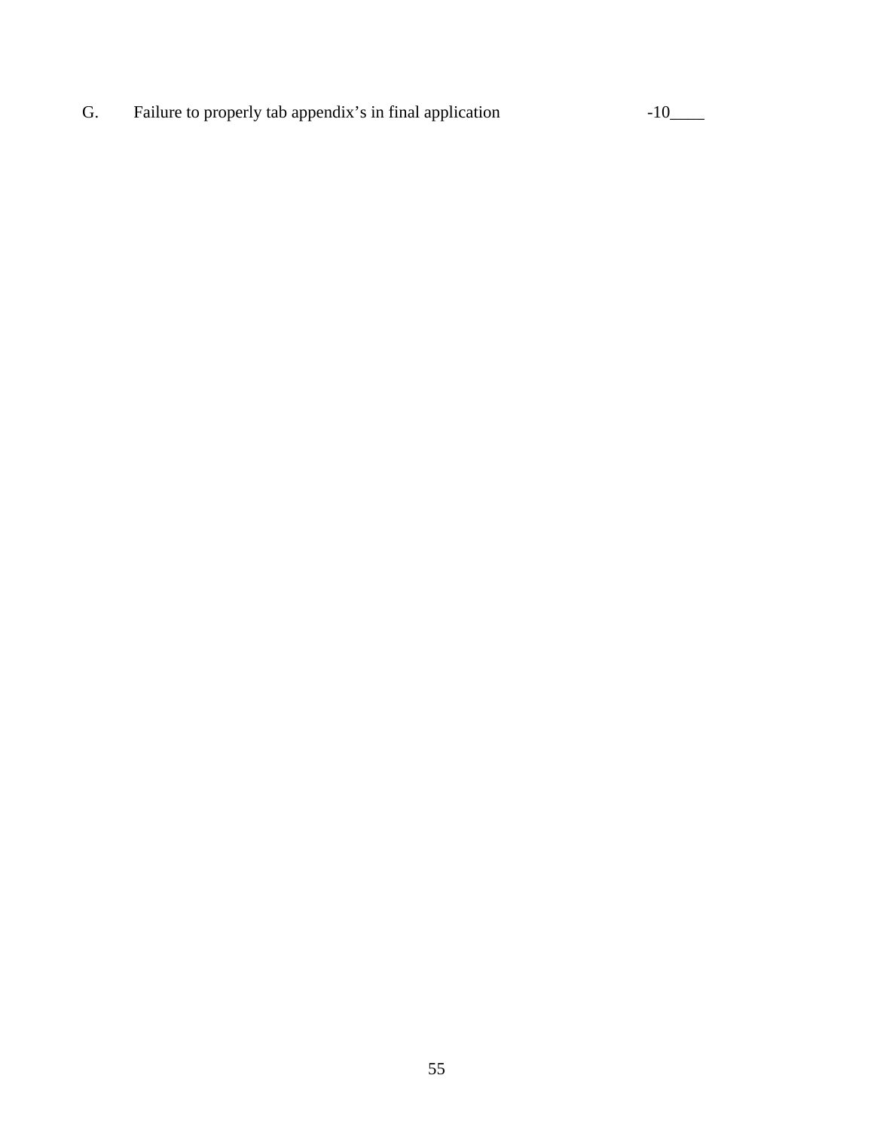G. Failure to properly tab appendix's in final application -10\_\_\_\_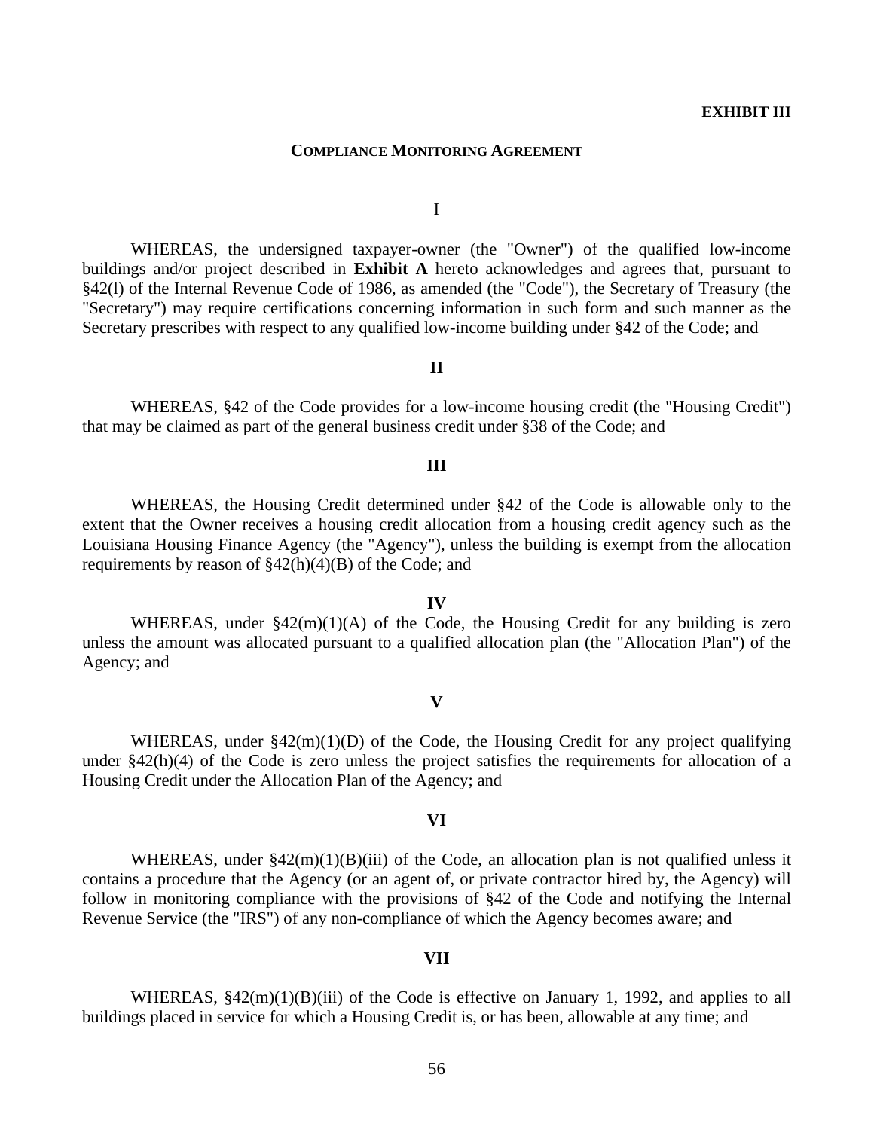#### **COMPLIANCE MONITORING AGREEMENT**

I

 WHEREAS, the undersigned taxpayer-owner (the "Owner") of the qualified low-income buildings and/or project described in **Exhibit A** hereto acknowledges and agrees that, pursuant to §42(l) of the Internal Revenue Code of 1986, as amended (the "Code"), the Secretary of Treasury (the "Secretary") may require certifications concerning information in such form and such manner as the Secretary prescribes with respect to any qualified low-income building under §42 of the Code; and

#### **II**

 WHEREAS, §42 of the Code provides for a low-income housing credit (the "Housing Credit") that may be claimed as part of the general business credit under §38 of the Code; and

#### **III**

 WHEREAS, the Housing Credit determined under §42 of the Code is allowable only to the extent that the Owner receives a housing credit allocation from a housing credit agency such as the Louisiana Housing Finance Agency (the "Agency"), unless the building is exempt from the allocation requirements by reason of  $\frac{242(h)(4)(B)}{B}$  of the Code; and

## WHEREAS, under  $$42(m)(1)(A)$  of the Code, the Housing Credit for any building is zero unless the amount was allocated pursuant to a qualified allocation plan (the "Allocation Plan") of the Agency; and

**IV**

#### **V**

WHEREAS, under  $\S42(m)(1)(D)$  of the Code, the Housing Credit for any project qualifying under §42(h)(4) of the Code is zero unless the project satisfies the requirements for allocation of a Housing Credit under the Allocation Plan of the Agency; and

#### **VI**

WHEREAS, under  $\S42(m)(1)(B)(iii)$  of the Code, an allocation plan is not qualified unless it contains a procedure that the Agency (or an agent of, or private contractor hired by, the Agency) will follow in monitoring compliance with the provisions of §42 of the Code and notifying the Internal Revenue Service (the "IRS") of any non-compliance of which the Agency becomes aware; and

#### **VII**

WHEREAS,  $\S42(m)(1)(B)(iii)$  of the Code is effective on January 1, 1992, and applies to all buildings placed in service for which a Housing Credit is, or has been, allowable at any time; and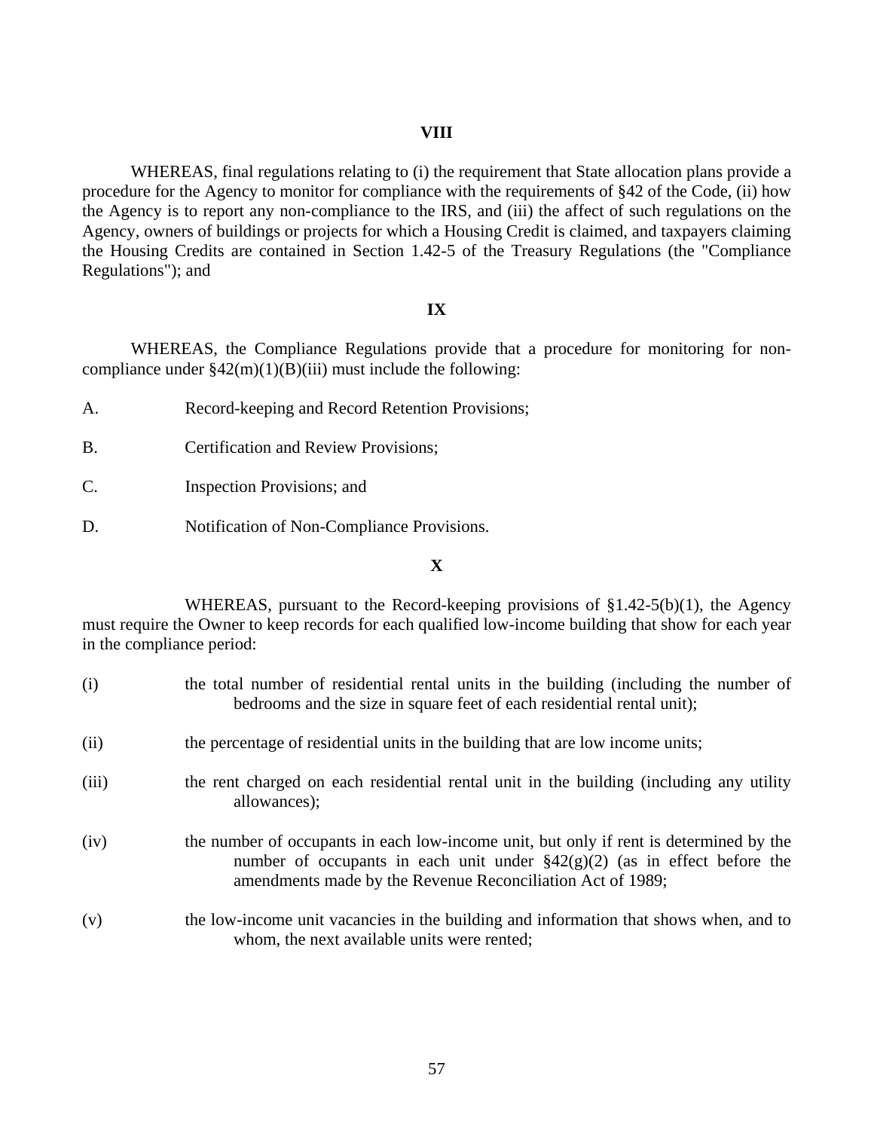#### **VIII**

 WHEREAS, final regulations relating to (i) the requirement that State allocation plans provide a procedure for the Agency to monitor for compliance with the requirements of §42 of the Code, (ii) how the Agency is to report any non-compliance to the IRS, and (iii) the affect of such regulations on the Agency, owners of buildings or projects for which a Housing Credit is claimed, and taxpayers claiming the Housing Credits are contained in Section 1.42-5 of the Treasury Regulations (the "Compliance Regulations"); and

#### **IX**

 WHEREAS, the Compliance Regulations provide that a procedure for monitoring for noncompliance under  $\frac{242(m)(1)(B)(iii)}{3}$  must include the following:

- A. Record-keeping and Record Retention Provisions;
- B. Certification and Review Provisions;
- C. Inspection Provisions; and
- D. Notification of Non-Compliance Provisions.

#### **X**

 WHEREAS, pursuant to the Record-keeping provisions of §1.42-5(b)(1), the Agency must require the Owner to keep records for each qualified low-income building that show for each year in the compliance period:

| (i)   | the total number of residential rental units in the building (including the number of<br>bedrooms and the size in square feet of each residential rental unit);                                                                       |
|-------|---------------------------------------------------------------------------------------------------------------------------------------------------------------------------------------------------------------------------------------|
| (ii)  | the percentage of residential units in the building that are low income units;                                                                                                                                                        |
| (iii) | the rent charged on each residential rental unit in the building (including any utility<br>allowances);                                                                                                                               |
| (iv)  | the number of occupants in each low-income unit, but only if rent is determined by the<br>number of occupants in each unit under $\S 42(g)(2)$ (as in effect before the<br>amendments made by the Revenue Reconciliation Act of 1989; |
| (v)   | the low-income unit vacancies in the building and information that shows when, and to<br>whom, the next available units were rented;                                                                                                  |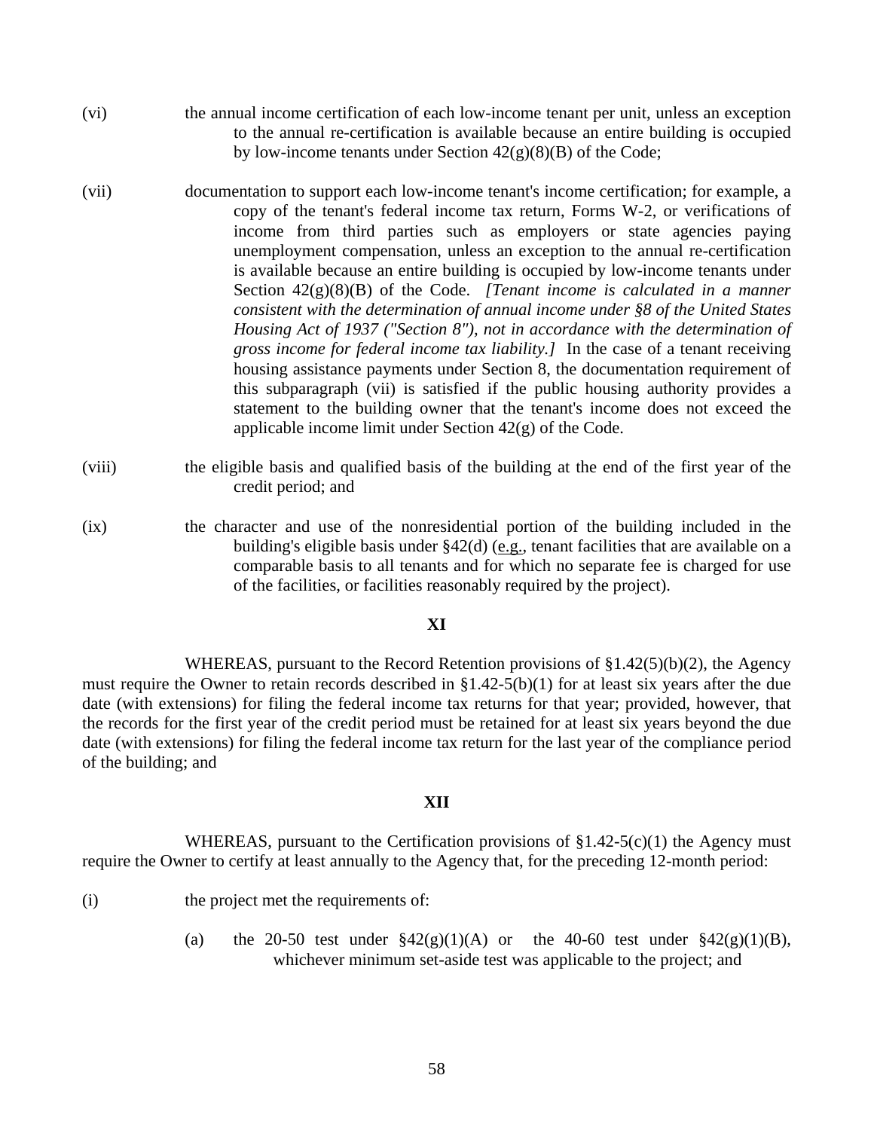- (vi) the annual income certification of each low-income tenant per unit, unless an exception to the annual re-certification is available because an entire building is occupied by low-income tenants under Section  $42(g)(8)(B)$  of the Code;
- (vii) documentation to support each low-income tenant's income certification; for example, a copy of the tenant's federal income tax return, Forms W-2, or verifications of income from third parties such as employers or state agencies paying unemployment compensation, unless an exception to the annual re-certification is available because an entire building is occupied by low-income tenants under Section 42(g)(8)(B) of the Code. *[Tenant income is calculated in a manner consistent with the determination of annual income under §8 of the United States Housing Act of 1937 ("Section 8"), not in accordance with the determination of gross income for federal income tax liability.]* In the case of a tenant receiving housing assistance payments under Section 8, the documentation requirement of this subparagraph (vii) is satisfied if the public housing authority provides a statement to the building owner that the tenant's income does not exceed the applicable income limit under Section 42(g) of the Code.
- (viii) the eligible basis and qualified basis of the building at the end of the first year of the credit period; and
- (ix) the character and use of the nonresidential portion of the building included in the building's eligible basis under §42(d) (e.g., tenant facilities that are available on a comparable basis to all tenants and for which no separate fee is charged for use of the facilities, or facilities reasonably required by the project).

#### **XI**

 WHEREAS, pursuant to the Record Retention provisions of §1.42(5)(b)(2), the Agency must require the Owner to retain records described in §1.42-5(b)(1) for at least six years after the due date (with extensions) for filing the federal income tax returns for that year; provided, however, that the records for the first year of the credit period must be retained for at least six years beyond the due date (with extensions) for filing the federal income tax return for the last year of the compliance period of the building; and

#### **XII**

WHEREAS, pursuant to the Certification provisions of  $$1.42-5(c)(1)$  the Agency must require the Owner to certify at least annually to the Agency that, for the preceding 12-month period:

- (i) the project met the requirements of:
	- (a) the 20-50 test under  $\S 42(g)(1)(A)$  or the 40-60 test under  $\S 42(g)(1)(B)$ , whichever minimum set-aside test was applicable to the project; and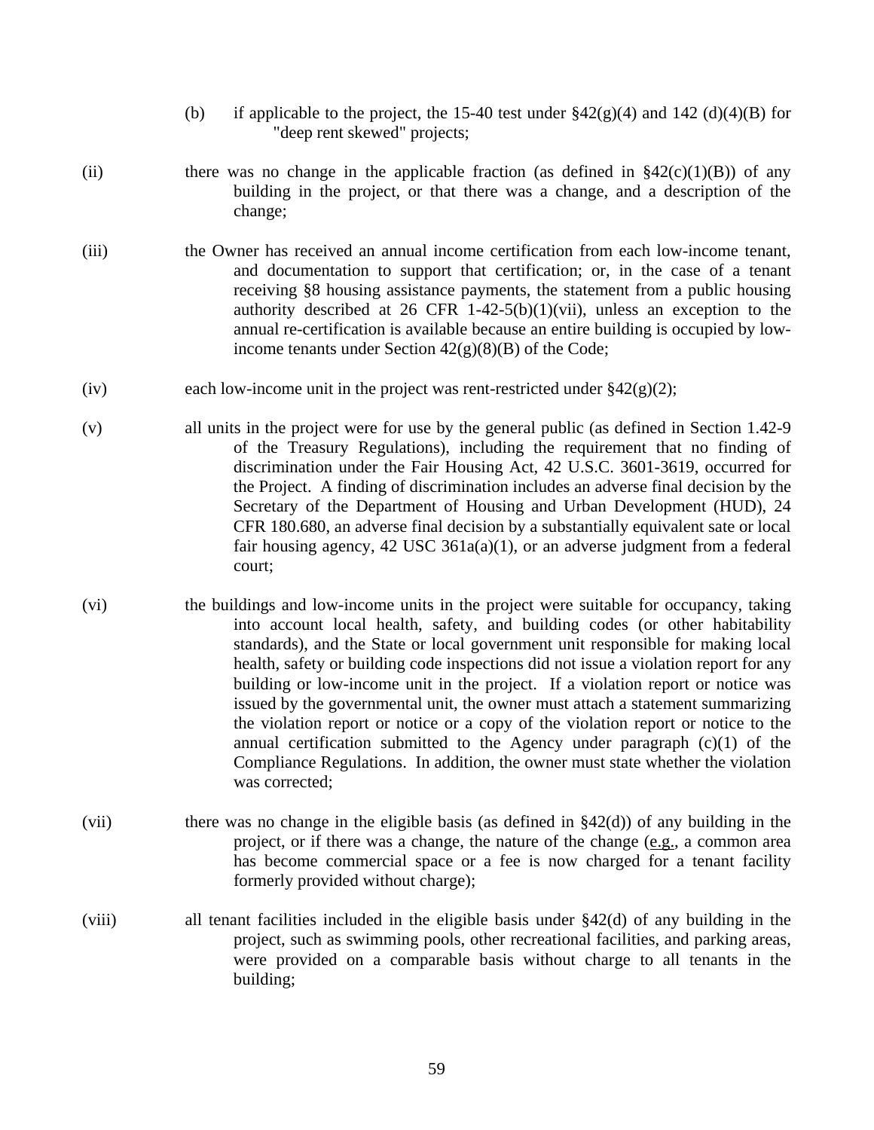- (b) if applicable to the project, the 15-40 test under  $\frac{242(g)(4)}{g}$  and 142 (d)(4)(B) for "deep rent skewed" projects;
- (ii) there was no change in the applicable fraction (as defined in  $\frac{8}{42(c)(1)(B)}$ ) of any building in the project, or that there was a change, and a description of the change;
- (iii) the Owner has received an annual income certification from each low-income tenant, and documentation to support that certification; or, in the case of a tenant receiving §8 housing assistance payments, the statement from a public housing authority described at 26 CFR 1-42-5(b)(1)(vii), unless an exception to the annual re-certification is available because an entire building is occupied by lowincome tenants under Section  $42(g)(8)(B)$  of the Code;
- (iv) each low-income unit in the project was rent-restricted under  $\S 42(g)(2)$ ;
- (v) all units in the project were for use by the general public (as defined in Section 1.42-9 of the Treasury Regulations), including the requirement that no finding of discrimination under the Fair Housing Act, 42 U.S.C. 3601-3619, occurred for the Project. A finding of discrimination includes an adverse final decision by the Secretary of the Department of Housing and Urban Development (HUD), 24 CFR 180.680, an adverse final decision by a substantially equivalent sate or local fair housing agency,  $42 \text{ USC } 361a(a)(1)$ , or an adverse judgment from a federal court;
- (vi) the buildings and low-income units in the project were suitable for occupancy, taking into account local health, safety, and building codes (or other habitability standards), and the State or local government unit responsible for making local health, safety or building code inspections did not issue a violation report for any building or low-income unit in the project. If a violation report or notice was issued by the governmental unit, the owner must attach a statement summarizing the violation report or notice or a copy of the violation report or notice to the annual certification submitted to the Agency under paragraph (c)(1) of the Compliance Regulations. In addition, the owner must state whether the violation was corrected;
- (vii) there was no change in the eligible basis (as defined in  $\S42(d)$ ) of any building in the project, or if there was a change, the nature of the change (e.g., a common area has become commercial space or a fee is now charged for a tenant facility formerly provided without charge);
- (viii) all tenant facilities included in the eligible basis under §42(d) of any building in the project, such as swimming pools, other recreational facilities, and parking areas, were provided on a comparable basis without charge to all tenants in the building;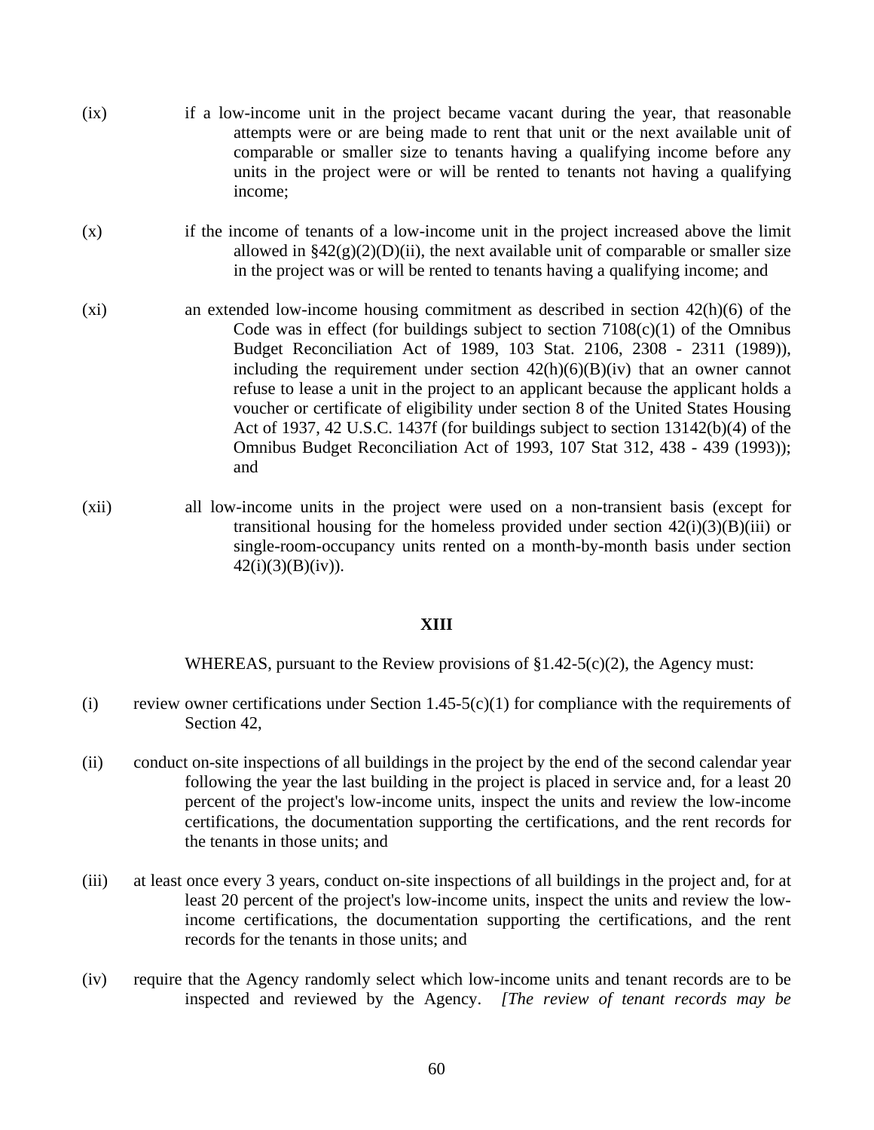- (ix) if a low-income unit in the project became vacant during the year, that reasonable attempts were or are being made to rent that unit or the next available unit of comparable or smaller size to tenants having a qualifying income before any units in the project were or will be rented to tenants not having a qualifying income;
- (x) if the income of tenants of a low-income unit in the project increased above the limit allowed in  $\frac{2}{2}(g)(2)(D)(ii)$ , the next available unit of comparable or smaller size in the project was or will be rented to tenants having a qualifying income; and
- (xi) an extended low-income housing commitment as described in section 42(h)(6) of the Code was in effect (for buildings subject to section  $7108(c)(1)$  of the Omnibus Budget Reconciliation Act of 1989, 103 Stat. 2106, 2308 - 2311 (1989)), including the requirement under section  $42(h)(6)(B)(iv)$  that an owner cannot refuse to lease a unit in the project to an applicant because the applicant holds a voucher or certificate of eligibility under section 8 of the United States Housing Act of 1937, 42 U.S.C. 1437f (for buildings subject to section 13142(b)(4) of the Omnibus Budget Reconciliation Act of 1993, 107 Stat 312, 438 - 439 (1993)); and
- (xii) all low-income units in the project were used on a non-transient basis (except for transitional housing for the homeless provided under section  $42(i)(3)(B)(iii)$  or single-room-occupancy units rented on a month-by-month basis under section  $42(i)(3)(B)(iv)$ .

#### **XIII**

WHEREAS, pursuant to the Review provisions of  $\S1.42-5(c)(2)$ , the Agency must:

- (i) review owner certifications under Section  $1.45-5(c)(1)$  for compliance with the requirements of Section 42,
- (ii) conduct on-site inspections of all buildings in the project by the end of the second calendar year following the year the last building in the project is placed in service and, for a least 20 percent of the project's low-income units, inspect the units and review the low-income certifications, the documentation supporting the certifications, and the rent records for the tenants in those units; and
- (iii) at least once every 3 years, conduct on-site inspections of all buildings in the project and, for at least 20 percent of the project's low-income units, inspect the units and review the lowincome certifications, the documentation supporting the certifications, and the rent records for the tenants in those units; and
- (iv) require that the Agency randomly select which low-income units and tenant records are to be inspected and reviewed by the Agency. *[The review of tenant records may be*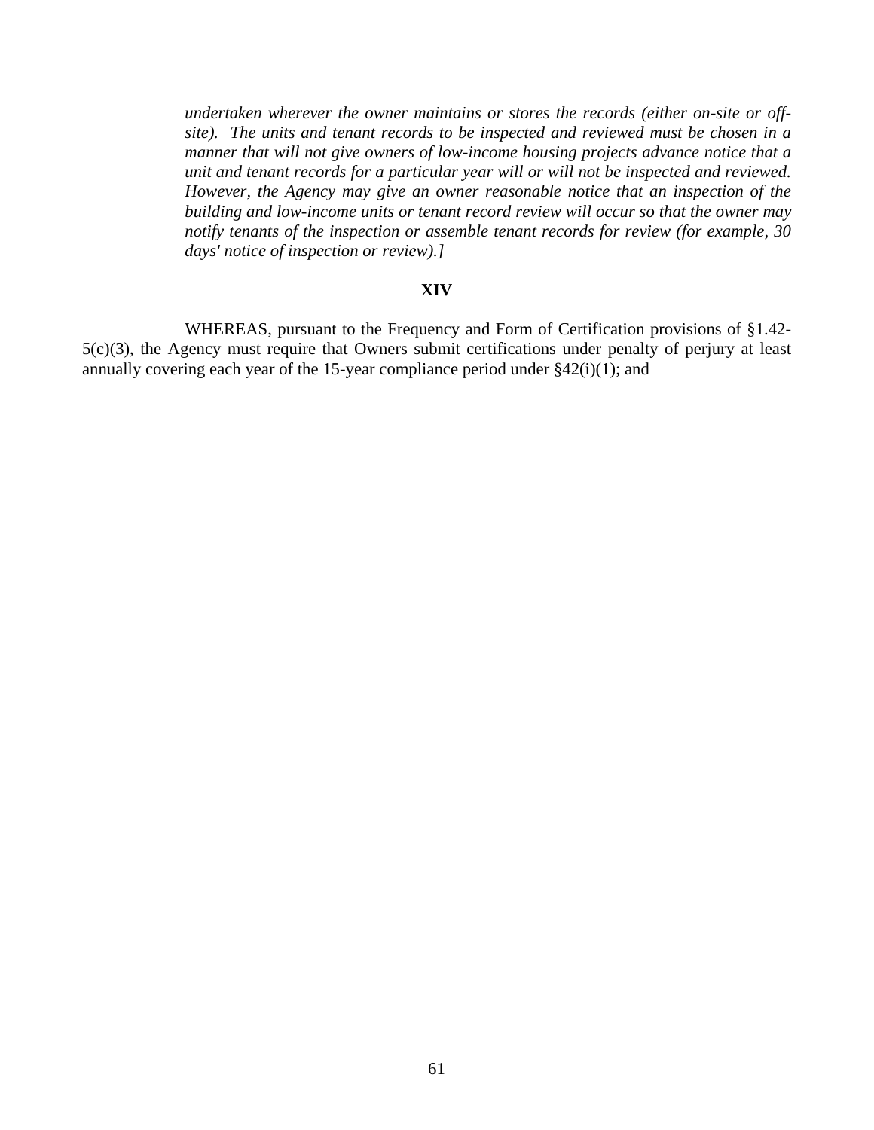*undertaken wherever the owner maintains or stores the records (either on-site or offsite). The units and tenant records to be inspected and reviewed must be chosen in a manner that will not give owners of low-income housing projects advance notice that a unit and tenant records for a particular year will or will not be inspected and reviewed. However, the Agency may give an owner reasonable notice that an inspection of the building and low-income units or tenant record review will occur so that the owner may notify tenants of the inspection or assemble tenant records for review (for example, 30 days' notice of inspection or review).]*

#### **XIV**

 WHEREAS, pursuant to the Frequency and Form of Certification provisions of §1.42- 5(c)(3), the Agency must require that Owners submit certifications under penalty of perjury at least annually covering each year of the 15-year compliance period under  $\S42(i)(1)$ ; and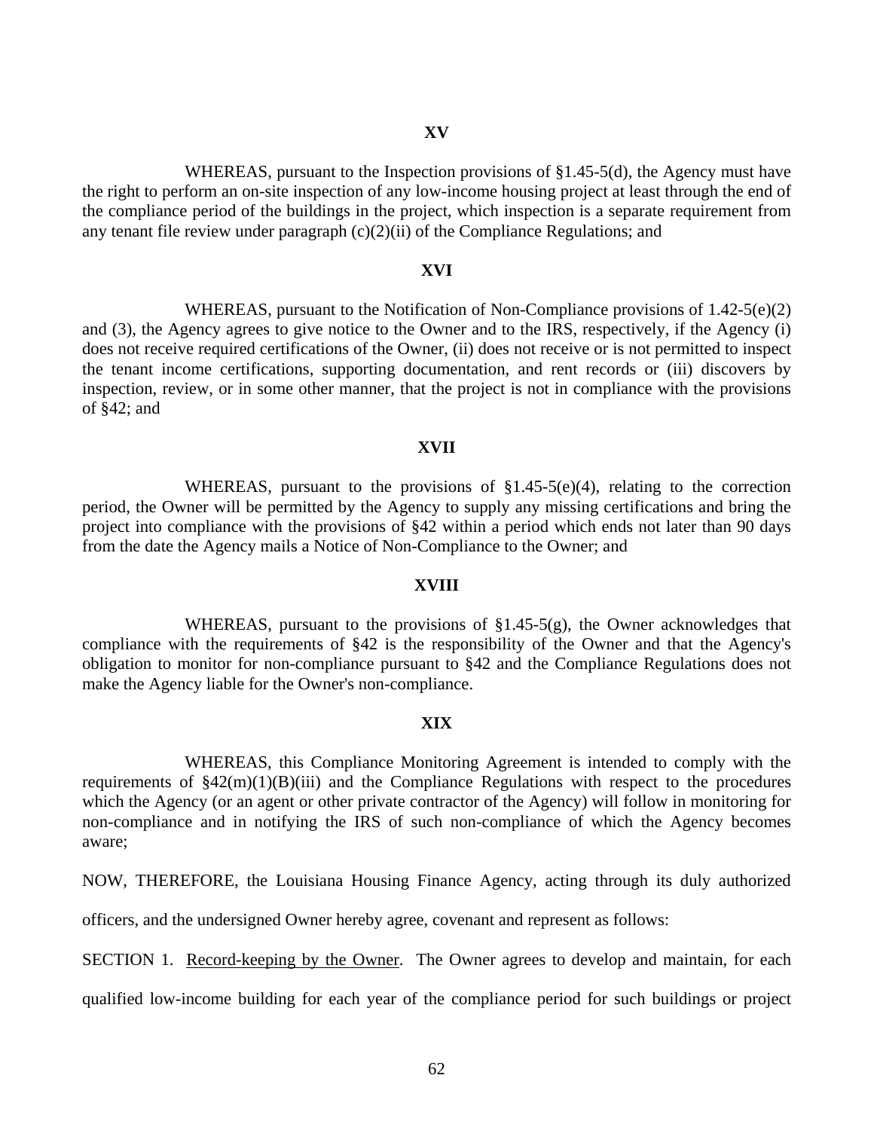WHEREAS, pursuant to the Inspection provisions of §1.45-5(d), the Agency must have the right to perform an on-site inspection of any low-income housing project at least through the end of the compliance period of the buildings in the project, which inspection is a separate requirement from any tenant file review under paragraph (c)(2)(ii) of the Compliance Regulations; and

#### **XVI**

WHEREAS, pursuant to the Notification of Non-Compliance provisions of  $1.42-5(e)(2)$ and (3), the Agency agrees to give notice to the Owner and to the IRS, respectively, if the Agency (i) does not receive required certifications of the Owner, (ii) does not receive or is not permitted to inspect the tenant income certifications, supporting documentation, and rent records or (iii) discovers by inspection, review, or in some other manner, that the project is not in compliance with the provisions of §42; and

#### **XVII**

 WHEREAS, pursuant to the provisions of §1.45-5(e)(4), relating to the correction period, the Owner will be permitted by the Agency to supply any missing certifications and bring the project into compliance with the provisions of §42 within a period which ends not later than 90 days from the date the Agency mails a Notice of Non-Compliance to the Owner; and

#### **XVIII**

WHEREAS, pursuant to the provisions of  $\S1.45-5(g)$ , the Owner acknowledges that compliance with the requirements of §42 is the responsibility of the Owner and that the Agency's obligation to monitor for non-compliance pursuant to §42 and the Compliance Regulations does not make the Agency liable for the Owner's non-compliance.

#### **XIX**

 WHEREAS, this Compliance Monitoring Agreement is intended to comply with the requirements of  $$42(m)(1)(B)(iii)$  and the Compliance Regulations with respect to the procedures which the Agency (or an agent or other private contractor of the Agency) will follow in monitoring for non-compliance and in notifying the IRS of such non-compliance of which the Agency becomes aware;

NOW, THEREFORE, the Louisiana Housing Finance Agency, acting through its duly authorized

officers, and the undersigned Owner hereby agree, covenant and represent as follows:

SECTION 1. Record-keeping by the Owner. The Owner agrees to develop and maintain, for each

qualified low-income building for each year of the compliance period for such buildings or project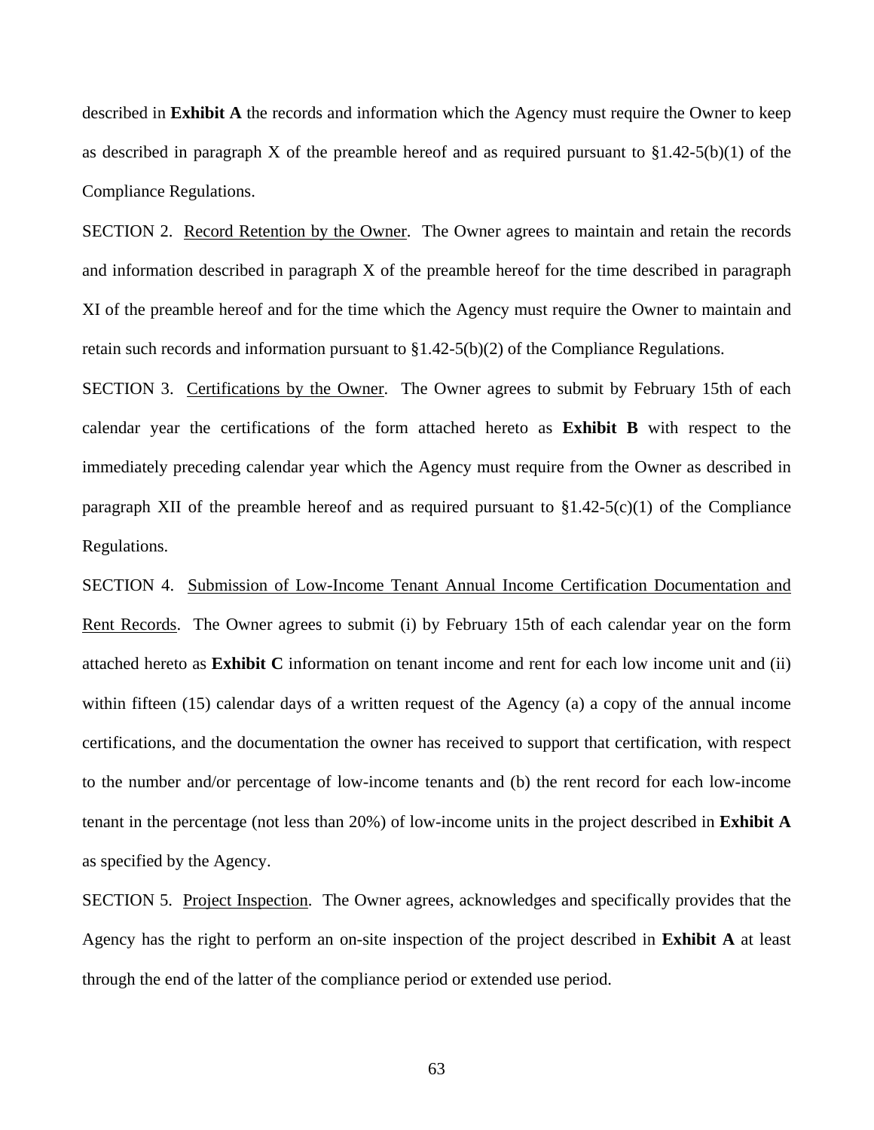described in **Exhibit A** the records and information which the Agency must require the Owner to keep as described in paragraph X of the preamble hereof and as required pursuant to  $\S1.42-5(b)(1)$  of the Compliance Regulations.

 SECTION 2. Record Retention by the Owner. The Owner agrees to maintain and retain the records and information described in paragraph X of the preamble hereof for the time described in paragraph XI of the preamble hereof and for the time which the Agency must require the Owner to maintain and retain such records and information pursuant to  $\S1.42-5(b)(2)$  of the Compliance Regulations.

 SECTION 3. Certifications by the Owner. The Owner agrees to submit by February 15th of each calendar year the certifications of the form attached hereto as **Exhibit B** with respect to the immediately preceding calendar year which the Agency must require from the Owner as described in paragraph XII of the preamble hereof and as required pursuant to  $$1.42-5(c)(1)$  of the Compliance Regulations.

 SECTION 4. Submission of Low-Income Tenant Annual Income Certification Documentation and Rent Records. The Owner agrees to submit (i) by February 15th of each calendar year on the form attached hereto as **Exhibit C** information on tenant income and rent for each low income unit and (ii) within fifteen (15) calendar days of a written request of the Agency (a) a copy of the annual income certifications, and the documentation the owner has received to support that certification, with respect to the number and/or percentage of low-income tenants and (b) the rent record for each low-income tenant in the percentage (not less than 20%) of low-income units in the project described in **Exhibit A** as specified by the Agency.

 SECTION 5. Project Inspection. The Owner agrees, acknowledges and specifically provides that the Agency has the right to perform an on-site inspection of the project described in **Exhibit A** at least through the end of the latter of the compliance period or extended use period.

63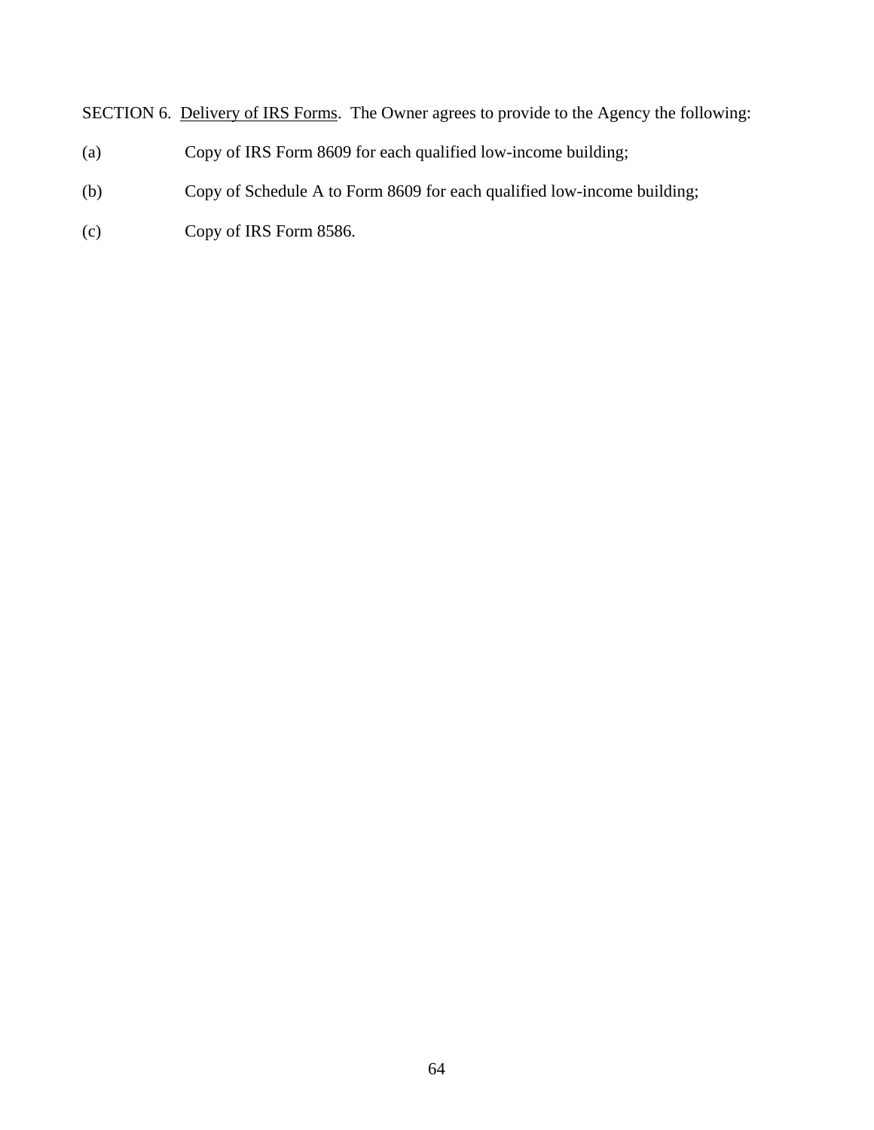SECTION 6. Delivery of IRS Forms. The Owner agrees to provide to the Agency the following:

- (a) Copy of IRS Form 8609 for each qualified low-income building;
- (b) Copy of Schedule A to Form 8609 for each qualified low-income building;
- (c) Copy of IRS Form 8586.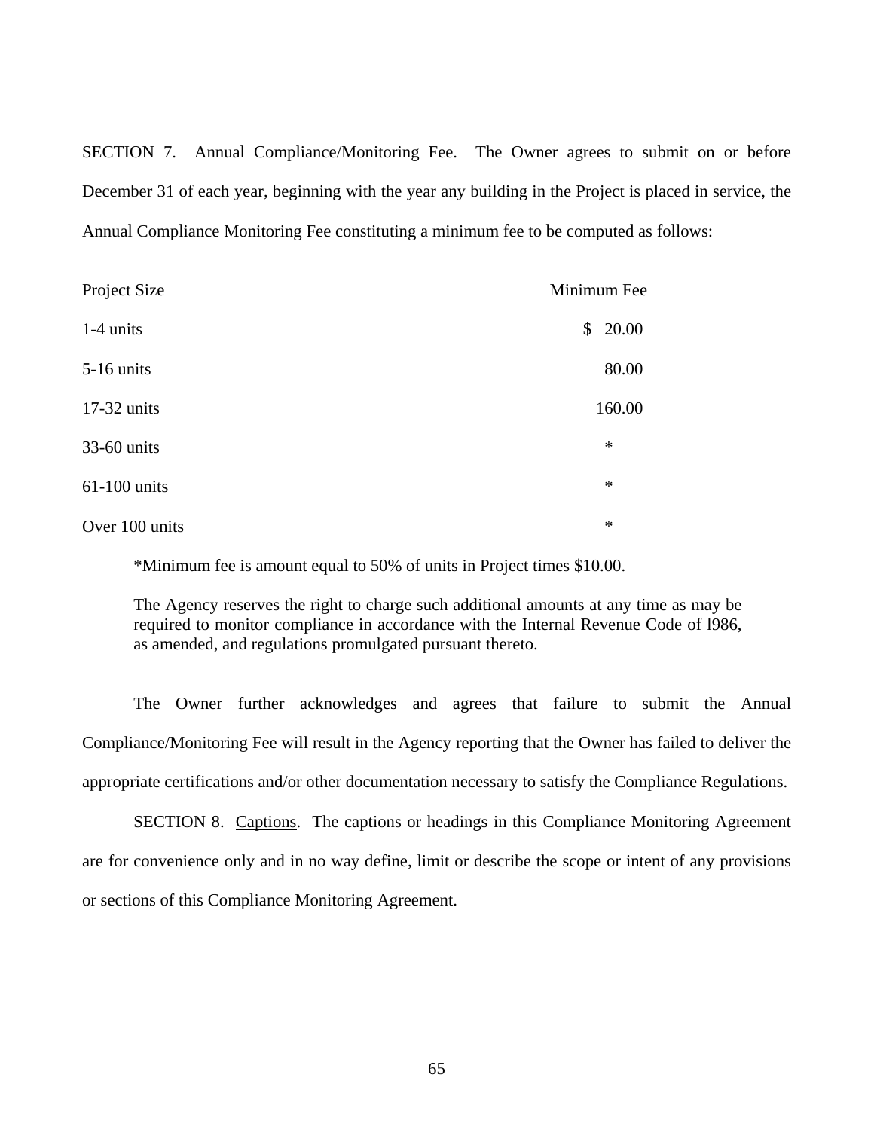SECTION 7. Annual Compliance/Monitoring Fee. The Owner agrees to submit on or before December 31 of each year, beginning with the year any building in the Project is placed in service, the Annual Compliance Monitoring Fee constituting a minimum fee to be computed as follows:

| <b>Project Size</b> | Minimum Fee |
|---------------------|-------------|
| $1-4$ units         | \$20.00     |
| $5-16$ units        | 80.00       |
| $17-32$ units       | 160.00      |
| 33-60 units         | $\ast$      |
| $61-100$ units      | $\ast$      |
| Over 100 units      | $\ast$      |

\*Minimum fee is amount equal to 50% of units in Project times \$10.00.

The Agency reserves the right to charge such additional amounts at any time as may be required to monitor compliance in accordance with the Internal Revenue Code of l986, as amended, and regulations promulgated pursuant thereto.

 The Owner further acknowledges and agrees that failure to submit the Annual Compliance/Monitoring Fee will result in the Agency reporting that the Owner has failed to deliver the appropriate certifications and/or other documentation necessary to satisfy the Compliance Regulations.

 SECTION 8. Captions. The captions or headings in this Compliance Monitoring Agreement are for convenience only and in no way define, limit or describe the scope or intent of any provisions or sections of this Compliance Monitoring Agreement.